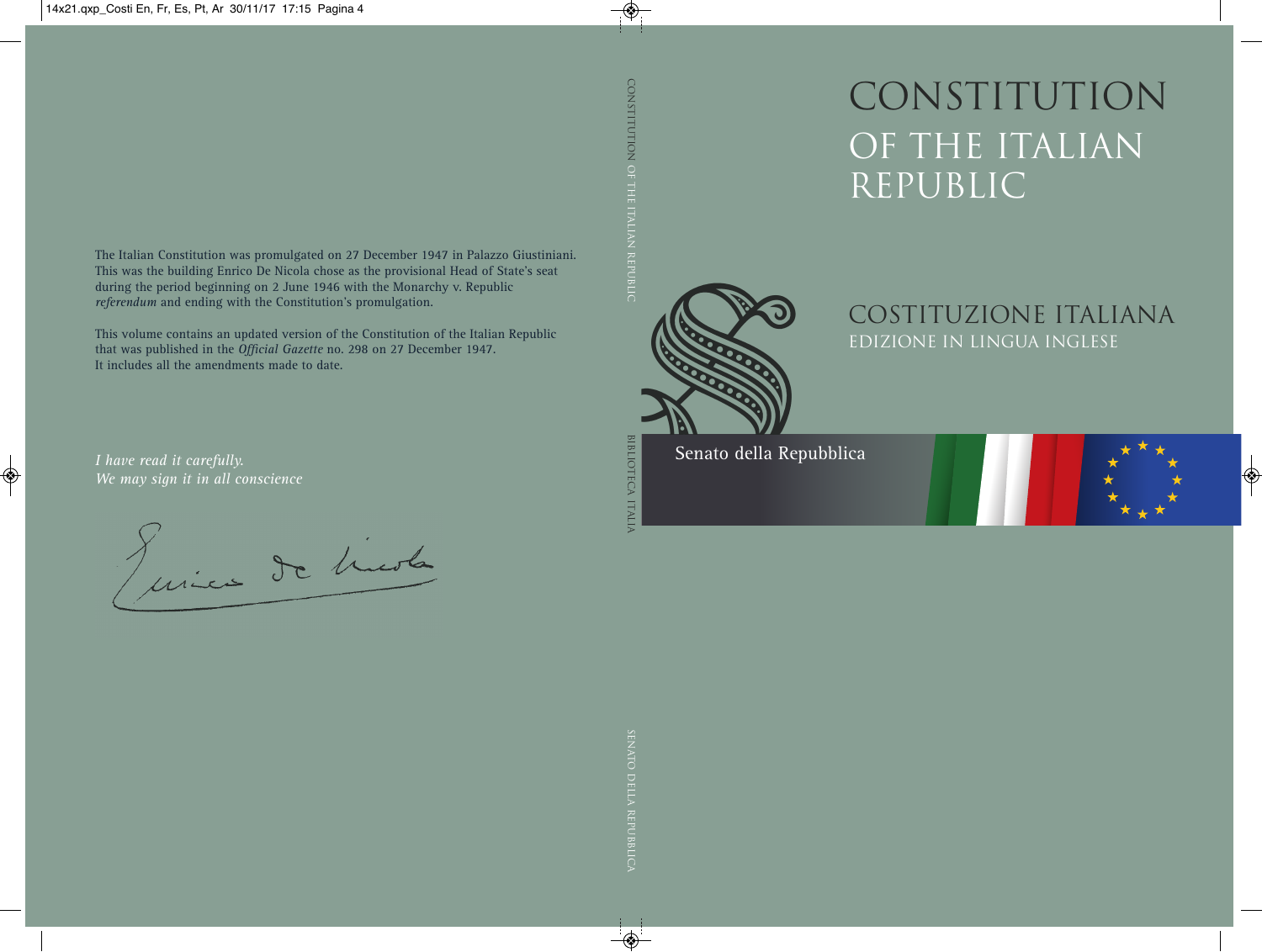CONSTITUTION OF THE ITALIAN REPUBLIC



COSTITUZIONE ITALIANA EDIZIONE IN LINGUA INGLESE

Senato della Repubblica

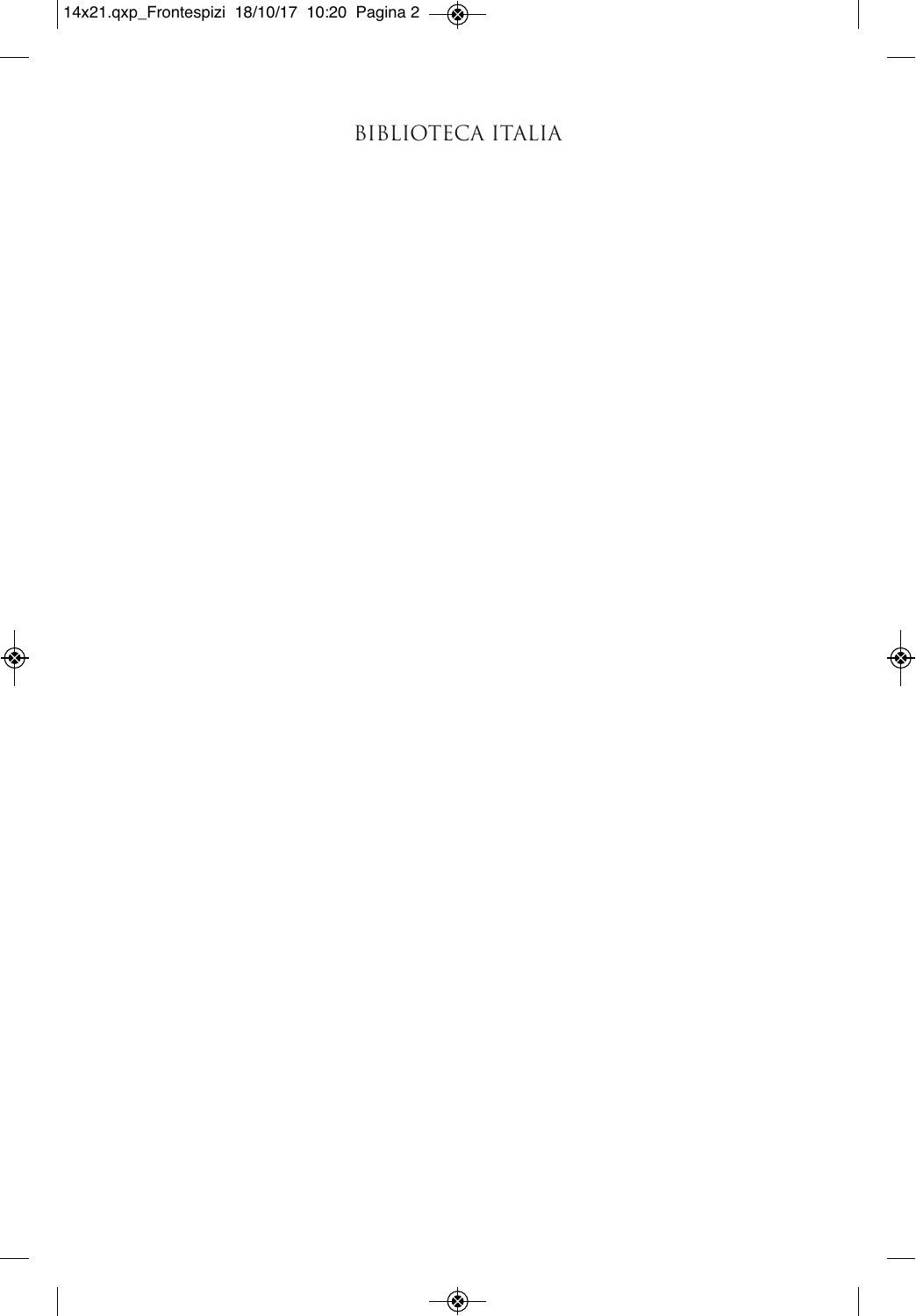# BIBLIOTECA ITALIA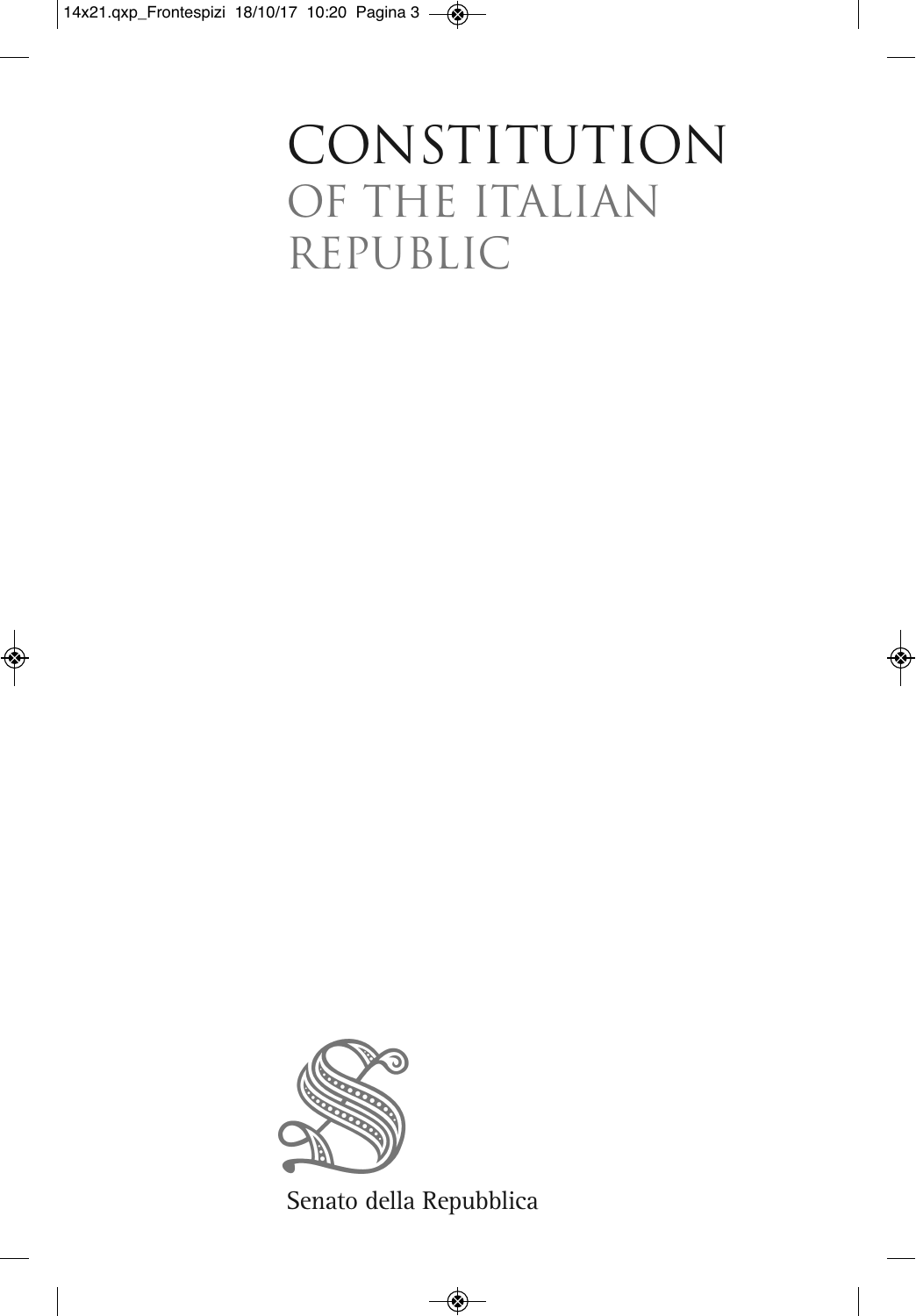# CONSTITUTION OF THE ITALIAN REPUBLIC



Senato della Repubblica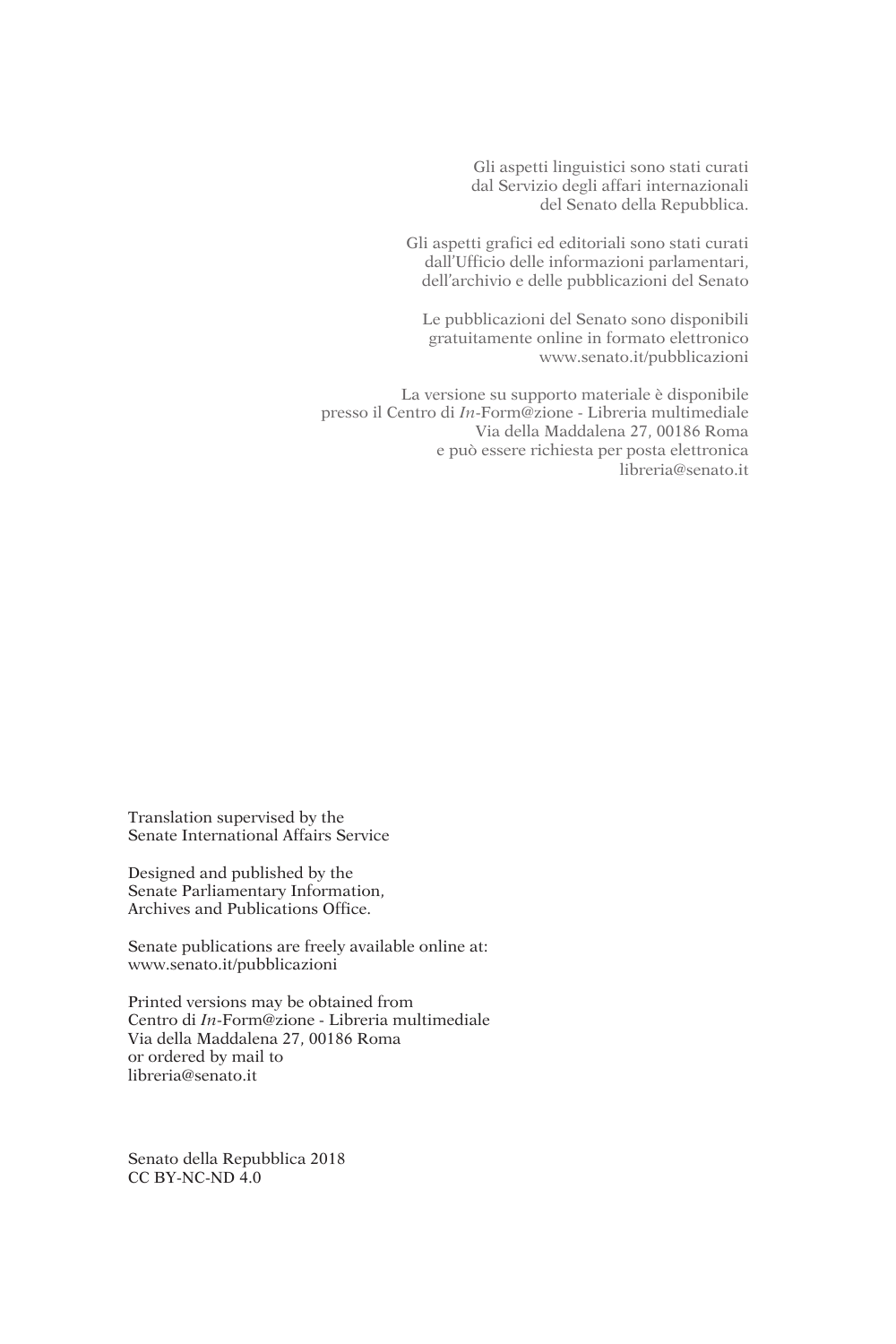Gli aspetti linguistici sono stati curati dal Servizio degli affari internazionali del Senato della Repubblica.

Gli aspetti grafici ed editoriali sono stati curati dall'Ufficio delle informazioni parlamentari, dell'archivio e delle pubblicazioni del Senato

Le pubblicazioni del Senato sono disponibili gratuitamente online in formato elettronico www.senato.it/pubblicazioni

La versione su supporto materiale è disponibile presso il Centro di *In*-Form@zione - Libreria multimediale Via della Maddalena 27, 00186 Roma e può essere richiesta per posta elettronica libreria@senato.it

Translation supervised by the Senate International Affairs Service

Designed and published by the Senate Parliamentary Information, Archives and Publications Office.

Senate publications are freely available online at: www.senato.it/pubblicazioni

Printed versions may be obtained from Centro di *In*-Form@zione - Libreria multimediale Via della Maddalena 27, 00186 Roma or ordered by mail to libreria@senato.it

Senato della Repubblica 2018 CC BY-NC-ND 4.0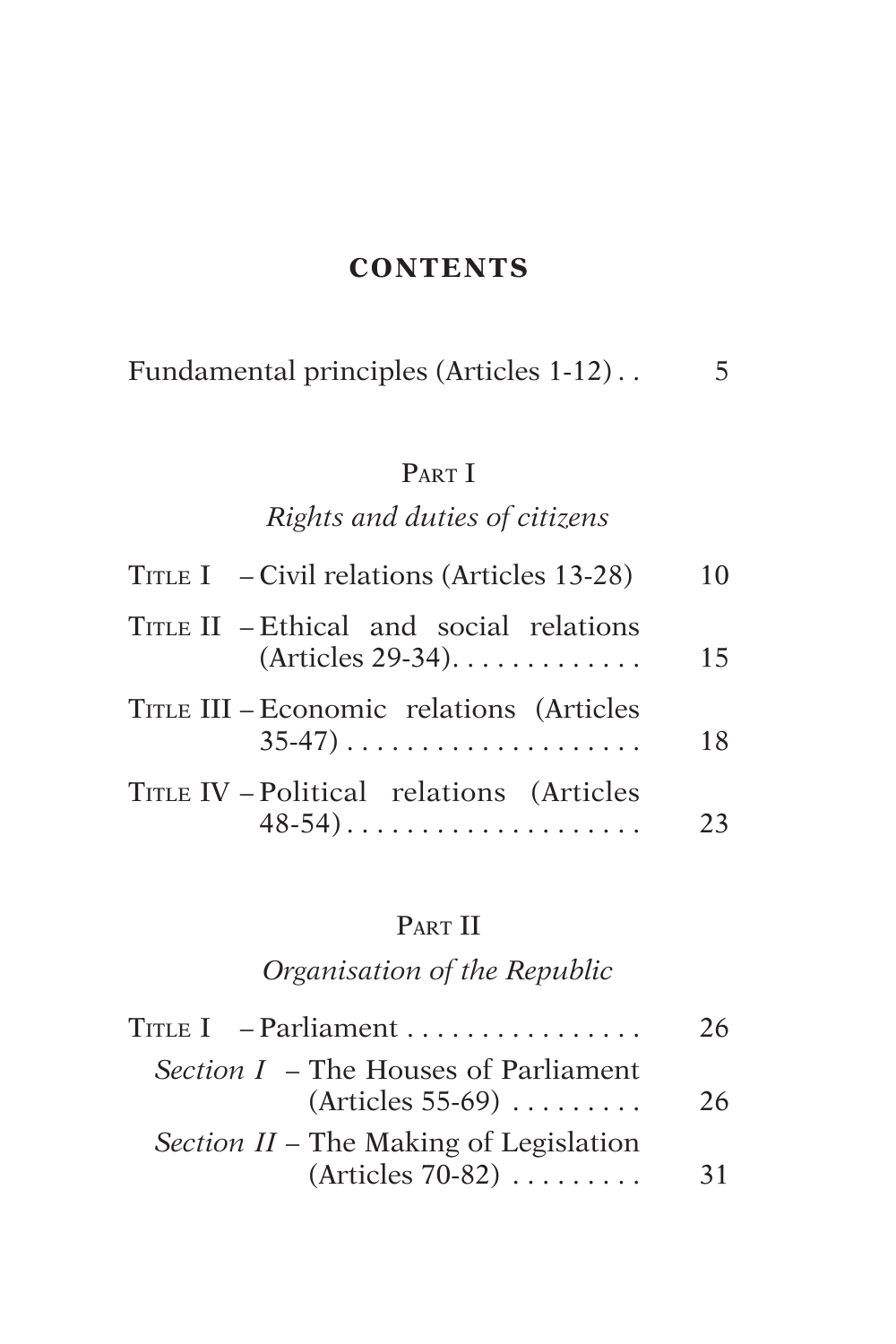## **CONTENTS**

|  |  | Fundamental principles (Articles 1-12) |  |
|--|--|----------------------------------------|--|
|--|--|----------------------------------------|--|

# PART I

# *Rights and duties of citizens*

| TITLE I $-$ Civil relations (Articles 13-28)                  | 10 |
|---------------------------------------------------------------|----|
| TITLE II – Ethical and social relations<br>$(Articles 29-34)$ | 15 |
| TITLE III – Economic relations (Articles<br>$35-47)$          | 18 |
| TITLE IV - Political relations (Articles<br>$48-54)$          | フス |

# PART II

# *Organisation of the Republic*

| $\text{True I}$ - Parliament                                                    | 26 |
|---------------------------------------------------------------------------------|----|
| <i>Section I – The Houses of Parliament</i><br>$(Articles 55-69) \ldots \ldots$ | 26 |
| Section II – The Making of Legislation                                          |    |
| $(Articles 70-82) \dots \dots$                                                  | 31 |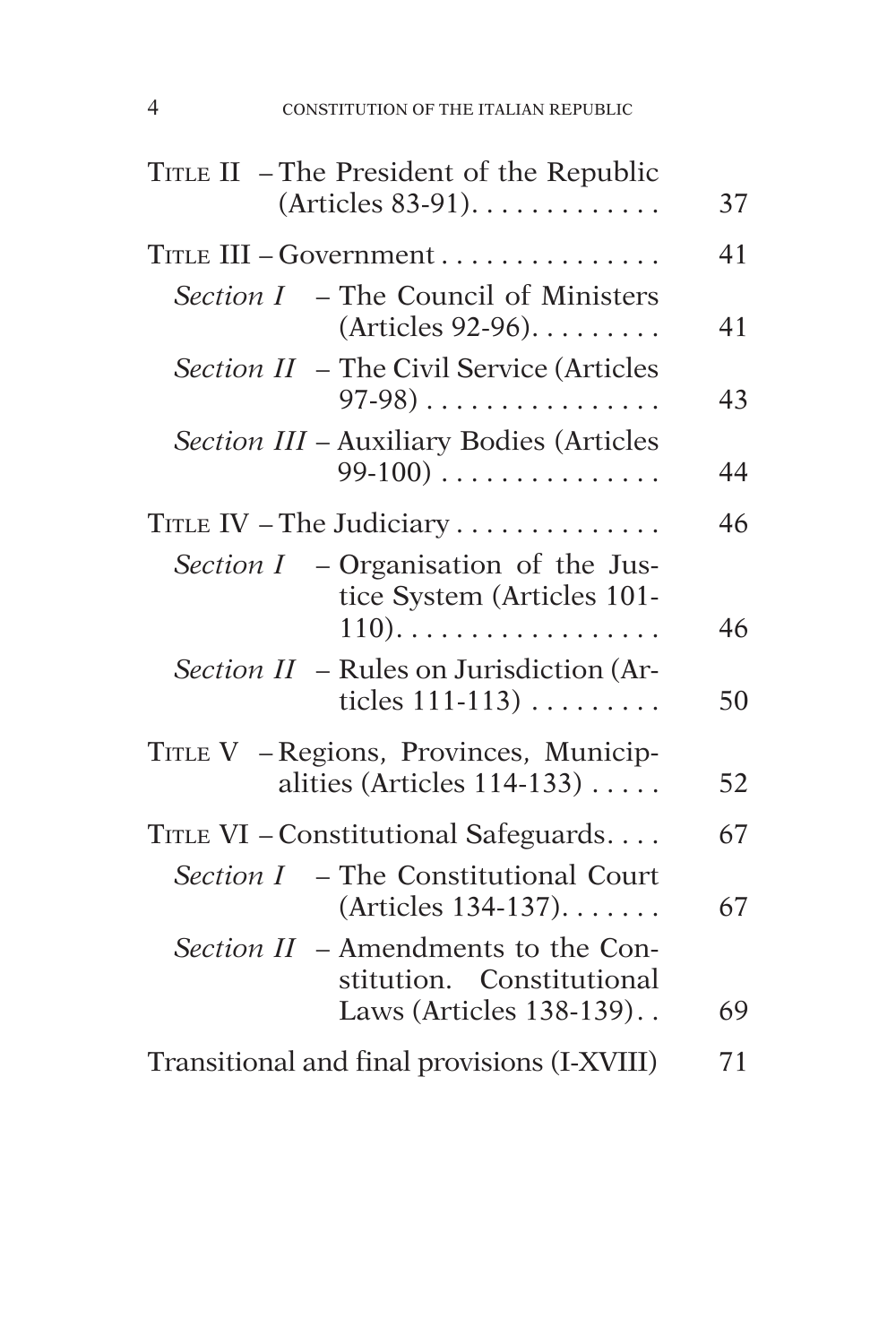| TITLE II – The President of the Republic                                                    |    |
|---------------------------------------------------------------------------------------------|----|
| $(Articles 83-91).$                                                                         | 37 |
| TITLE III - Government                                                                      |    |
| Section I - The Council of Ministers<br>(Articles 92-96).                                   | 41 |
| Section II - The Civil Service (Articles<br>$97-98)$                                        | 43 |
| Section III - Auxiliary Bodies (Articles<br>$99-100)$                                       | 44 |
| TITLE IV - The Judiciary                                                                    |    |
| Section $I$ – Organisation of the Jus-<br>tice System (Articles 101-<br>$110)$              | 46 |
| <i>Section II</i> – Rules on Jurisdiction (Ar-<br>ticles $111-113$ )                        | 50 |
| TITLE V - Regions, Provinces, Municip-<br>alities (Articles 114-133)                        | 52 |
| TITLE VI - Constitutional Safeguards                                                        |    |
| Section I - The Constitutional Court<br>(Articles 134-137).                                 | 67 |
| Section II - Amendments to the Con-<br>stitution. Constitutional<br>Laws (Articles 138-139) | 69 |
| Transitional and final provisions (I-XVIII)                                                 |    |
|                                                                                             |    |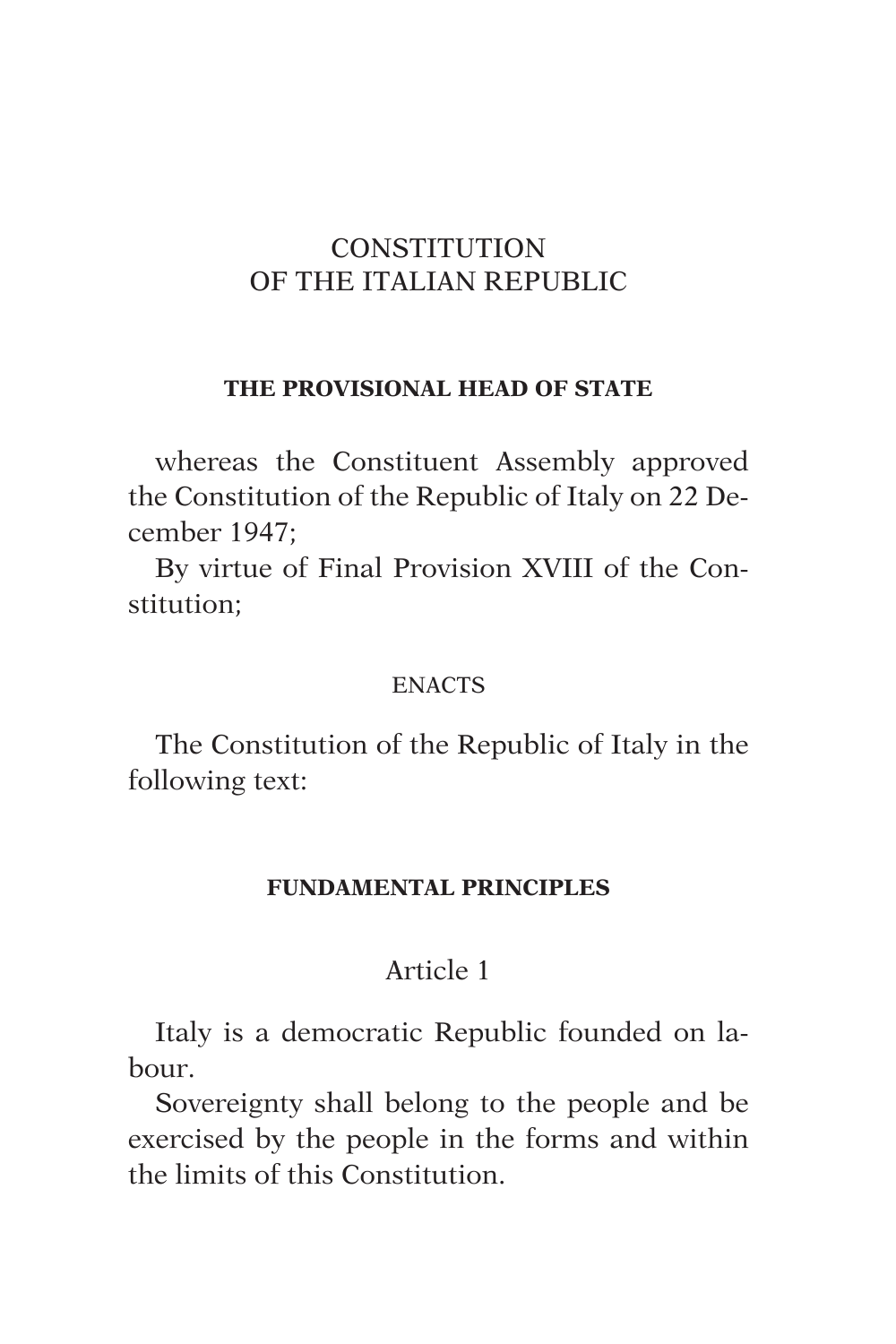## **CONSTITUTION** OF THE ITALIAN REPUBLIC

#### **THE PROVISIONAL HEAD OF STATE**

whereas the Constituent Assembly approved the Constitution of the Republic of Italy on 22 December 1947;

By virtue of Final Provision XVIII of the Constitution;

#### **ENACTS**

The Constitution of the Republic of Italy in the following text:

#### **FUNDAMENTAL PRINCIPLES**

## Article 1

Italy is a democratic Republic founded on labour.

Sovereignty shall belong to the people and be exercised by the people in the forms and within the limits of this Constitution.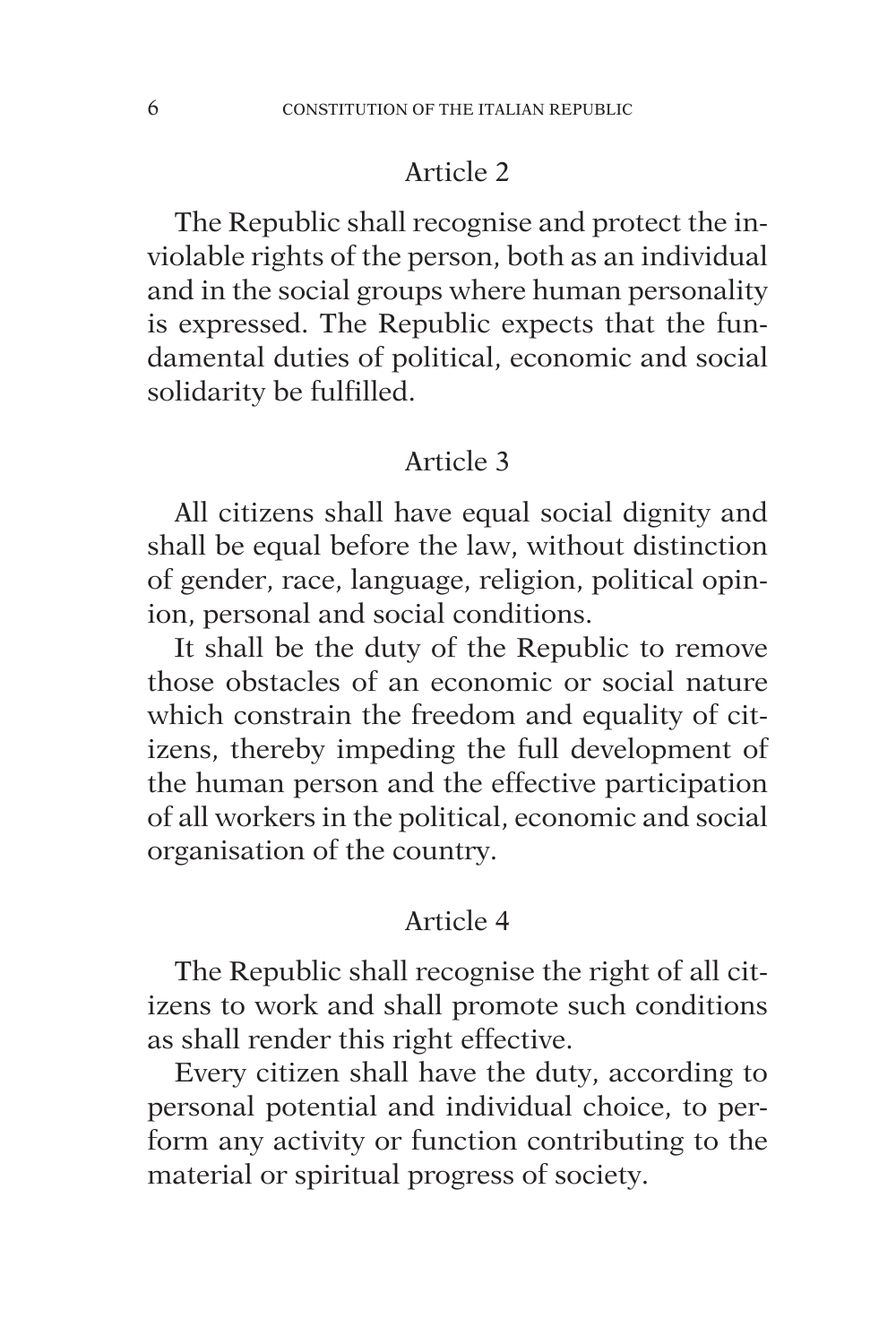The Republic shall recognise and protect the inviolable rights of the person, both as an individual and in the social groups where human personality is expressed. The Republic expects that the fundamental duties of political, economic and social solidarity be fulfilled.

#### Article 3

All citizens shall have equal social dignity and shall be equal before the law, without distinction of gender, race, language, religion, political opinion, personal and social conditions.

It shall be the duty of the Republic to remove those obstacles of an economic or social nature which constrain the freedom and equality of citizens, thereby impeding the full development of the human person and the effective participation of all workers in the political, economic and social organisation of the country.

#### Article 4

The Republic shall recognise the right of all citizens to work and shall promote such conditions as shall render this right effective.

Every citizen shall have the duty, according to personal potential and individual choice, to perform any activity or function contributing to the material or spiritual progress of society.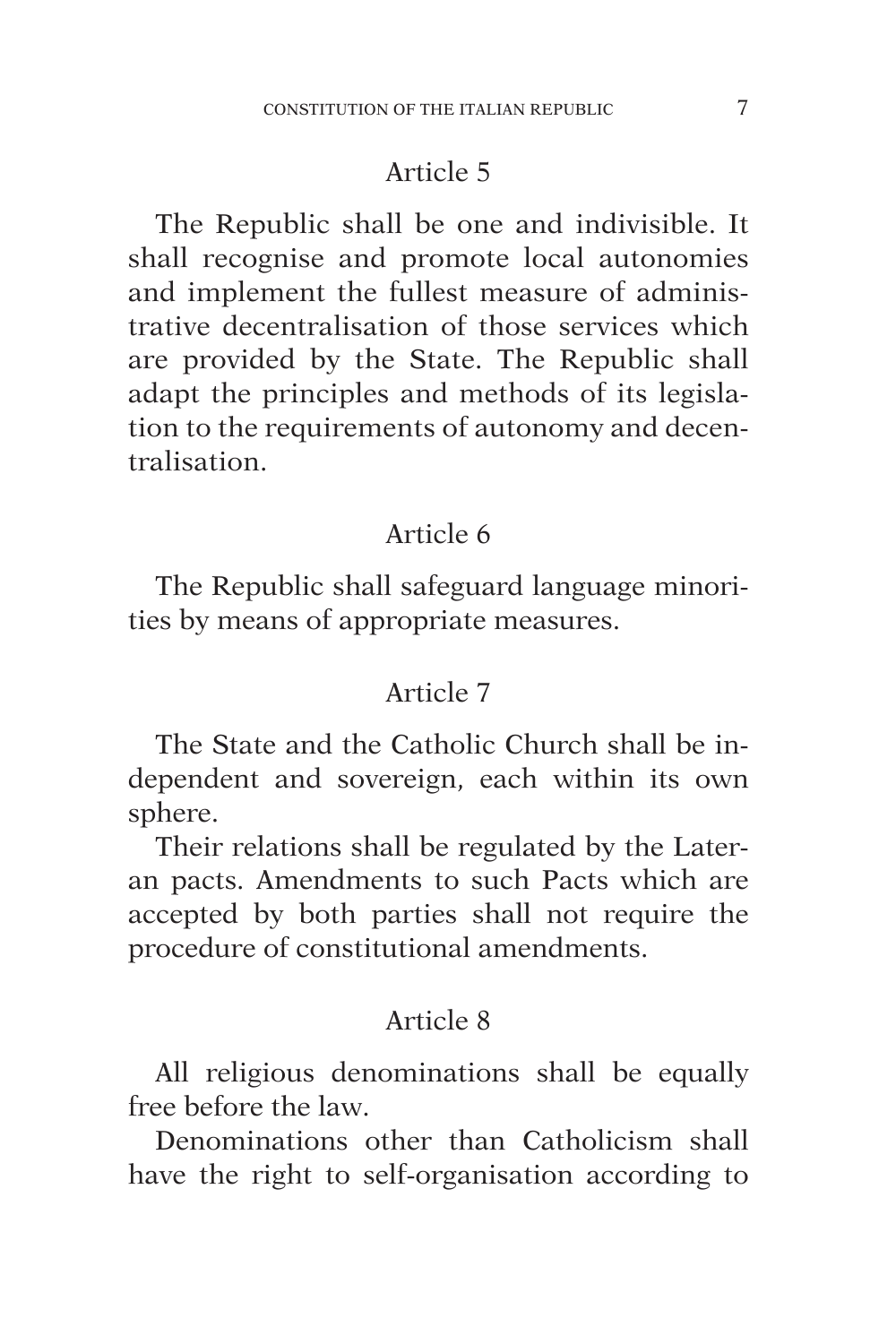The Republic shall be one and indivisible. It shall recognise and promote local autonomies and implement the fullest measure of administrative decentralisation of those services which are provided by the State. The Republic shall adapt the principles and methods of its legislation to the requirements of autonomy and decentralisation.

#### Article 6

The Republic shall safeguard language minorities by means of appropriate measures.

## Article 7

The State and the Catholic Church shall be independent and sovereign, each within its own sphere.

Their relations shall be regulated by the Lateran pacts. Amendments to such Pacts which are accepted by both parties shall not require the procedure of constitutional amendments.

#### Article 8

All religious denominations shall be equally free before the law.

Denominations other than Catholicism shall have the right to self-organisation according to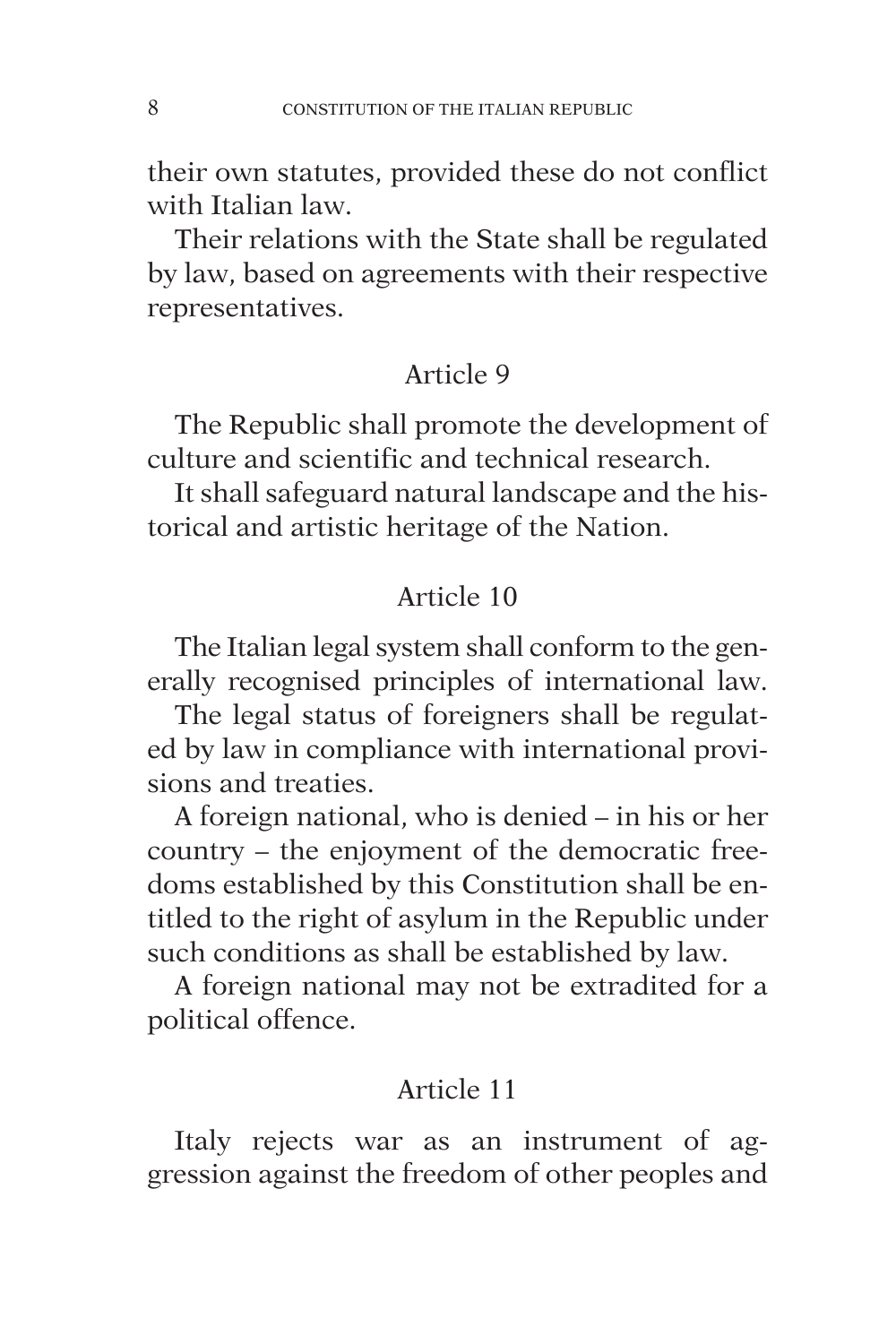their own statutes, provided these do not conflict with Italian law.

Their relations with the State shall be regulated by law, based on agreements with their respective representatives.

## Article 9

The Republic shall promote the development of culture and scientific and technical research.

It shall safeguard natural landscape and the historical and artistic heritage of the Nation.

## Article 10

The Italian legal system shall conform to the generally recognised principles of international law.

The legal status of foreigners shall be regulated by law in compliance with international provisions and treaties.

A foreign national, who is denied – in his or her country – the enjoyment of the democratic freedoms established by this Constitution shall be entitled to the right of asylum in the Republic under such conditions as shall be established by law.

A foreign national may not be extradited for a political offence.

## Article 11

Italy rejects war as an instrument of aggression against the freedom of other peoples and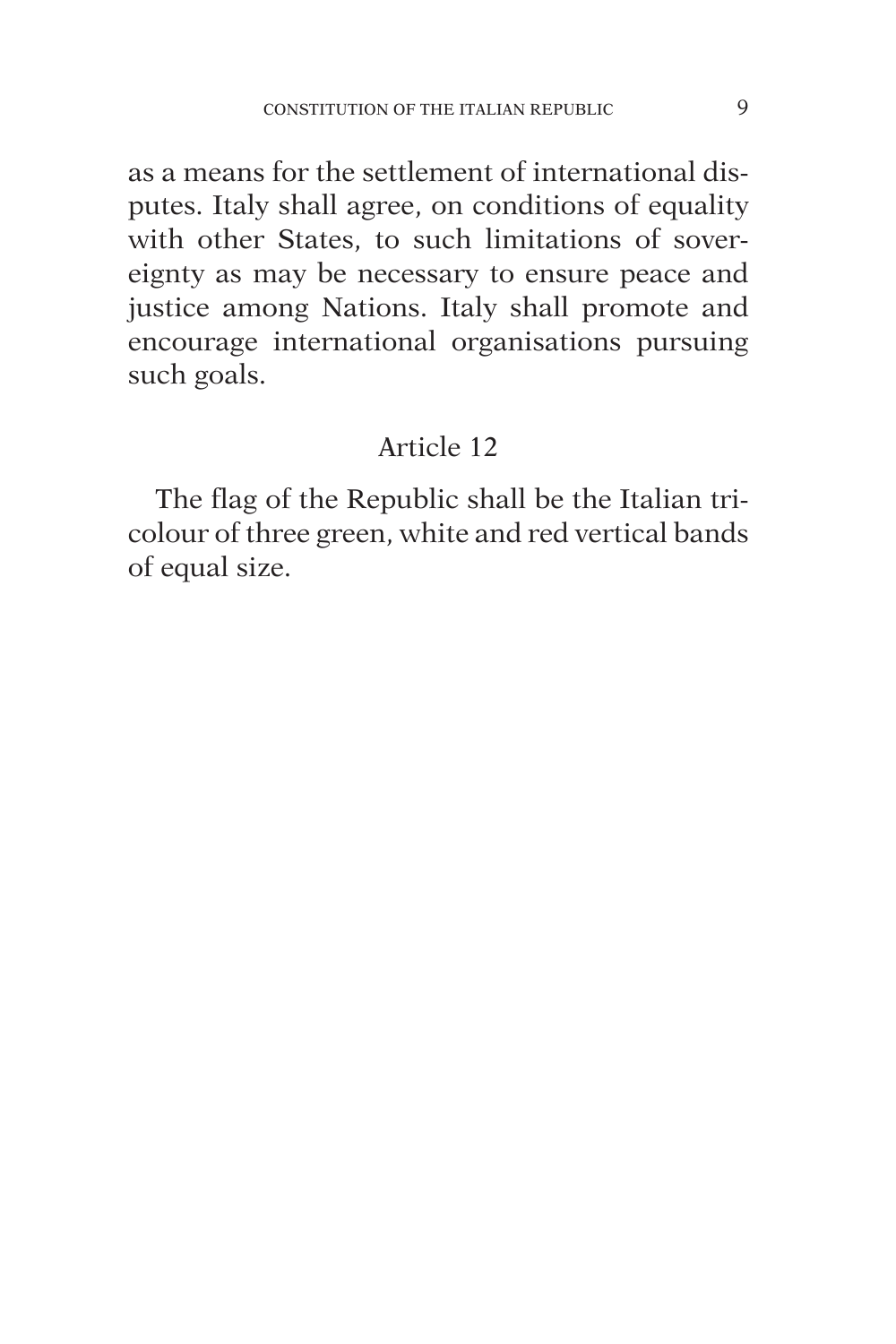as a means for the settlement of international disputes. Italy shall agree, on conditions of equality with other States, to such limitations of sovereignty as may be necessary to ensure peace and justice among Nations. Italy shall promote and encourage international organisations pursuing such goals.

## Article 12

The flag of the Republic shall be the Italian tricolour of three green, white and red vertical bands of equal size.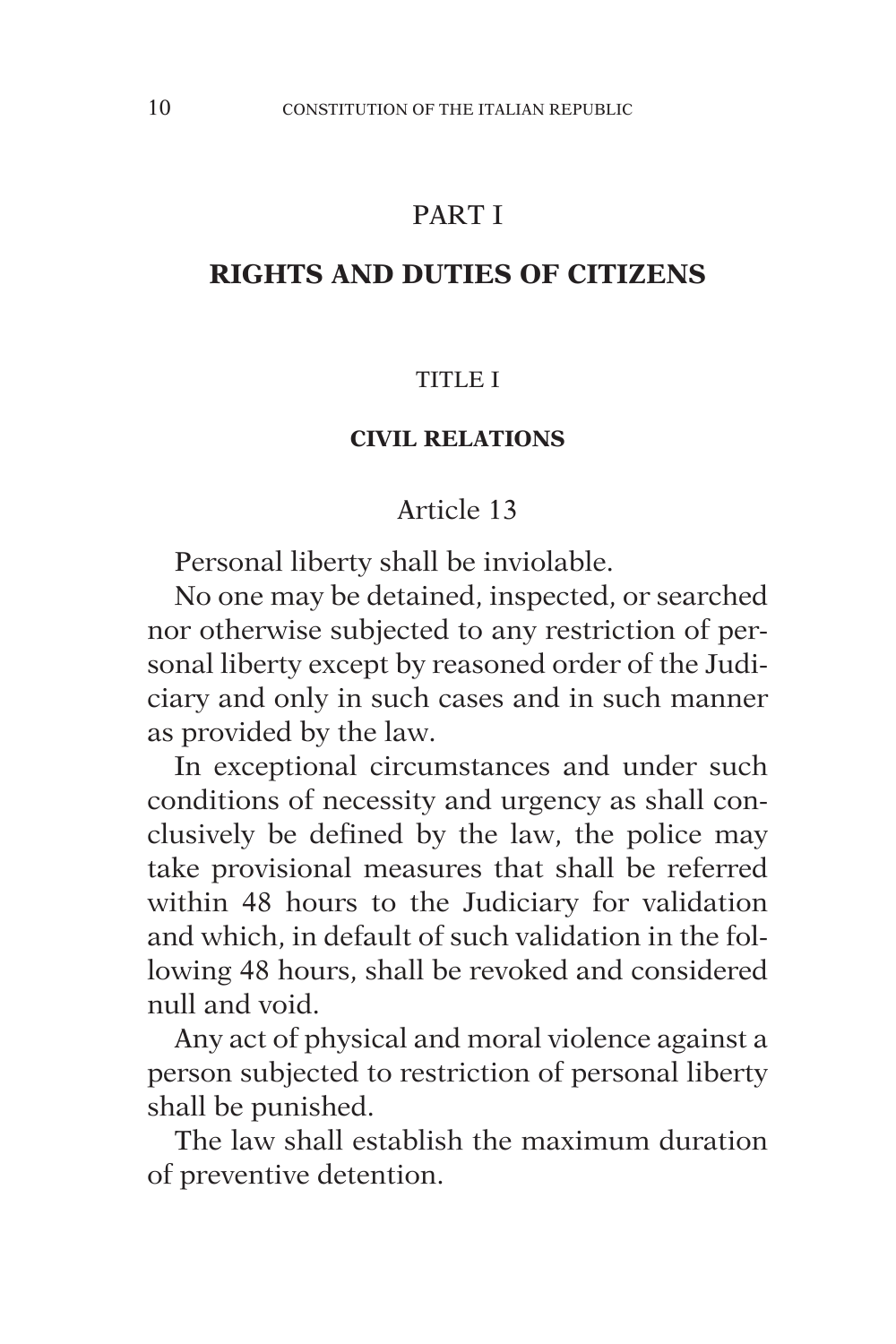## PART I

#### **RIGHTS AND DUTIES OF CITIZENS**

#### TITLE I

#### **CIVIL RELATIONS**

#### Article 13

Personal liberty shall be inviolable.

No one may be detained, inspected, or searched nor otherwise subjected to any restriction of personal liberty except by reasoned order of the Judiciary and only in such cases and in such manner as provided by the law.

In exceptional circumstances and under such conditions of necessity and urgency as shall conclusively be defined by the law, the police may take provisional measures that shall be referred within 48 hours to the Judiciary for validation and which, in default of such validation in the following 48 hours, shall be revoked and considered null and void.

Any act of physical and moral violence against a person subjected to restriction of personal liberty shall be punished.

The law shall establish the maximum duration of preventive detention.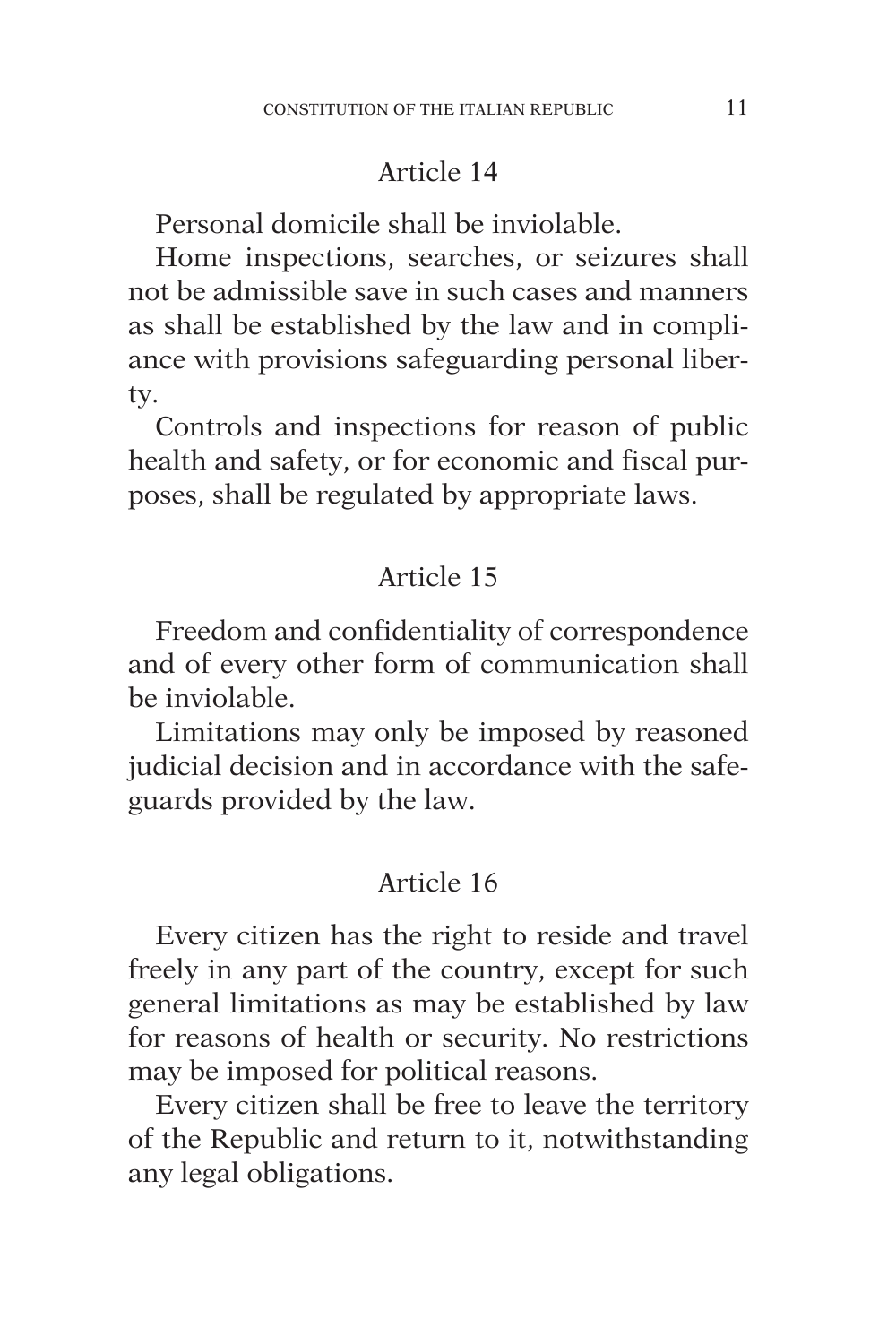Personal domicile shall be inviolable.

Home inspections, searches, or seizures shall not be admissible save in such cases and manners as shall be established by the law and in compliance with provisions safeguarding personal liberty.

Controls and inspections for reason of public health and safety, or for economic and fiscal purposes, shall be regulated by appropriate laws.

## Article 15

Freedom and confidentiality of correspondence and of every other form of communication shall be inviolable.

Limitations may only be imposed by reasoned judicial decision and in accordance with the safeguards provided by the law.

## Article 16

Every citizen has the right to reside and travel freely in any part of the country, except for such general limitations as may be established by law for reasons of health or security. No restrictions may be imposed for political reasons.

Every citizen shall be free to leave the territory of the Republic and return to it, notwithstanding any legal obligations.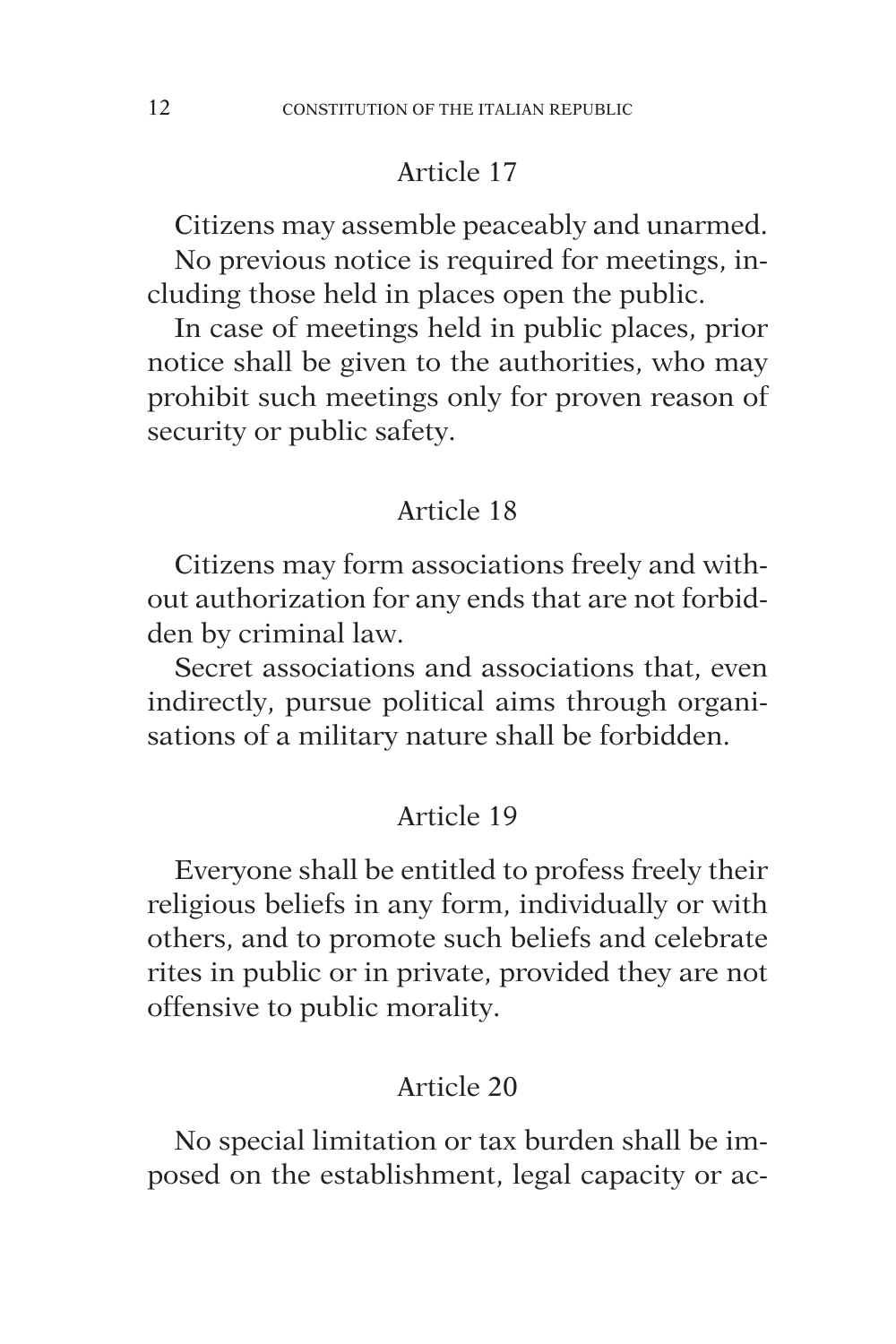Citizens may assemble peaceably and unarmed.

No previous notice is required for meetings, including those held in places open the public.

In case of meetings held in public places, prior notice shall be given to the authorities, who may prohibit such meetings only for proven reason of security or public safety.

# Article 18

Citizens may form associations freely and without authorization for any ends that are not forbidden by criminal law.

Secret associations and associations that, even indirectly, pursue political aims through organisations of a military nature shall be forbidden.

## Article 19

Everyone shall be entitled to profess freely their religious beliefs in any form, individually or with others, and to promote such beliefs and celebrate rites in public or in private, provided they are not offensive to public morality.

## Article 20

No special limitation or tax burden shall be imposed on the establishment, legal capacity or ac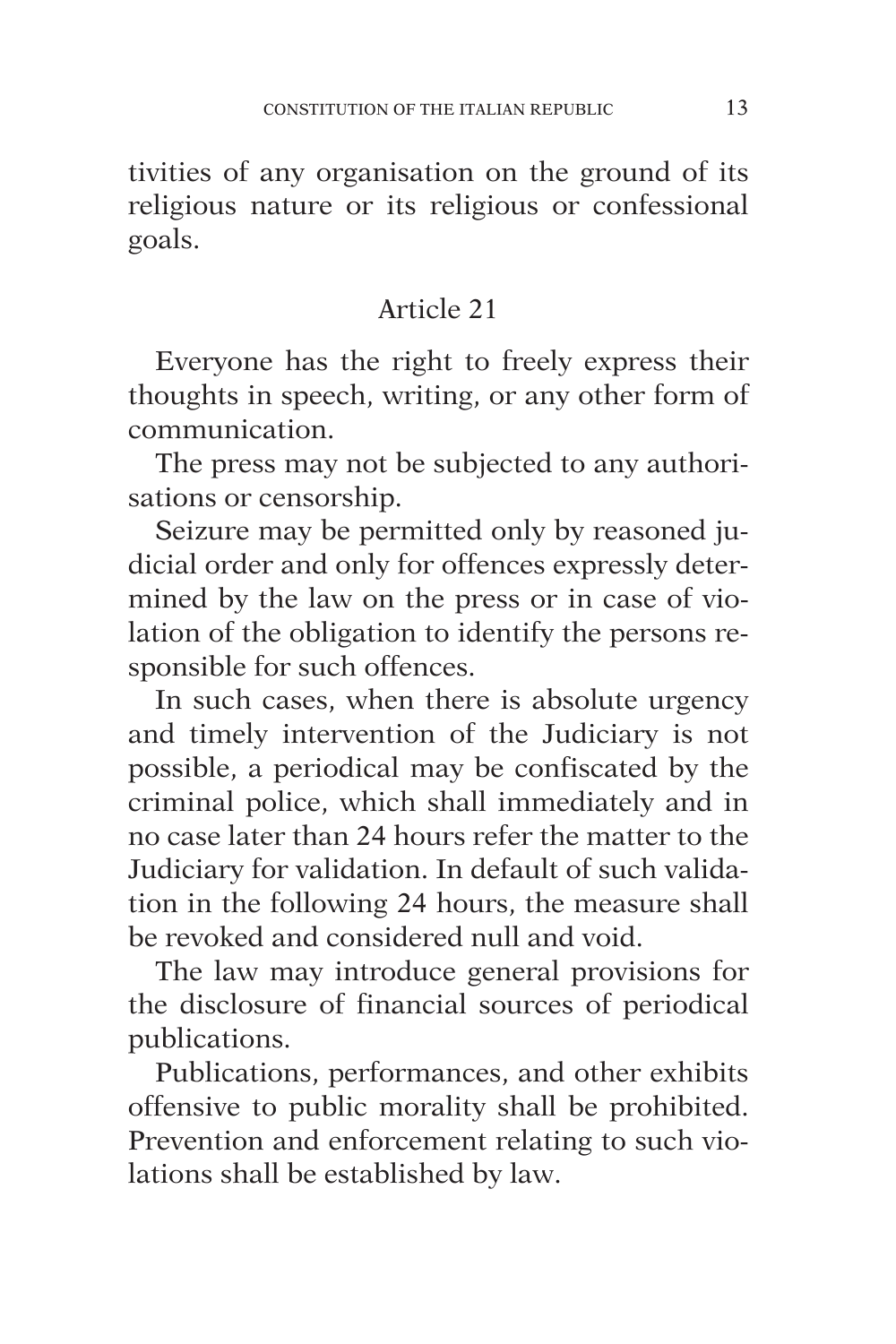tivities of any organisation on the ground of its religious nature or its religious or confessional goals.

## Article 21

Everyone has the right to freely express their thoughts in speech, writing, or any other form of communication.

The press may not be subjected to any authorisations or censorship.

Seizure may be permitted only by reasoned judicial order and only for offences expressly determined by the law on the press or in case of violation of the obligation to identify the persons responsible for such offences.

In such cases, when there is absolute urgency and timely intervention of the Judiciary is not possible, a periodical may be confiscated by the criminal police, which shall immediately and in no case later than 24 hours refer the matter to the Judiciary for validation. In default of such validation in the following 24 hours, the measure shall be revoked and considered null and void.

The law may introduce general provisions for the disclosure of financial sources of periodical publications.

Publications, performances, and other exhibits offensive to public morality shall be prohibited. Prevention and enforcement relating to such violations shall be established by law.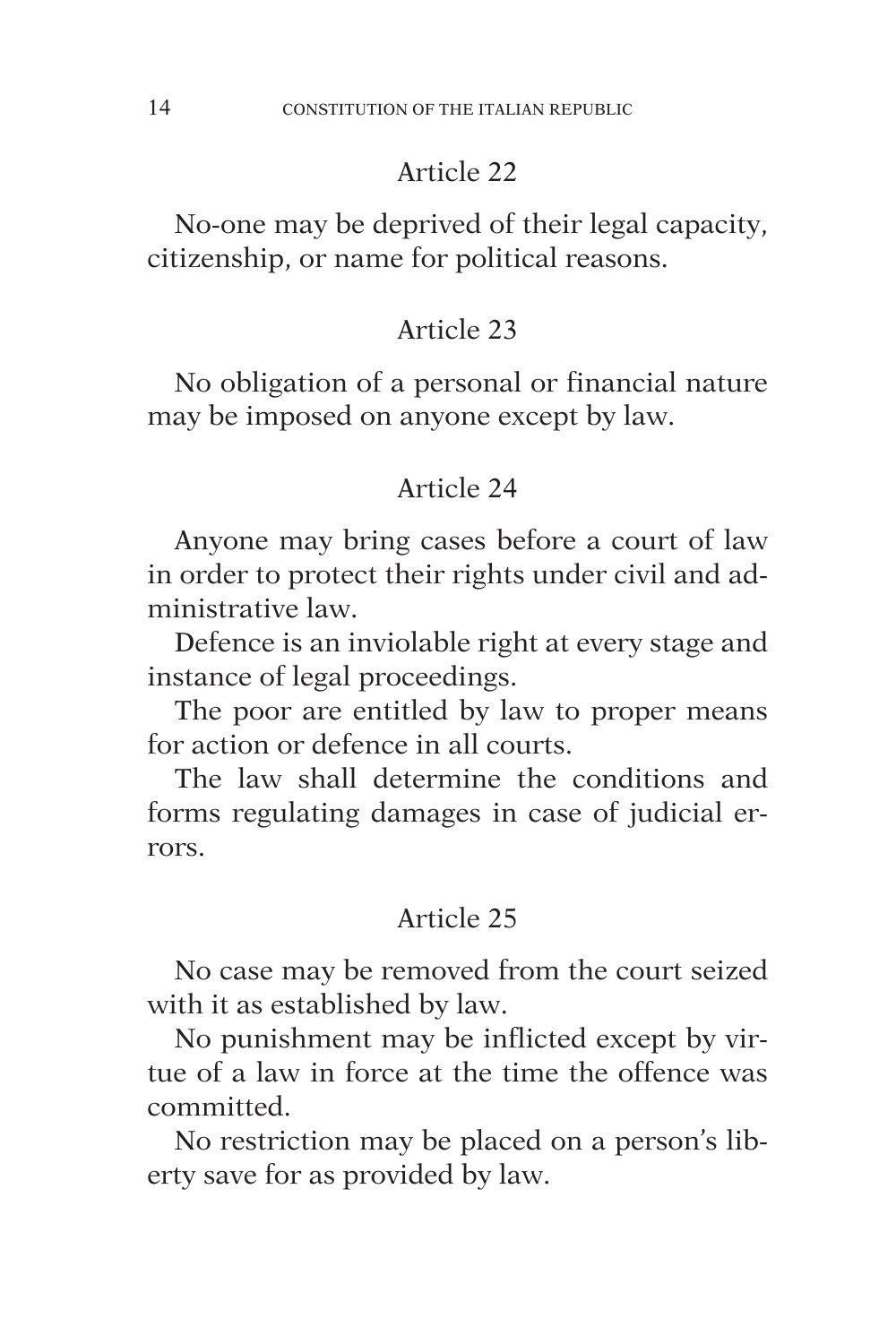No-one may be deprived of their legal capacity, citizenship, or name for political reasons.

## Article 23

No obligation of a personal or financial nature may be imposed on anyone except by law.

## Article 24

Anyone may bring cases before a court of law in order to protect their rights under civil and administrative law.

Defence is an inviolable right at every stage and instance of legal proceedings.

The poor are entitled by law to proper means for action or defence in all courts.

The law shall determine the conditions and forms regulating damages in case of judicial errors.

## Article 25

No case may be removed from the court seized with it as established by law.

No punishment may be inflicted except by virtue of a law in force at the time the offence was committed.

No restriction may be placed on a person's liberty save for as provided by law.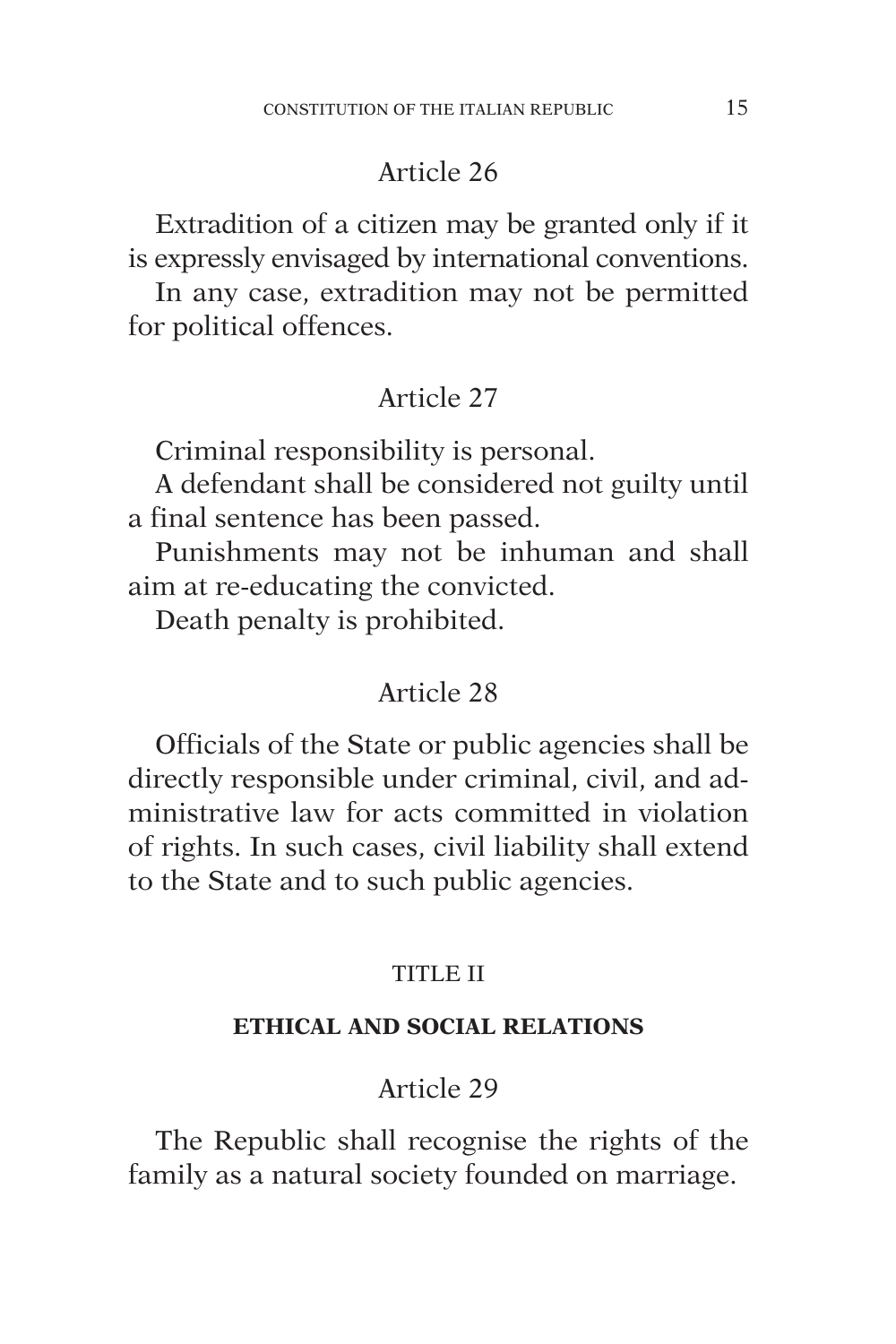Extradition of a citizen may be granted only if it is expressly envisaged by international conventions.

In any case, extradition may not be permitted for political offences.

## Article 27

Criminal responsibility is personal.

A defendant shall be considered not guilty until a final sentence has been passed.

Punishments may not be inhuman and shall aim at re-educating the convicted.

Death penalty is prohibited.

#### Article 28

Officials of the State or public agencies shall be directly responsible under criminal, civil, and administrative law for acts committed in violation of rights. In such cases, civil liability shall extend to the State and to such public agencies.

#### TITLE II

#### **ETHICAL AND SOCIAL RELATIONS**

## Article 29

The Republic shall recognise the rights of the family as a natural society founded on marriage.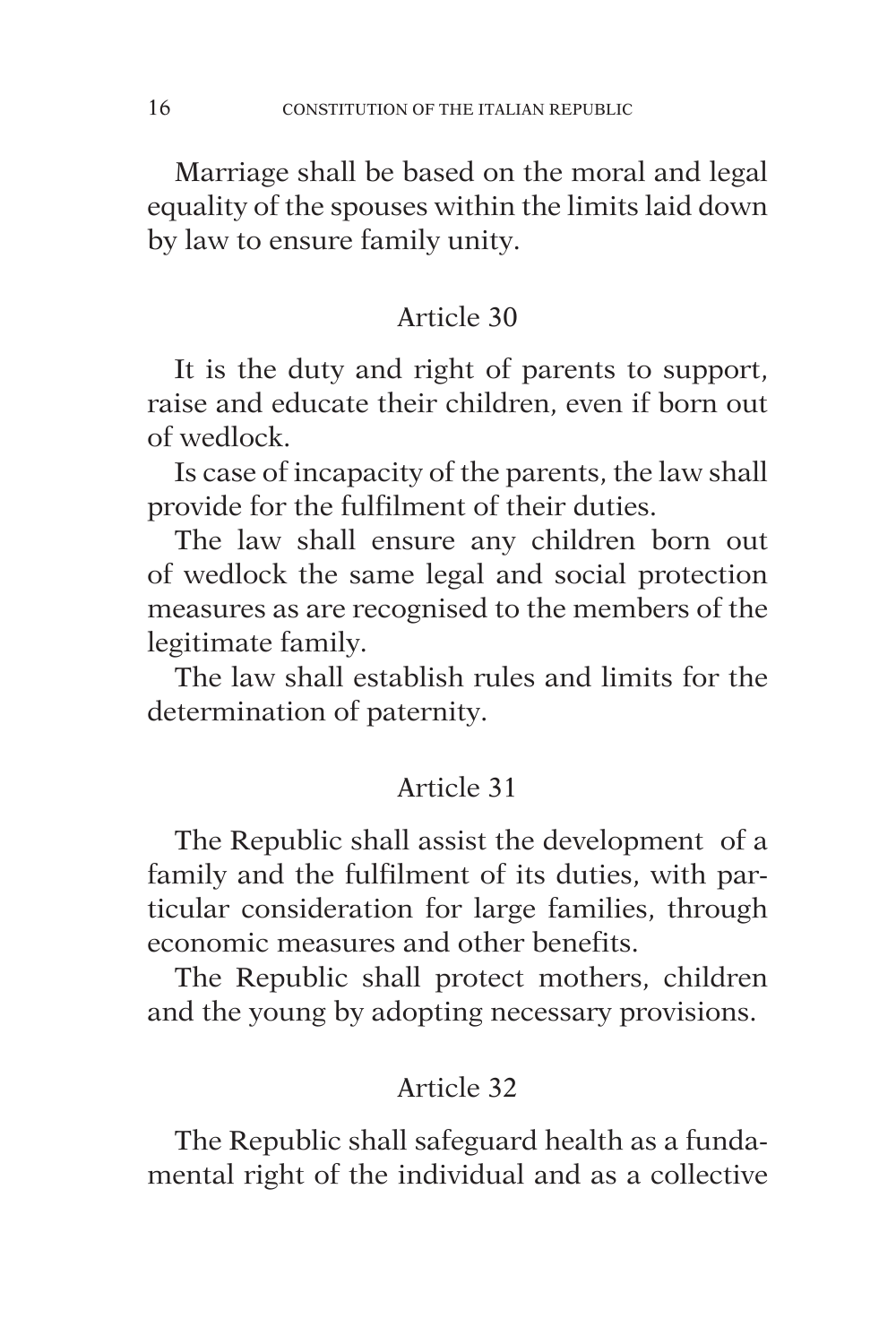Marriage shall be based on the moral and legal equality of the spouses within the limits laid down by law to ensure family unity.

## Article 30

It is the duty and right of parents to support, raise and educate their children, even if born out of wedlock.

Is case of incapacity of the parents, the law shall provide for the fulfilment of their duties.

The law shall ensure any children born out of wedlock the same legal and social protection measures as are recognised to the members of the legitimate family.

The law shall establish rules and limits for the determination of paternity.

## Article 31

The Republic shall assist the development of a family and the fulfilment of its duties, with particular consideration for large families, through economic measures and other benefits.

The Republic shall protect mothers, children and the young by adopting necessary provisions.

## Article 32

The Republic shall safeguard health as a fundamental right of the individual and as a collective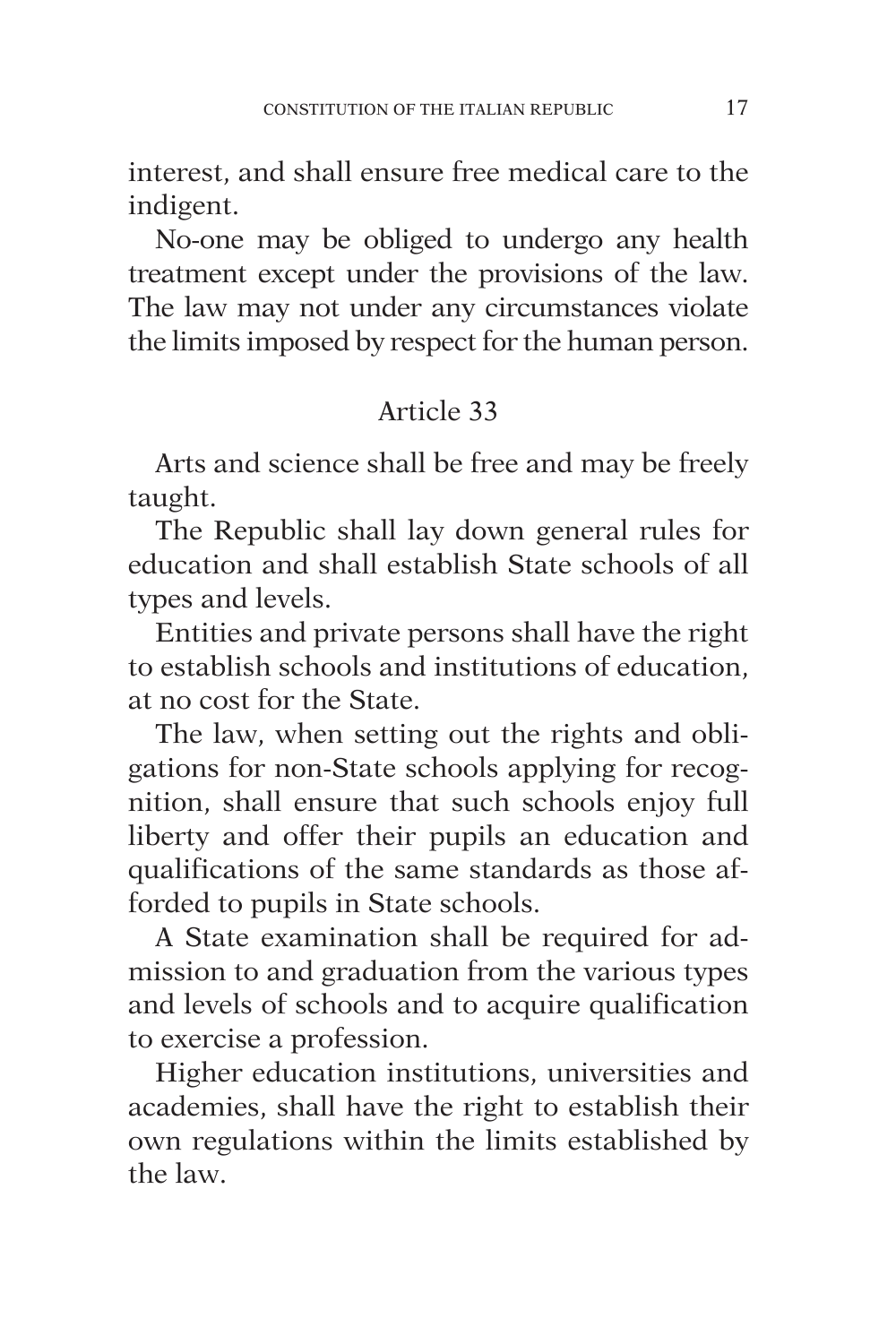interest, and shall ensure free medical care to the indigent.

No-one may be obliged to undergo any health treatment except under the provisions of the law. The law may not under any circumstances violate the limits imposed by respect for the human person.

# Article 33

Arts and science shall be free and may be freely taught.

The Republic shall lay down general rules for education and shall establish State schools of all types and levels.

Entities and private persons shall have the right to establish schools and institutions of education, at no cost for the State.

The law, when setting out the rights and obligations for non-State schools applying for recognition, shall ensure that such schools enjoy full liberty and offer their pupils an education and qualifications of the same standards as those afforded to pupils in State schools.

A State examination shall be required for admission to and graduation from the various types and levels of schools and to acquire qualification to exercise a profession.

Higher education institutions, universities and academies, shall have the right to establish their own regulations within the limits established by the law.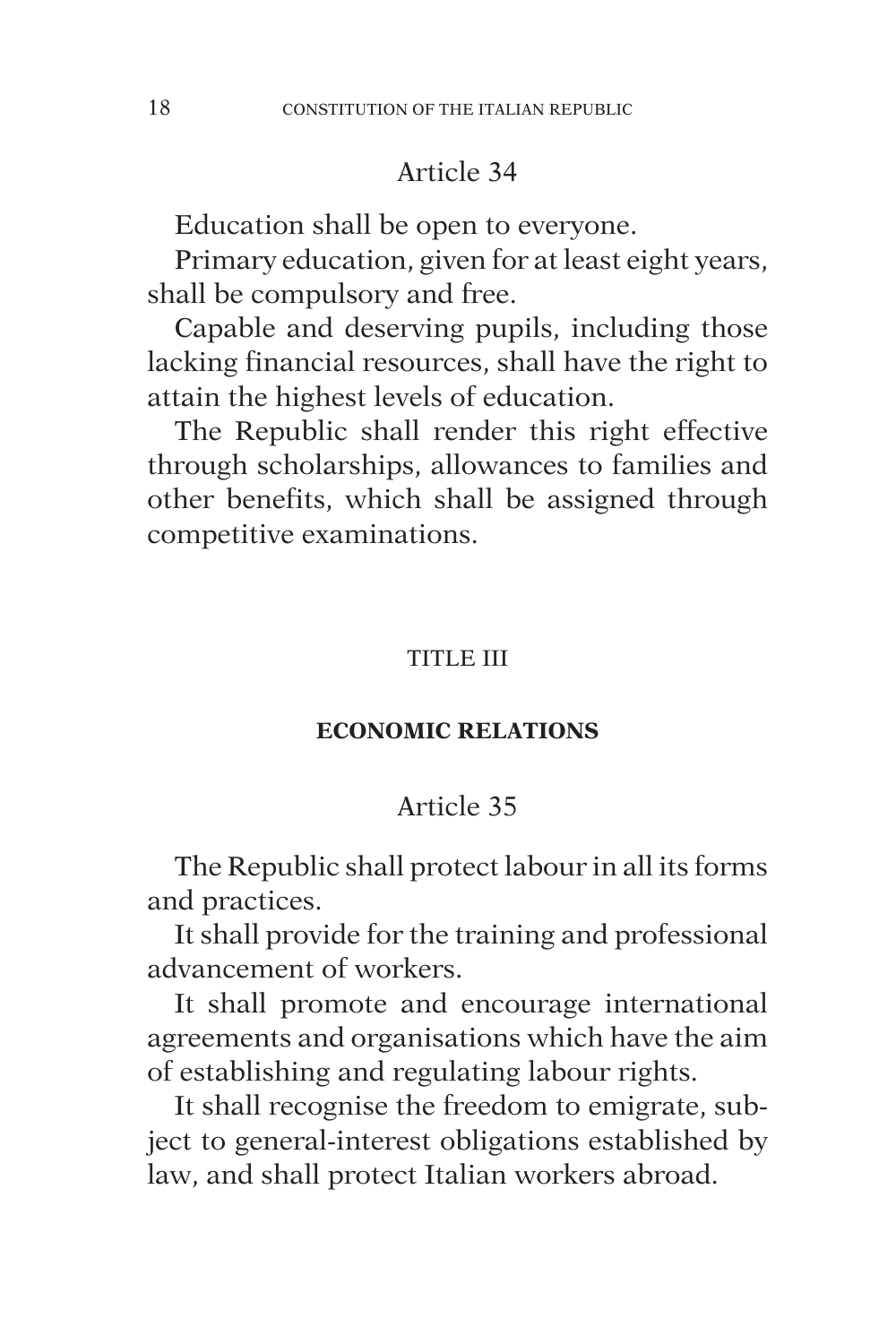Education shall be open to everyone.

Primary education, given for at least eight years, shall be compulsory and free.

Capable and deserving pupils, including those lacking financial resources, shall have the right to attain the highest levels of education.

The Republic shall render this right effective through scholarships, allowances to families and other benefits, which shall be assigned through competitive examinations.

#### TITLE III

#### **ECONOMIC RELATIONS**

#### Article 35

The Republic shall protect labour in all its forms and practices.

It shall provide for the training and professional advancement of workers.

It shall promote and encourage international agreements and organisations which have the aim of establishing and regulating labour rights.

It shall recognise the freedom to emigrate, subject to general-interest obligations established by law, and shall protect Italian workers abroad.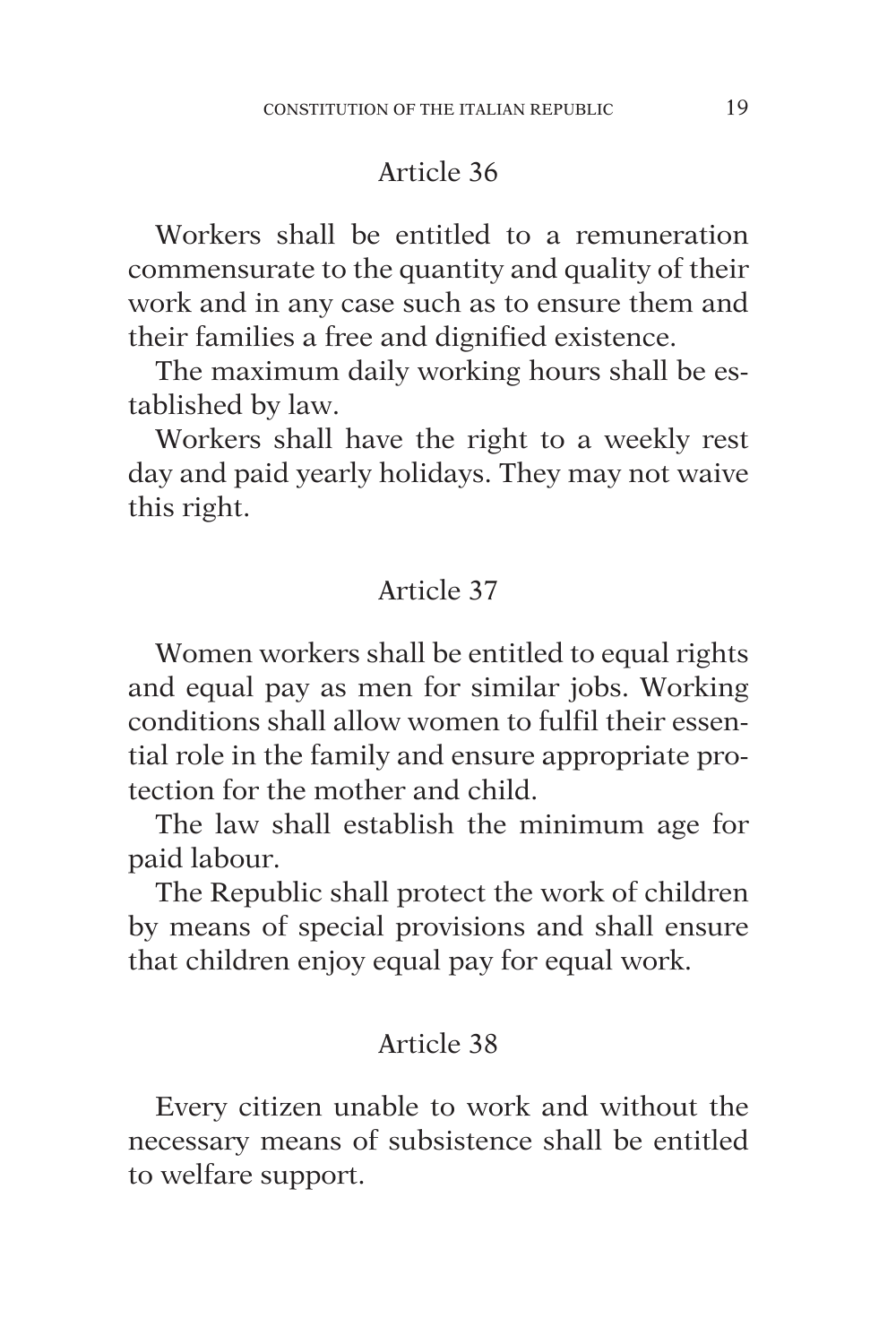Workers shall be entitled to a remuneration commensurate to the quantity and quality of their work and in any case such as to ensure them and their families a free and dignified existence.

The maximum daily working hours shall be established by law.

Workers shall have the right to a weekly rest day and paid yearly holidays. They may not waive this right.

#### Article 37

Women workers shall be entitled to equal rights and equal pay as men for similar jobs. Working conditions shall allow women to fulfil their essential role in the family and ensure appropriate protection for the mother and child.

The law shall establish the minimum age for paid labour.

The Republic shall protect the work of children by means of special provisions and shall ensure that children enjoy equal pay for equal work.

## Article 38

Every citizen unable to work and without the necessary means of subsistence shall be entitled to welfare support.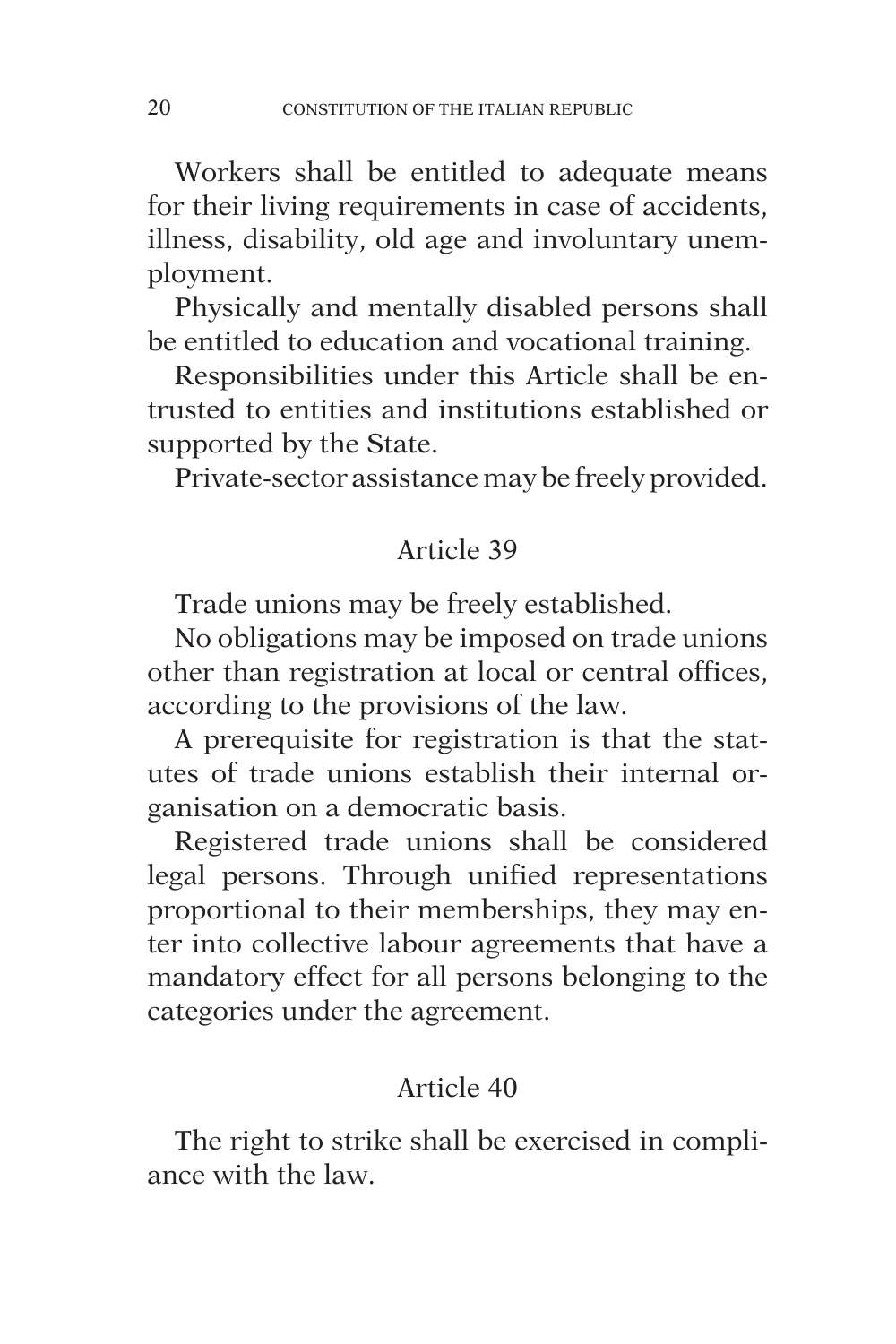Workers shall be entitled to adequate means for their living requirements in case of accidents, illness, disability, old age and involuntary unemployment.

Physically and mentally disabled persons shall be entitled to education and vocational training.

Responsibilities under this Article shall be entrusted to entities and institutions established or supported by the State.

Private-sector assistance may be freely provided.

# Article 39

Trade unions may be freely established.

No obligations may be imposed on trade unions other than registration at local or central offices, according to the provisions of the law.

A prerequisite for registration is that the statutes of trade unions establish their internal organisation on a democratic basis.

Registered trade unions shall be considered legal persons. Through unified representations proportional to their memberships, they may enter into collective labour agreements that have a mandatory effect for all persons belonging to the categories under the agreement.

## Article 40

The right to strike shall be exercised in compliance with the law.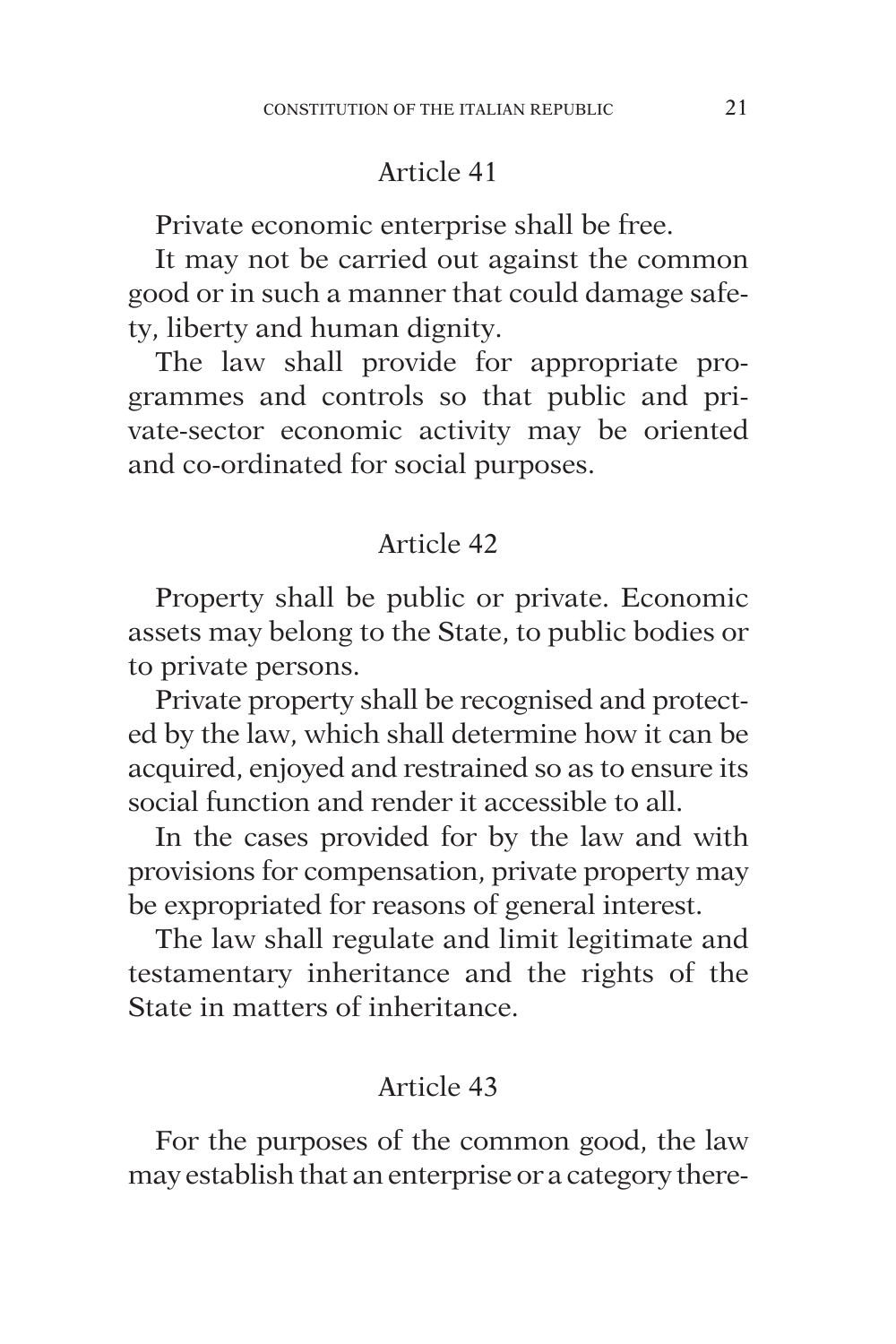Private economic enterprise shall be free.

It may not be carried out against the common good or in such a manner that could damage safety, liberty and human dignity.

The law shall provide for appropriate programmes and controls so that public and private-sector economic activity may be oriented and co-ordinated for social purposes.

## Article 42

Property shall be public or private. Economic assets may belong to the State, to public bodies or to private persons.

Private property shall be recognised and protected by the law, which shall determine how it can be acquired, enjoyed and restrained so as to ensure its social function and render it accessible to all.

In the cases provided for by the law and with provisions for compensation, private property may be expropriated for reasons of general interest.

The law shall regulate and limit legitimate and testamentary inheritance and the rights of the State in matters of inheritance.

## Article 43

For the purposes of the common good, the law may establish that an enterprise or a category there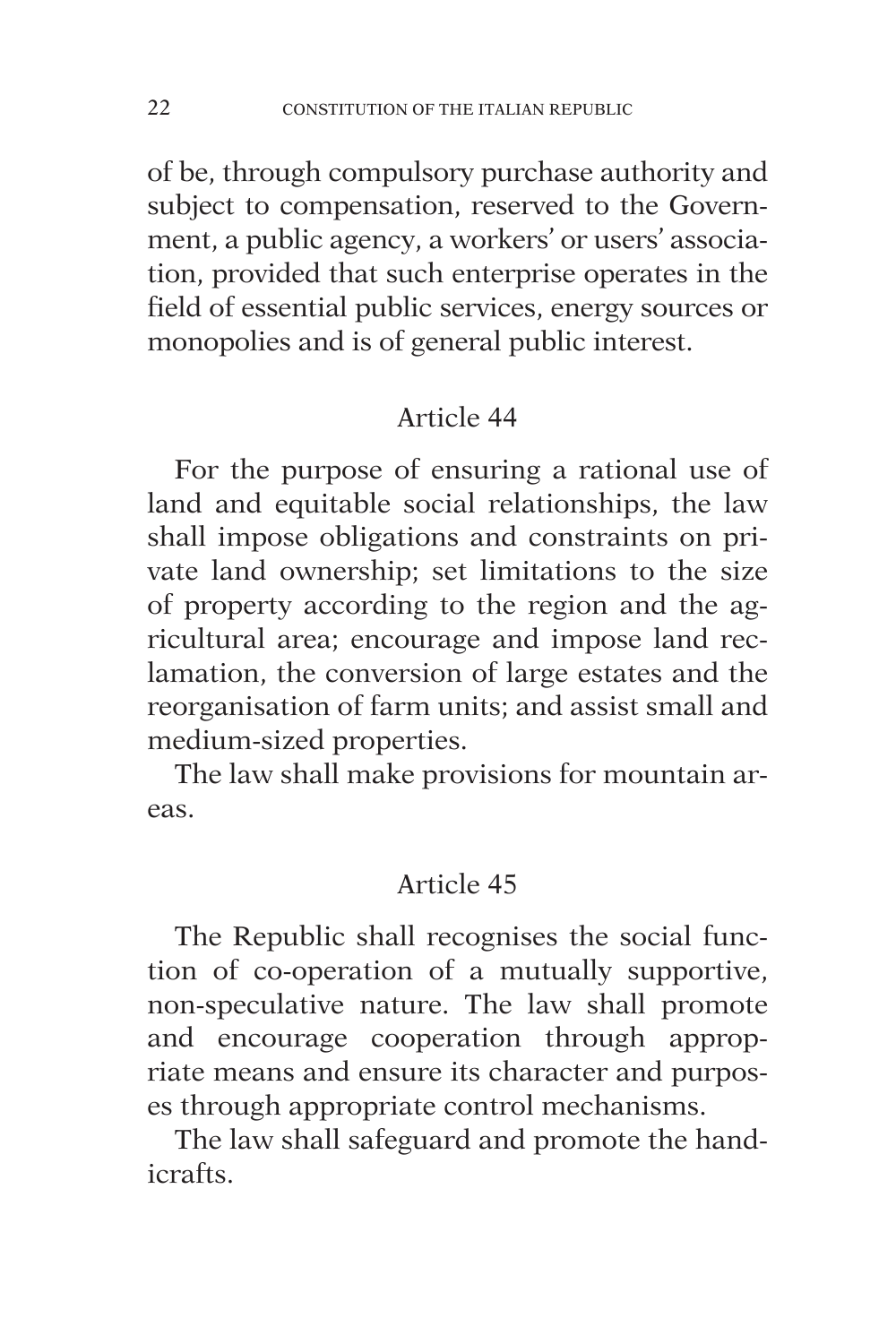of be, through compulsory purchase authority and subject to compensation, reserved to the Government, a public agency, a workers' or users' association, provided that such enterprise operates in the field of essential public services, energy sources or monopolies and is of general public interest.

## Article 44

For the purpose of ensuring a rational use of land and equitable social relationships, the law shall impose obligations and constraints on private land ownership; set limitations to the size of property according to the region and the agricultural area; encourage and impose land reclamation, the conversion of large estates and the reorganisation of farm units; and assist small and medium-sized properties.

The law shall make provisions for mountain areas.

## Article 45

The Republic shall recognises the social function of co-operation of a mutually supportive, non-speculative nature. The law shall promote and encourage cooperation through appropriate means and ensure its character and purposes through appropriate control mechanisms.

The law shall safeguard and promote the handicrafts.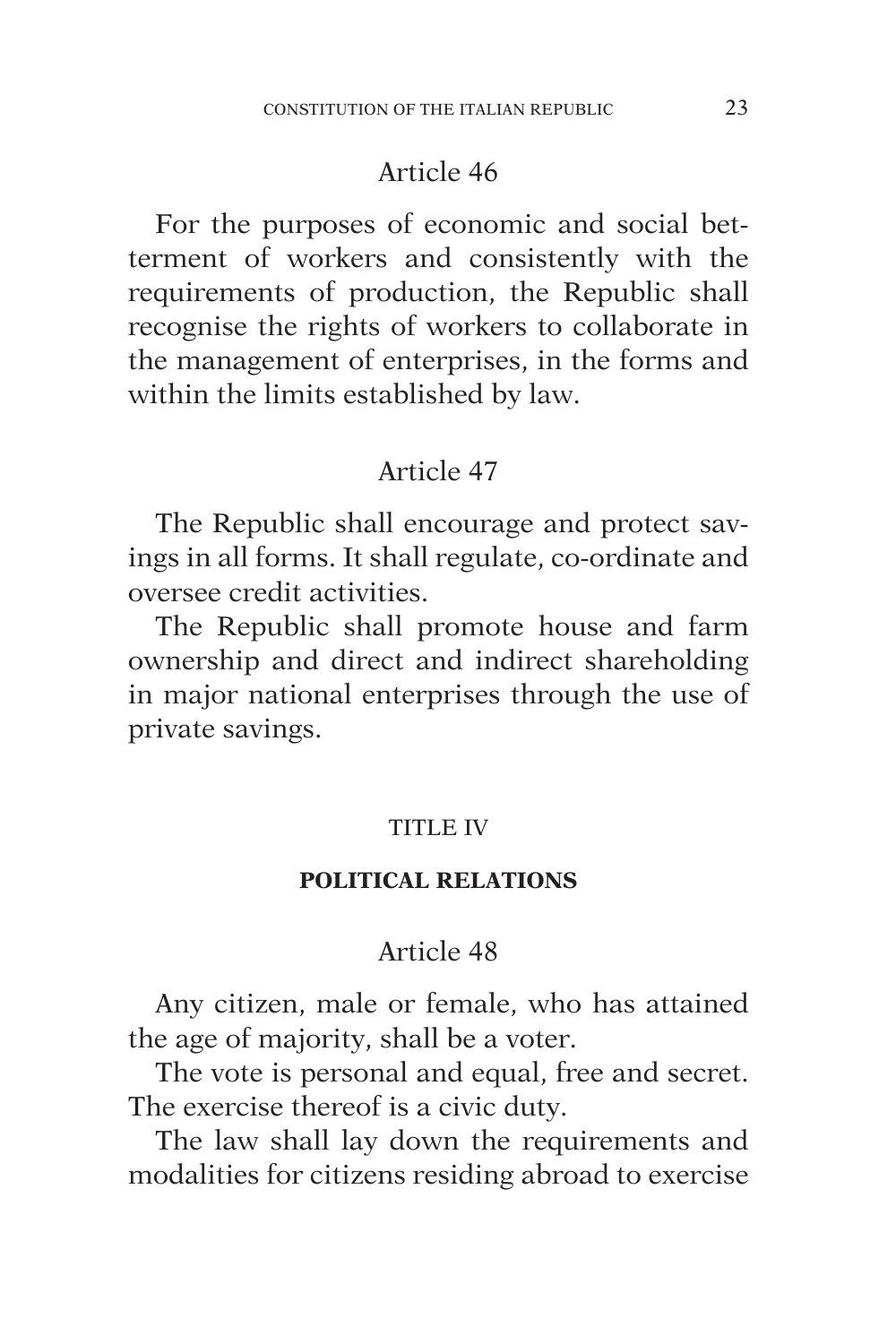For the purposes of economic and social betterment of workers and consistently with the requirements of production, the Republic shall recognise the rights of workers to collaborate in the management of enterprises, in the forms and within the limits established by law.

## Article 47

The Republic shall encourage and protect savings in all forms. It shall regulate, co-ordinate and oversee credit activities.

The Republic shall promote house and farm ownership and direct and indirect shareholding in major national enterprises through the use of private savings.

#### TITLE IV

#### **POLITICAL RELATIONS**

#### Article 48

Any citizen, male or female, who has attained the age of majority, shall be a voter.

The vote is personal and equal, free and secret. The exercise thereof is a civic duty.

The law shall lay down the requirements and modalities for citizens residing abroad to exercise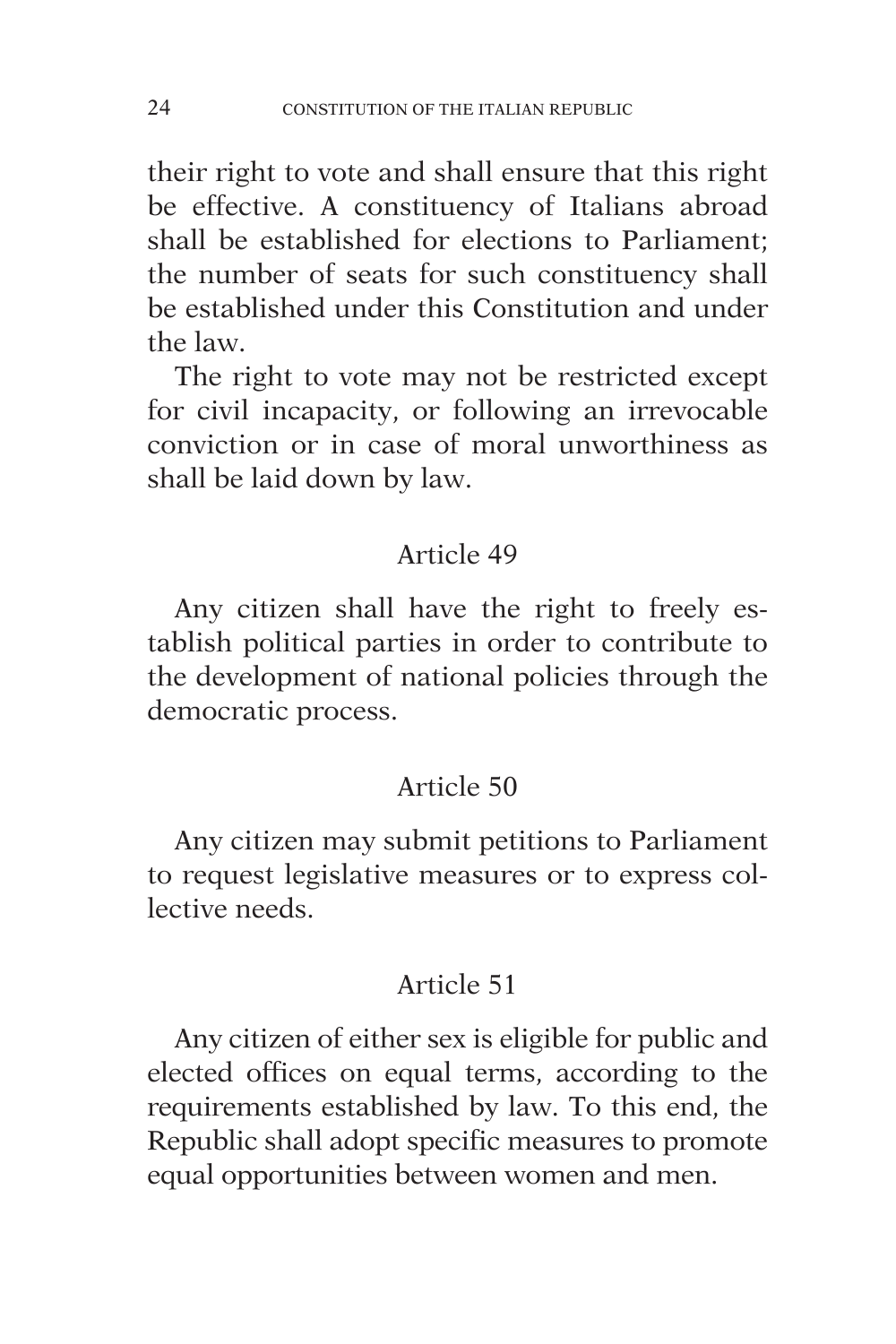their right to vote and shall ensure that this right be effective. A constituency of Italians abroad shall be established for elections to Parliament; the number of seats for such constituency shall be established under this Constitution and under the law.

The right to vote may not be restricted except for civil incapacity, or following an irrevocable conviction or in case of moral unworthiness as shall be laid down by law.

## Article 49

Any citizen shall have the right to freely establish political parties in order to contribute to the development of national policies through the democratic process.

## Article 50

Any citizen may submit petitions to Parliament to request legislative measures or to express collective needs.

## Article 51

Any citizen of either sex is eligible for public and elected offices on equal terms, according to the requirements established by law. To this end, the Republic shall adopt specific measures to promote equal opportunities between women and men.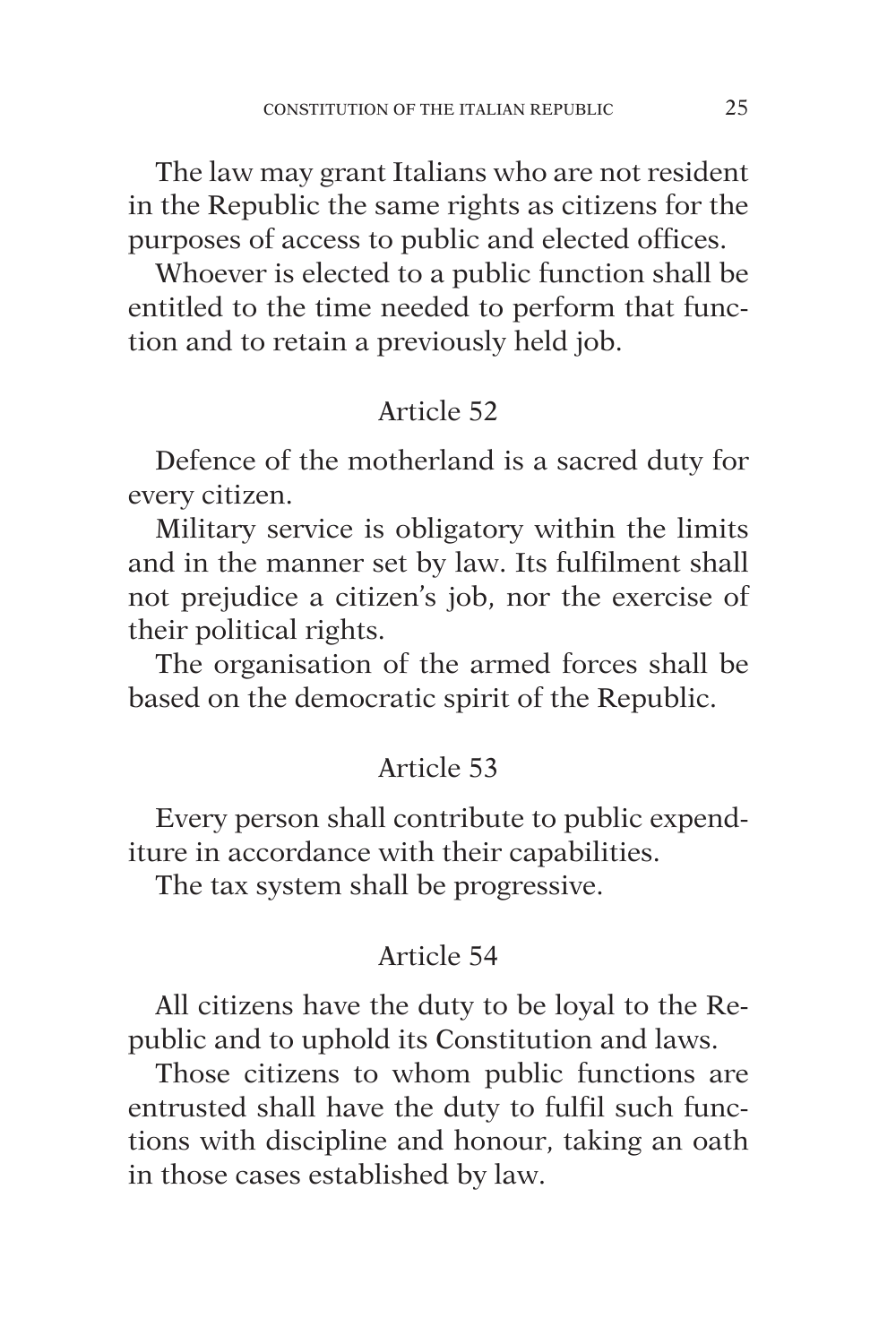The law may grant Italians who are not resident in the Republic the same rights as citizens for the purposes of access to public and elected offices.

Whoever is elected to a public function shall be entitled to the time needed to perform that function and to retain a previously held job.

## Article 52

Defence of the motherland is a sacred duty for every citizen.

Military service is obligatory within the limits and in the manner set by law. Its fulfilment shall not prejudice a citizen's job, nor the exercise of their political rights.

The organisation of the armed forces shall be based on the democratic spirit of the Republic.

## Article 53

Every person shall contribute to public expenditure in accordance with their capabilities.

The tax system shall be progressive.

## Article 54

All citizens have the duty to be loyal to the Republic and to uphold its Constitution and laws.

Those citizens to whom public functions are entrusted shall have the duty to fulfil such functions with discipline and honour, taking an oath in those cases established by law.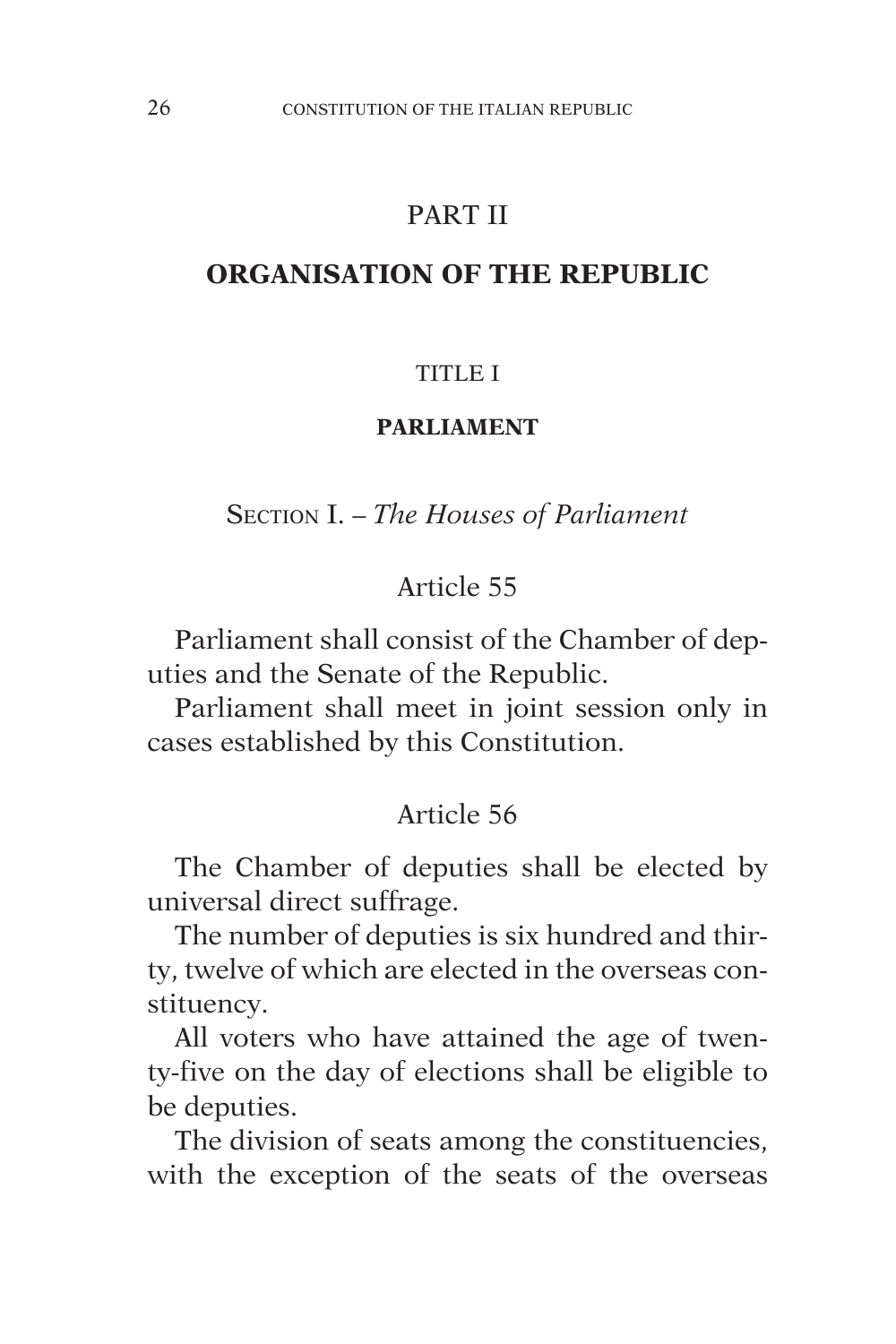## PART II

#### **ORGANISATION OF THE REPUBLIC**

#### TITI E I

#### **PARLIAMENT**

Section I. – *The Houses of Parliament*

#### Article 55

Parliament shall consist of the Chamber of deputies and the Senate of the Republic.

Parliament shall meet in joint session only in cases established by this Constitution.

#### Article 56

The Chamber of deputies shall be elected by universal direct suffrage.

The number of deputies is six hundred and thirty, twelve of which are elected in the overseas constituency.

All voters who have attained the age of twenty-five on the day of elections shall be eligible to be deputies.

The division of seats among the constituencies, with the exception of the seats of the overseas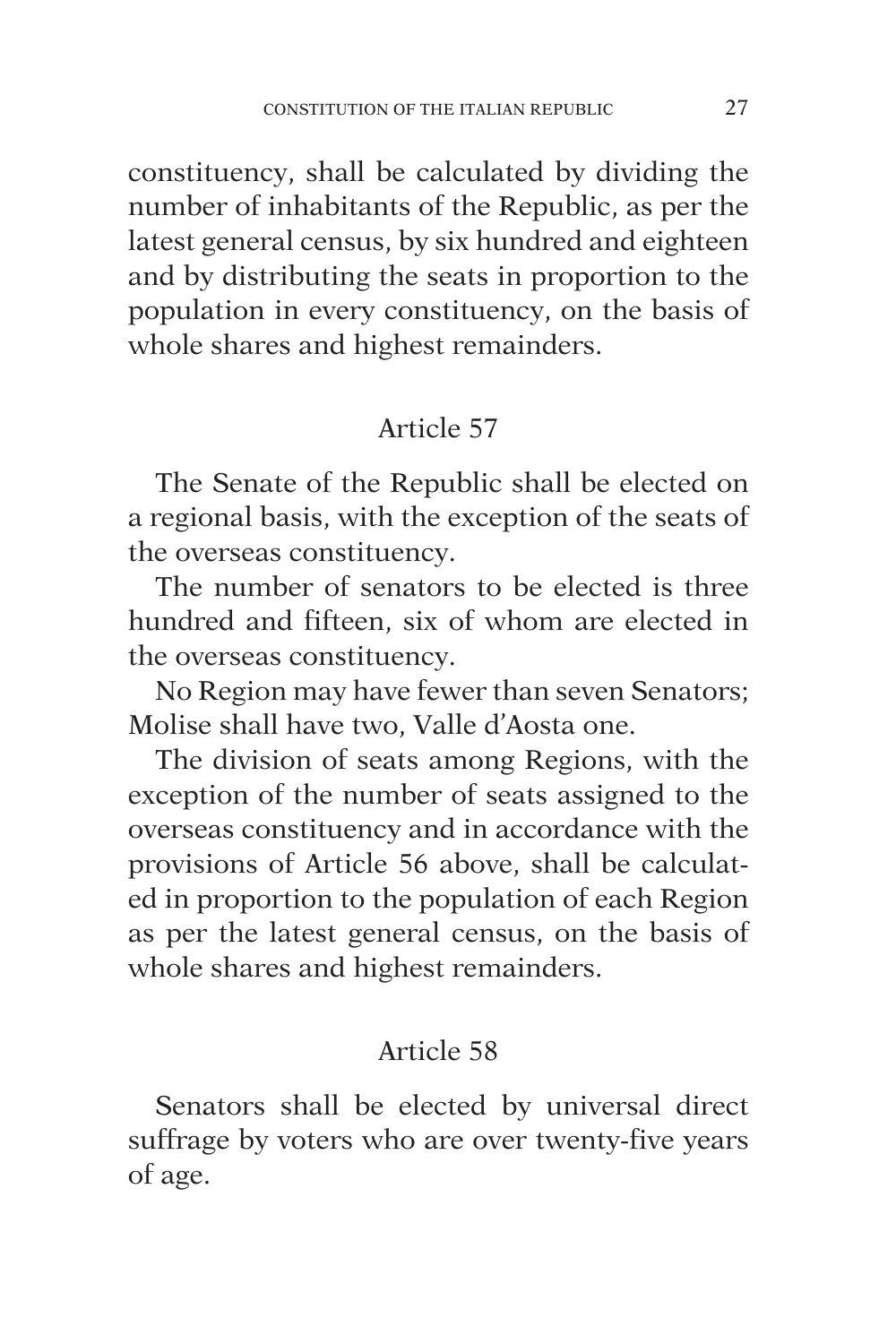constituency, shall be calculated by dividing the number of inhabitants of the Republic, as per the latest general census, by six hundred and eighteen and by distributing the seats in proportion to the population in every constituency, on the basis of whole shares and highest remainders.

## Article 57

The Senate of the Republic shall be elected on a regional basis, with the exception of the seats of the overseas constituency.

The number of senators to be elected is three hundred and fifteen, six of whom are elected in the overseas constituency.

No Region may have fewer than seven Senators; Molise shall have two, Valle d'Aosta one.

The division of seats among Regions, with the exception of the number of seats assigned to the overseas constituency and in accordance with the provisions of Article 56 above, shall be calculated in proportion to the population of each Region as per the latest general census, on the basis of whole shares and highest remainders.

## Article 58

Senators shall be elected by universal direct suffrage by voters who are over twenty-five years of age.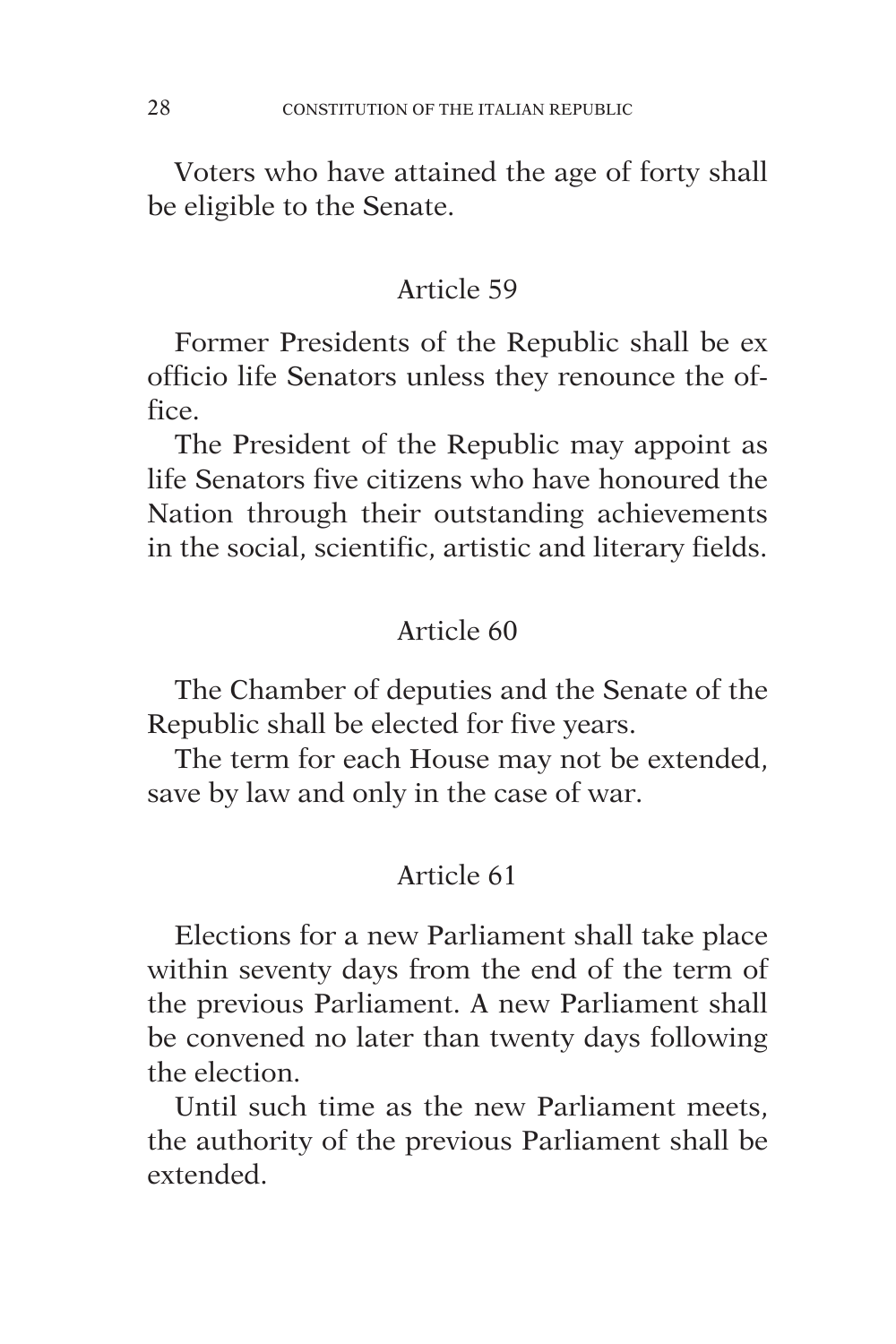Voters who have attained the age of forty shall be eligible to the Senate.

## Article 59

Former Presidents of the Republic shall be ex officio life Senators unless they renounce the office.

The President of the Republic may appoint as life Senators five citizens who have honoured the Nation through their outstanding achievements in the social, scientific, artistic and literary fields.

## Article 60

The Chamber of deputies and the Senate of the Republic shall be elected for five years.

The term for each House may not be extended, save by law and only in the case of war.

## Article 61

Elections for a new Parliament shall take place within seventy days from the end of the term of the previous Parliament. A new Parliament shall be convened no later than twenty days following the election.

Until such time as the new Parliament meets, the authority of the previous Parliament shall be extended.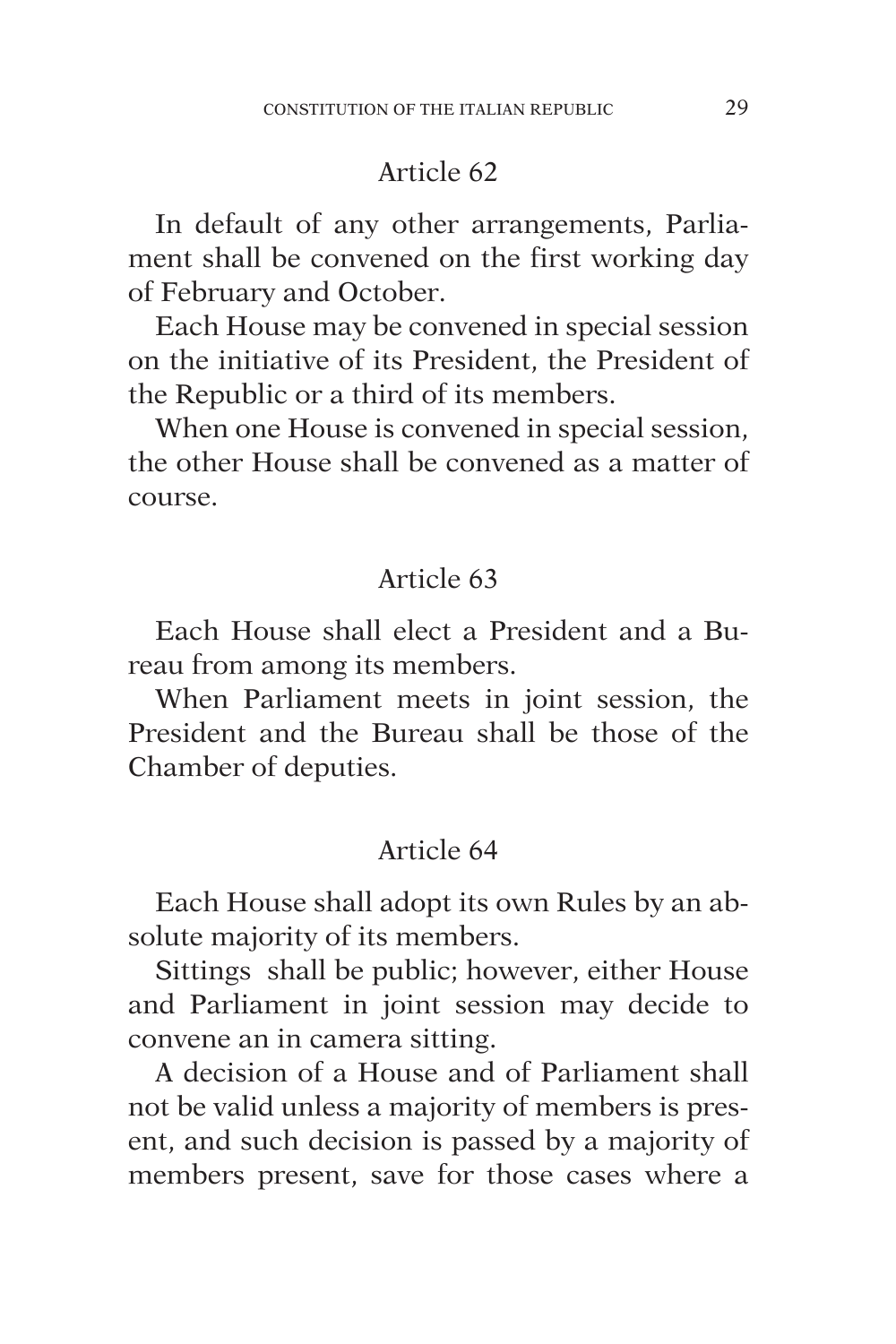In default of any other arrangements, Parliament shall be convened on the first working day of February and October.

Each House may be convened in special session on the initiative of its President, the President of the Republic or a third of its members.

When one House is convened in special session, the other House shall be convened as a matter of course.

#### Article 63

Each House shall elect a President and a Bureau from among its members.

When Parliament meets in joint session, the President and the Bureau shall be those of the Chamber of deputies.

#### Article 64

Each House shall adopt its own Rules by an absolute majority of its members.

Sittings shall be public; however, either House and Parliament in joint session may decide to convene an in camera sitting.

A decision of a House and of Parliament shall not be valid unless a majority of members is present, and such decision is passed by a majority of members present, save for those cases where a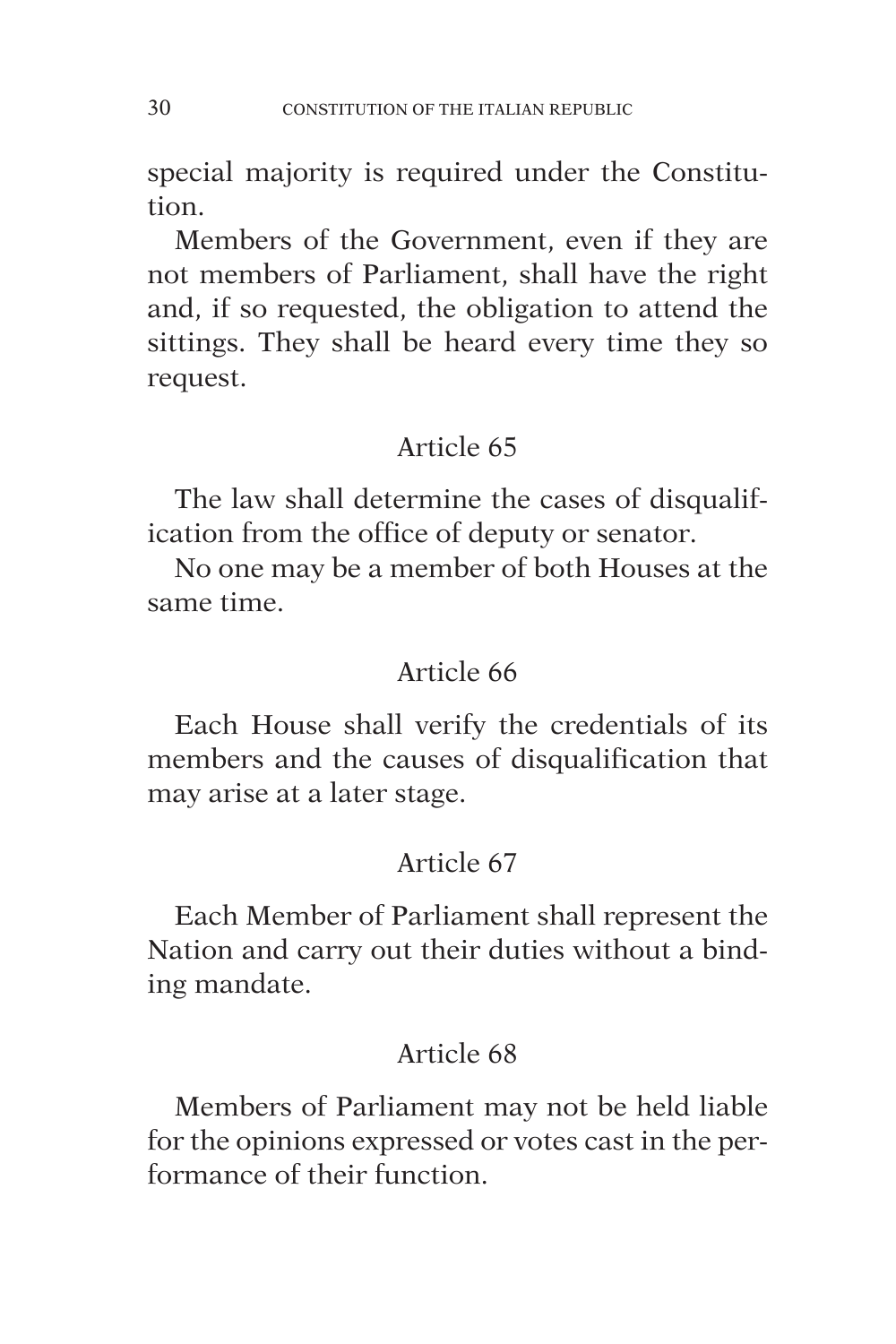special majority is required under the Constitution.

Members of the Government, even if they are not members of Parliament, shall have the right and, if so requested, the obligation to attend the sittings. They shall be heard every time they so request.

# Article 65

The law shall determine the cases of disqualification from the office of deputy or senator.

No one may be a member of both Houses at the same time.

## Article 66

Each House shall verify the credentials of its members and the causes of disqualification that may arise at a later stage.

# Article 67

Each Member of Parliament shall represent the Nation and carry out their duties without a binding mandate.

# Article 68

Members of Parliament may not be held liable for the opinions expressed or votes cast in the performance of their function.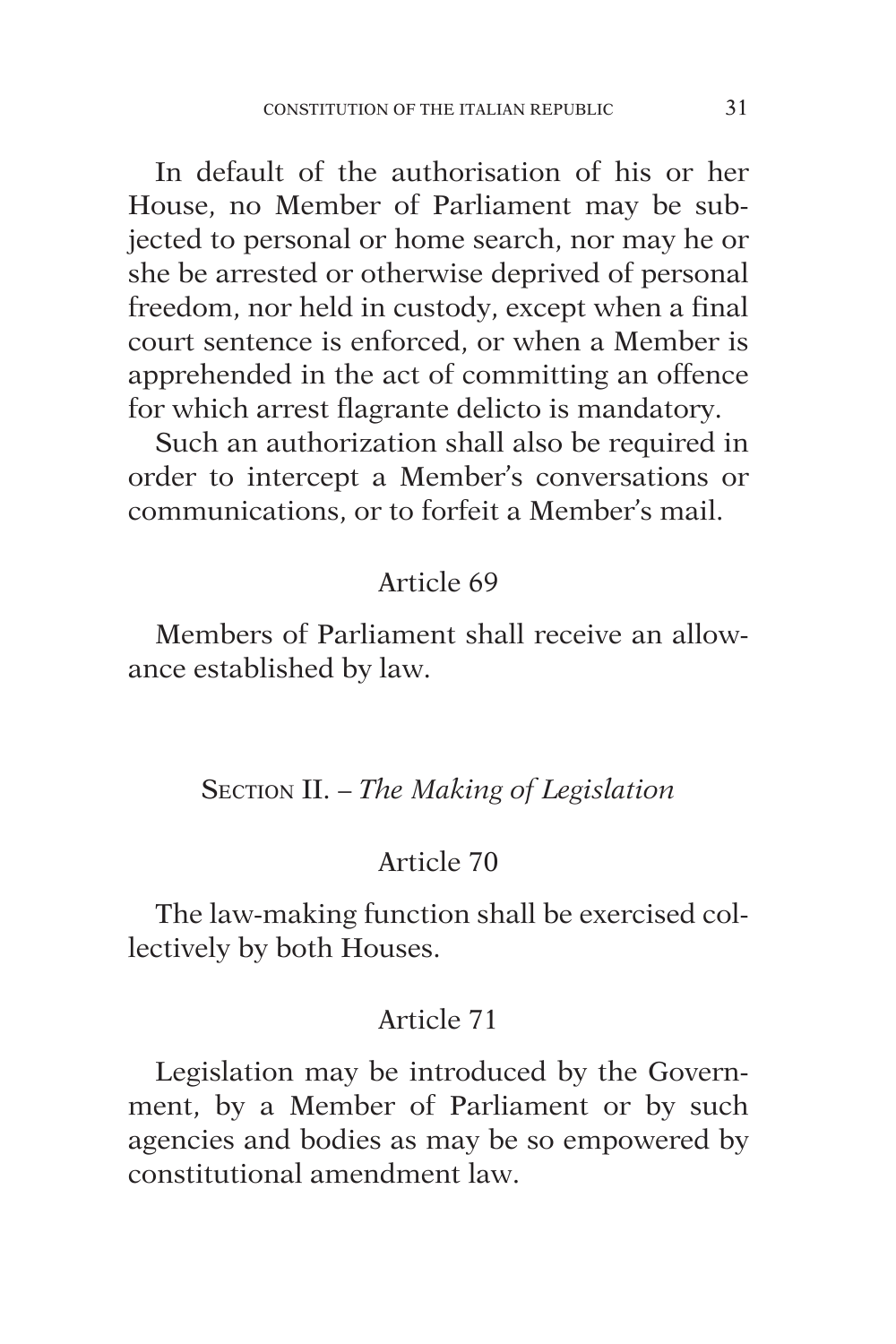In default of the authorisation of his or her House, no Member of Parliament may be subjected to personal or home search, nor may he or she be arrested or otherwise deprived of personal freedom, nor held in custody, except when a final court sentence is enforced, or when a Member is apprehended in the act of committing an offence for which arrest flagrante delicto is mandatory.

Such an authorization shall also be required in order to intercept a Member's conversations or communications, or to forfeit a Member's mail.

#### Article 69

Members of Parliament shall receive an allowance established by law.

## Section II. – *The Making of Legislation*

#### Article 70

The law-making function shall be exercised collectively by both Houses.

#### Article 71

Legislation may be introduced by the Government, by a Member of Parliament or by such agencies and bodies as may be so empowered by constitutional amendment law.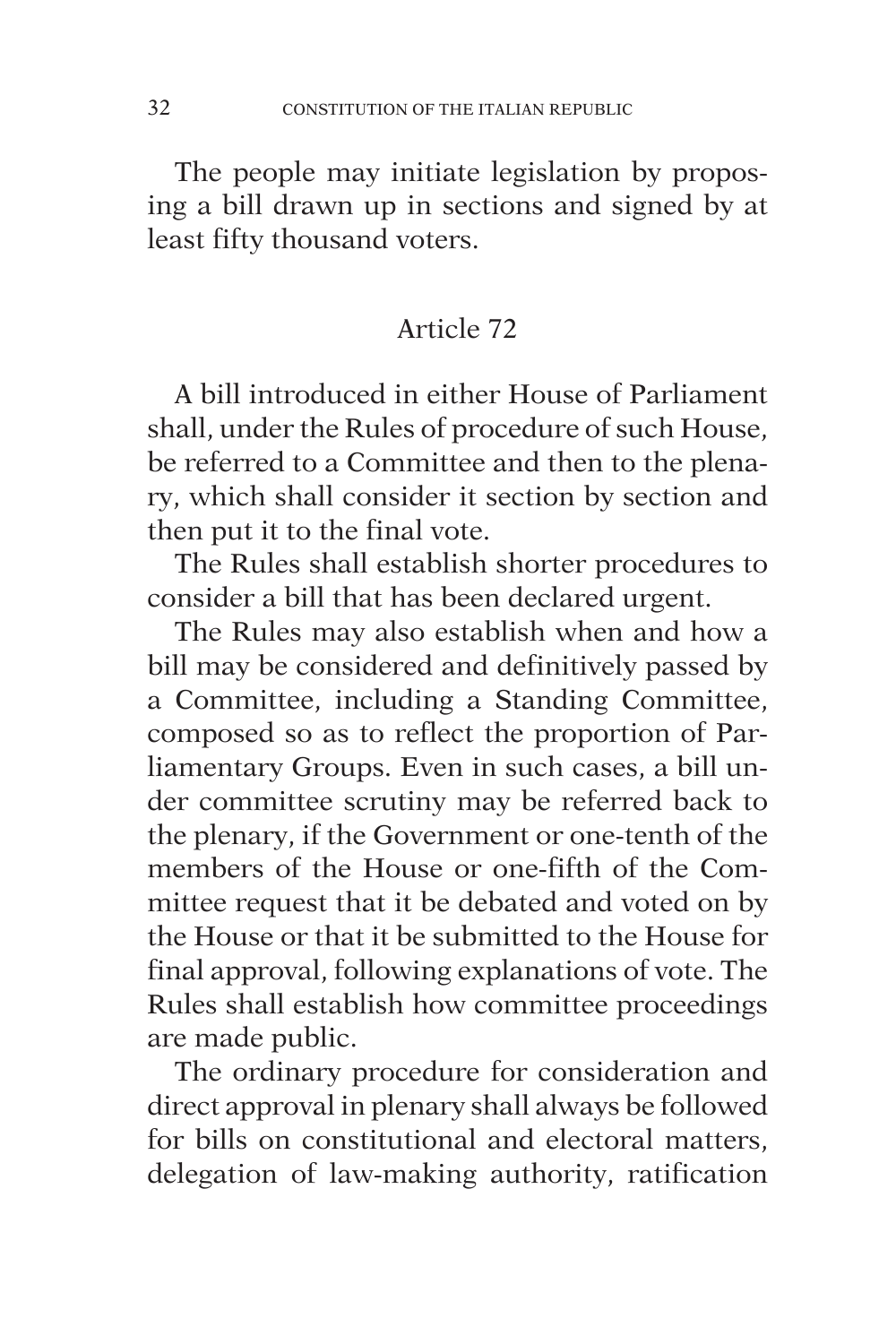The people may initiate legislation by proposing a bill drawn up in sections and signed by at least fifty thousand voters.

## Article 72

A bill introduced in either House of Parliament shall, under the Rules of procedure of such House, be referred to a Committee and then to the plenary, which shall consider it section by section and then put it to the final vote.

The Rules shall establish shorter procedures to consider a bill that has been declared urgent.

The Rules may also establish when and how a bill may be considered and definitively passed by a Committee, including a Standing Committee, composed so as to reflect the proportion of Parliamentary Groups. Even in such cases, a bill under committee scrutiny may be referred back to the plenary, if the Government or one-tenth of the members of the House or one-fifth of the Committee request that it be debated and voted on by the House or that it be submitted to the House for final approval, following explanations of vote. The Rules shall establish how committee proceedings are made public.

The ordinary procedure for consideration and direct approval in plenary shall always be followed for bills on constitutional and electoral matters, delegation of law-making authority, ratification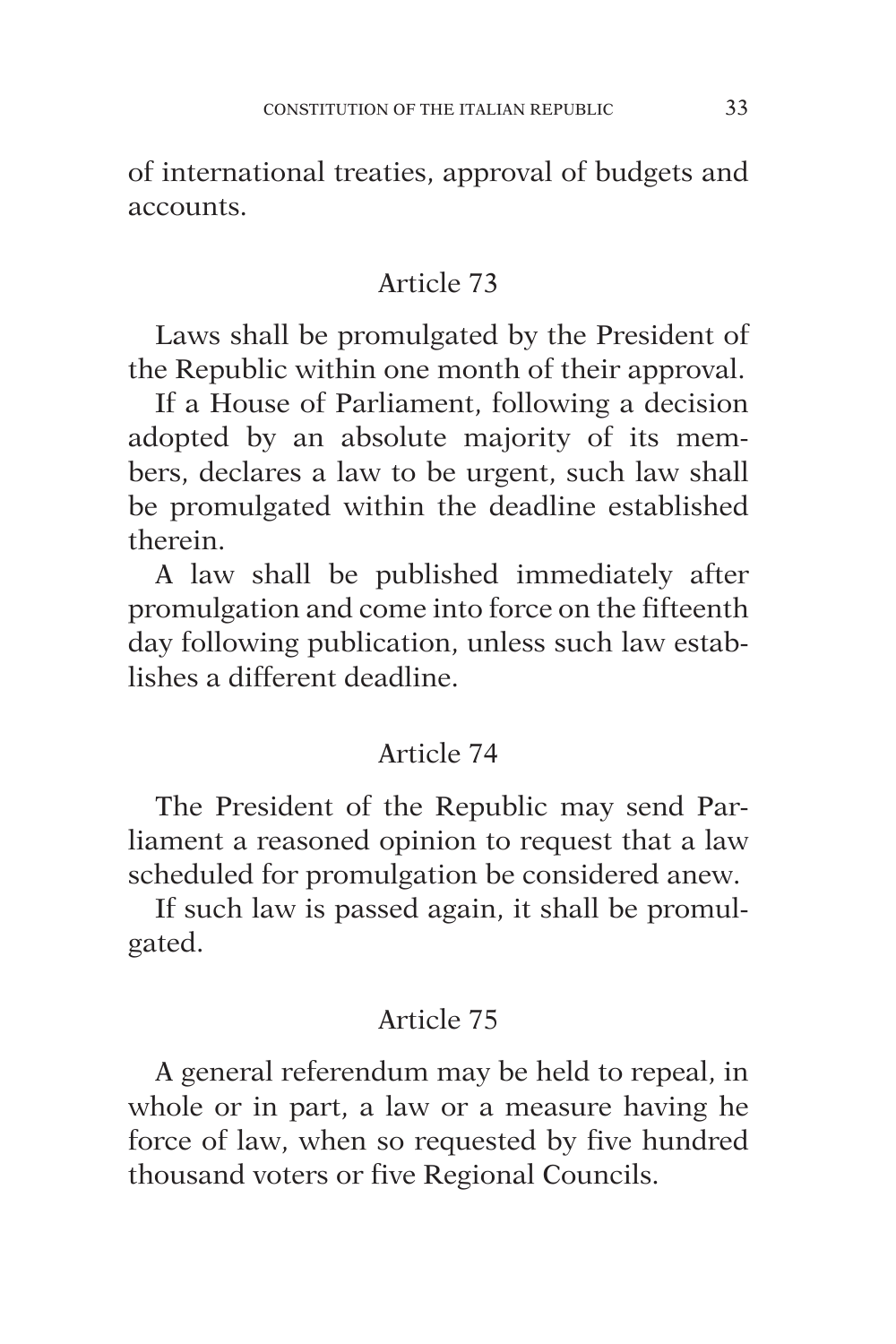of international treaties, approval of budgets and accounts.

## Article 73

Laws shall be promulgated by the President of the Republic within one month of their approval.

If a House of Parliament, following a decision adopted by an absolute majority of its members, declares a law to be urgent, such law shall be promulgated within the deadline established therein.

A law shall be published immediately after promulgation and come into force on the fifteenth day following publication, unless such law establishes a different deadline.

#### Article 74

The President of the Republic may send Parliament a reasoned opinion to request that a law scheduled for promulgation be considered anew.

If such law is passed again, it shall be promulgated.

## Article 75

A general referendum may be held to repeal, in whole or in part, a law or a measure having he force of law, when so requested by five hundred thousand voters or five Regional Councils.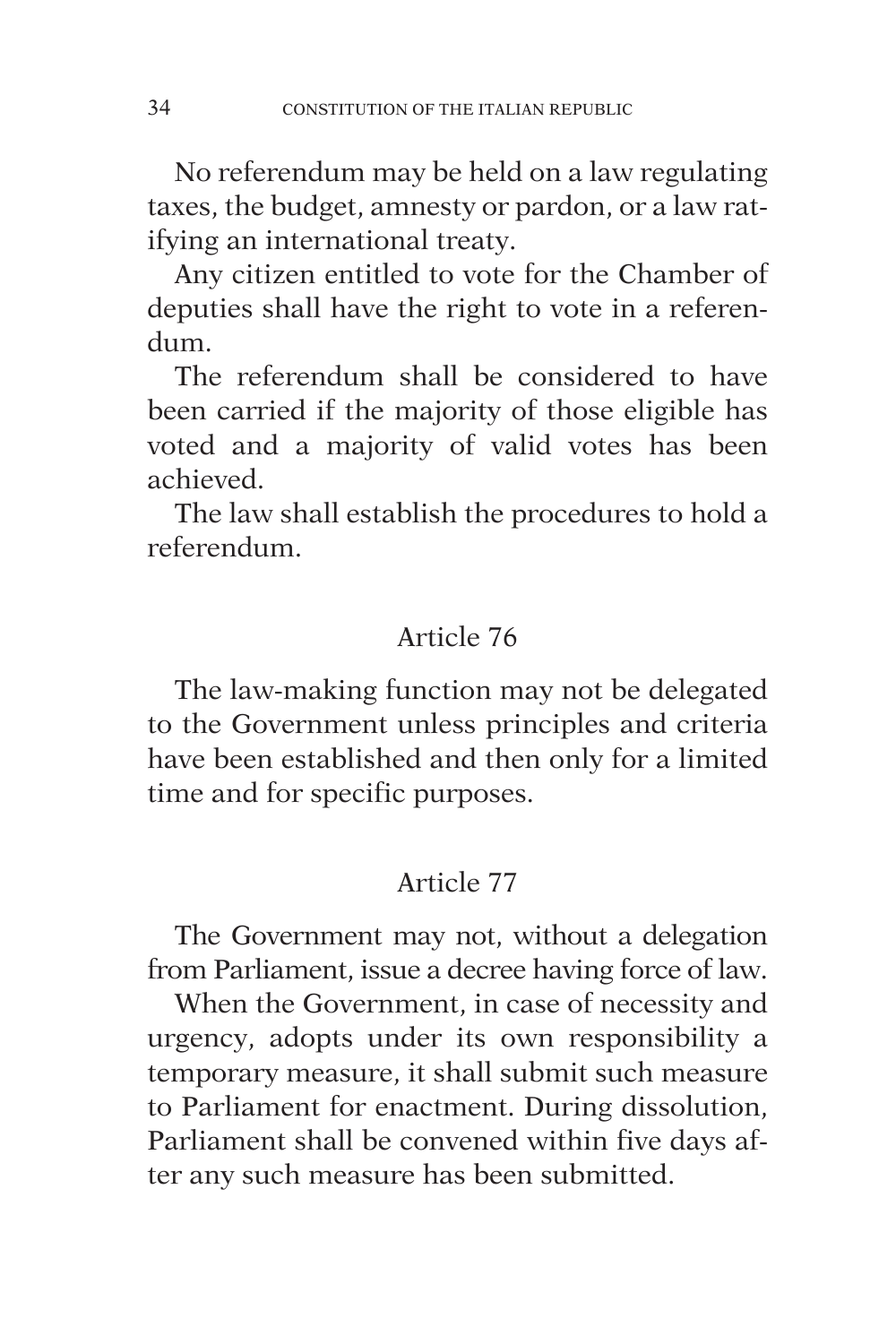No referendum may be held on a law regulating taxes, the budget, amnesty or pardon, or a law ratifying an international treaty.

Any citizen entitled to vote for the Chamber of deputies shall have the right to vote in a referendum.

The referendum shall be considered to have been carried if the majority of those eligible has voted and a majority of valid votes has been achieved.

The law shall establish the procedures to hold a referendum.

## Article 76

The law-making function may not be delegated to the Government unless principles and criteria have been established and then only for a limited time and for specific purposes.

# Article 77

The Government may not, without a delegation from Parliament, issue a decree having force of law.

When the Government, in case of necessity and urgency, adopts under its own responsibility a temporary measure, it shall submit such measure to Parliament for enactment. During dissolution, Parliament shall be convened within five days after any such measure has been submitted.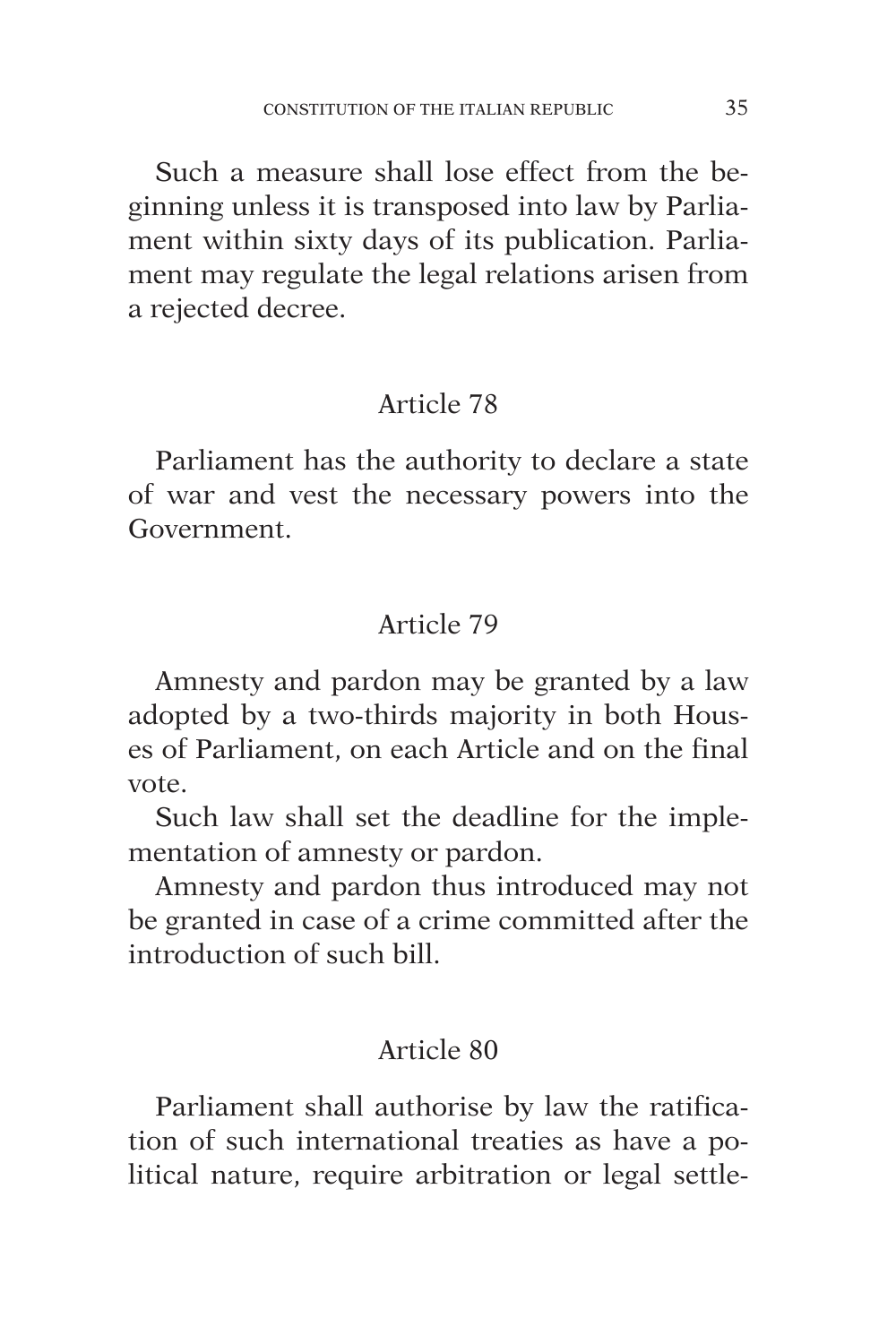Such a measure shall lose effect from the beginning unless it is transposed into law by Parliament within sixty days of its publication. Parliament may regulate the legal relations arisen from a rejected decree.

# Article 78

Parliament has the authority to declare a state of war and vest the necessary powers into the Government.

# Article 79

Amnesty and pardon may be granted by a law adopted by a two-thirds majority in both Houses of Parliament, on each Article and on the final vote.

Such law shall set the deadline for the implementation of amnesty or pardon.

Amnesty and pardon thus introduced may not be granted in case of a crime committed after the introduction of such bill.

# Article 80

Parliament shall authorise by law the ratification of such international treaties as have a political nature, require arbitration or legal settle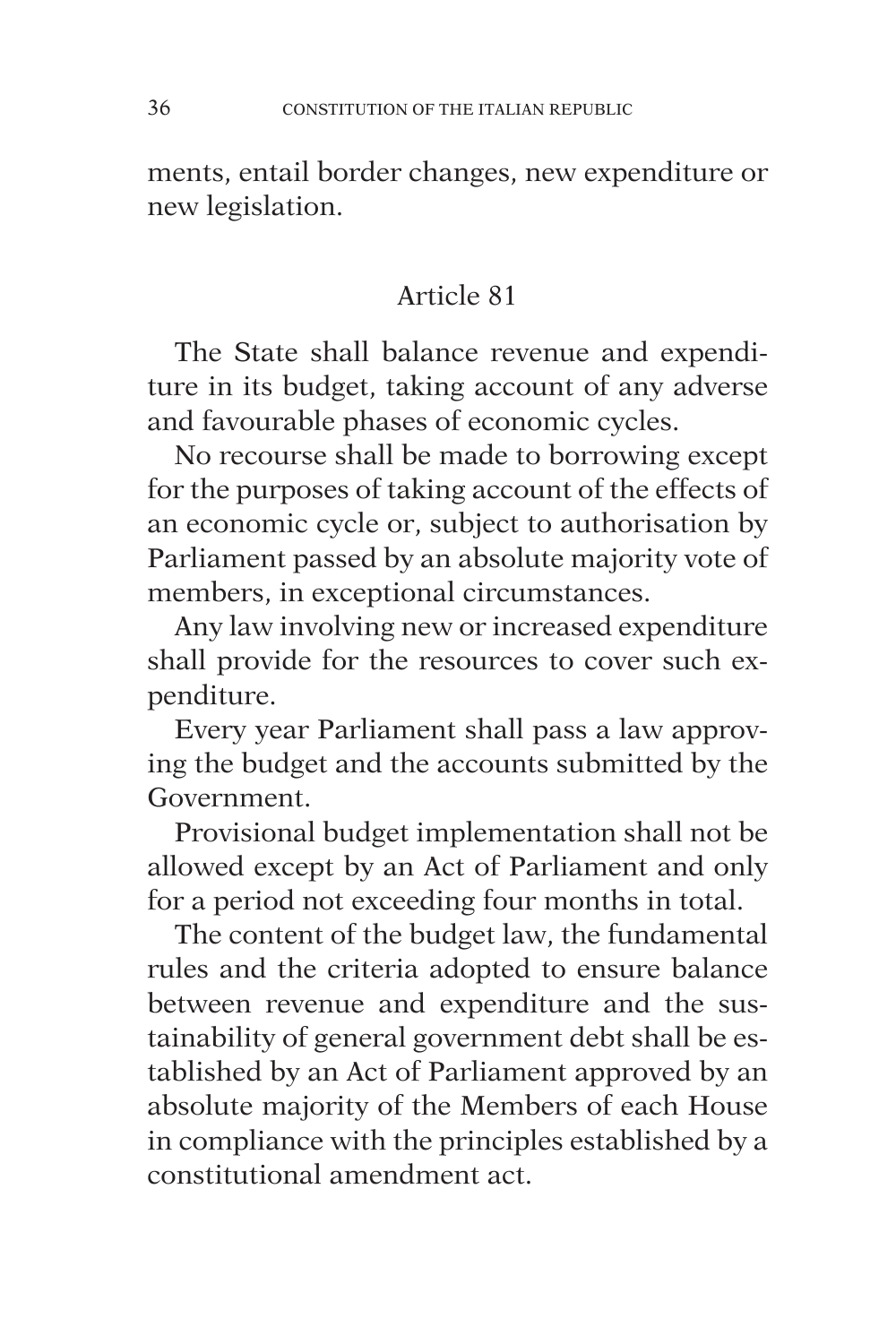ments, entail border changes, new expenditure or new legislation.

# Article 81

The State shall balance revenue and expenditure in its budget, taking account of any adverse and favourable phases of economic cycles.

No recourse shall be made to borrowing except for the purposes of taking account of the effects of an economic cycle or, subject to authorisation by Parliament passed by an absolute majority vote of members, in exceptional circumstances.

Any law involving new or increased expenditure shall provide for the resources to cover such expenditure.

Every year Parliament shall pass a law approving the budget and the accounts submitted by the Government.

Provisional budget implementation shall not be allowed except by an Act of Parliament and only for a period not exceeding four months in total.

The content of the budget law, the fundamental rules and the criteria adopted to ensure balance between revenue and expenditure and the sustainability of general government debt shall be established by an Act of Parliament approved by an absolute majority of the Members of each House in compliance with the principles established by a constitutional amendment act.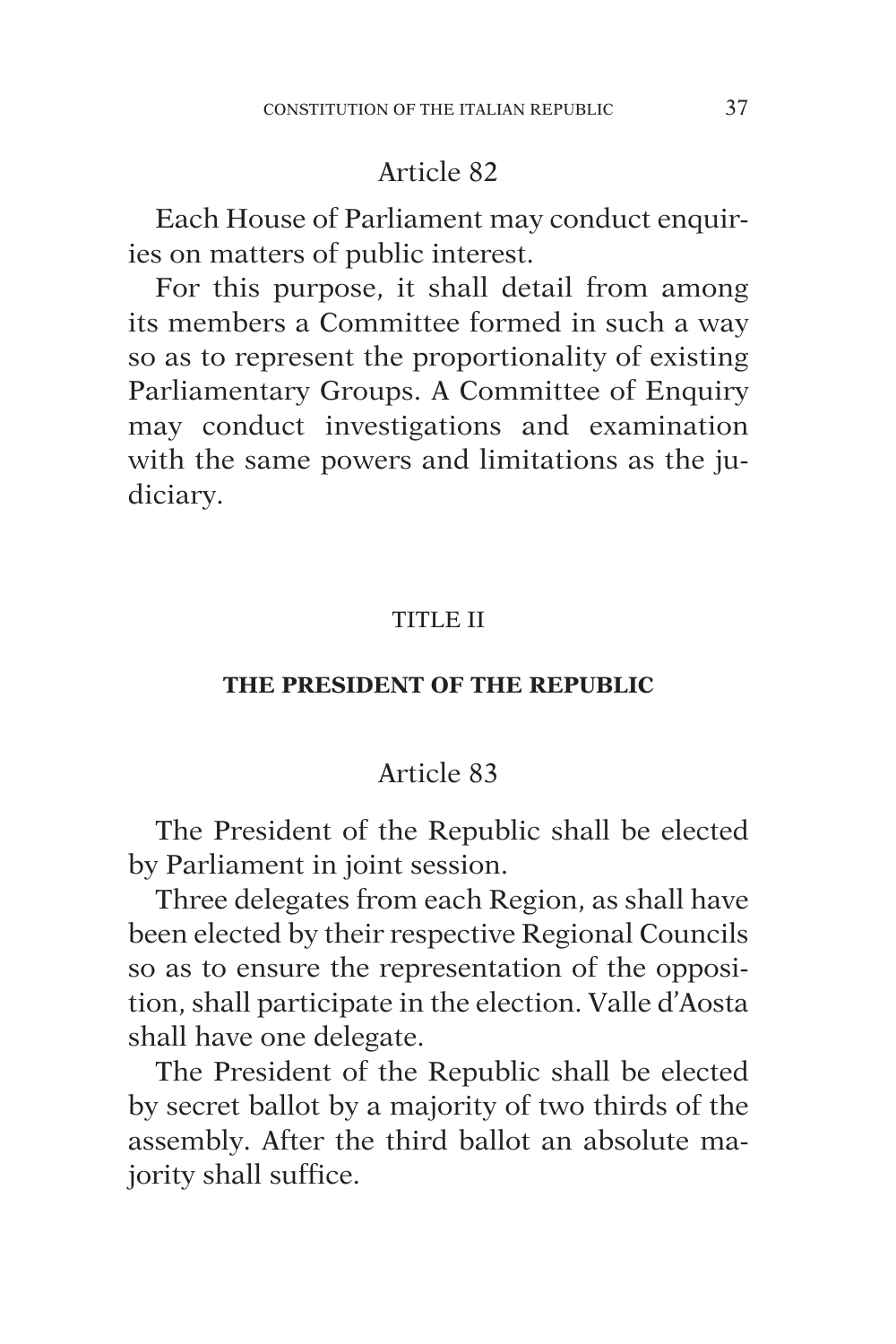Each House of Parliament may conduct enquiries on matters of public interest.

For this purpose, it shall detail from among its members a Committee formed in such a way so as to represent the proportionality of existing Parliamentary Groups. A Committee of Enquiry may conduct investigations and examination with the same powers and limitations as the judiciary.

#### TITLE II

#### **THE PRESIDENT OF THE REPUBLIC**

#### Article 83

The President of the Republic shall be elected by Parliament in joint session.

Three delegates from each Region, as shall have been elected by their respective Regional Councils so as to ensure the representation of the opposition, shall participate in the election. Valle d'Aosta shall have one delegate.

The President of the Republic shall be elected by secret ballot by a majority of two thirds of the assembly. After the third ballot an absolute majority shall suffice.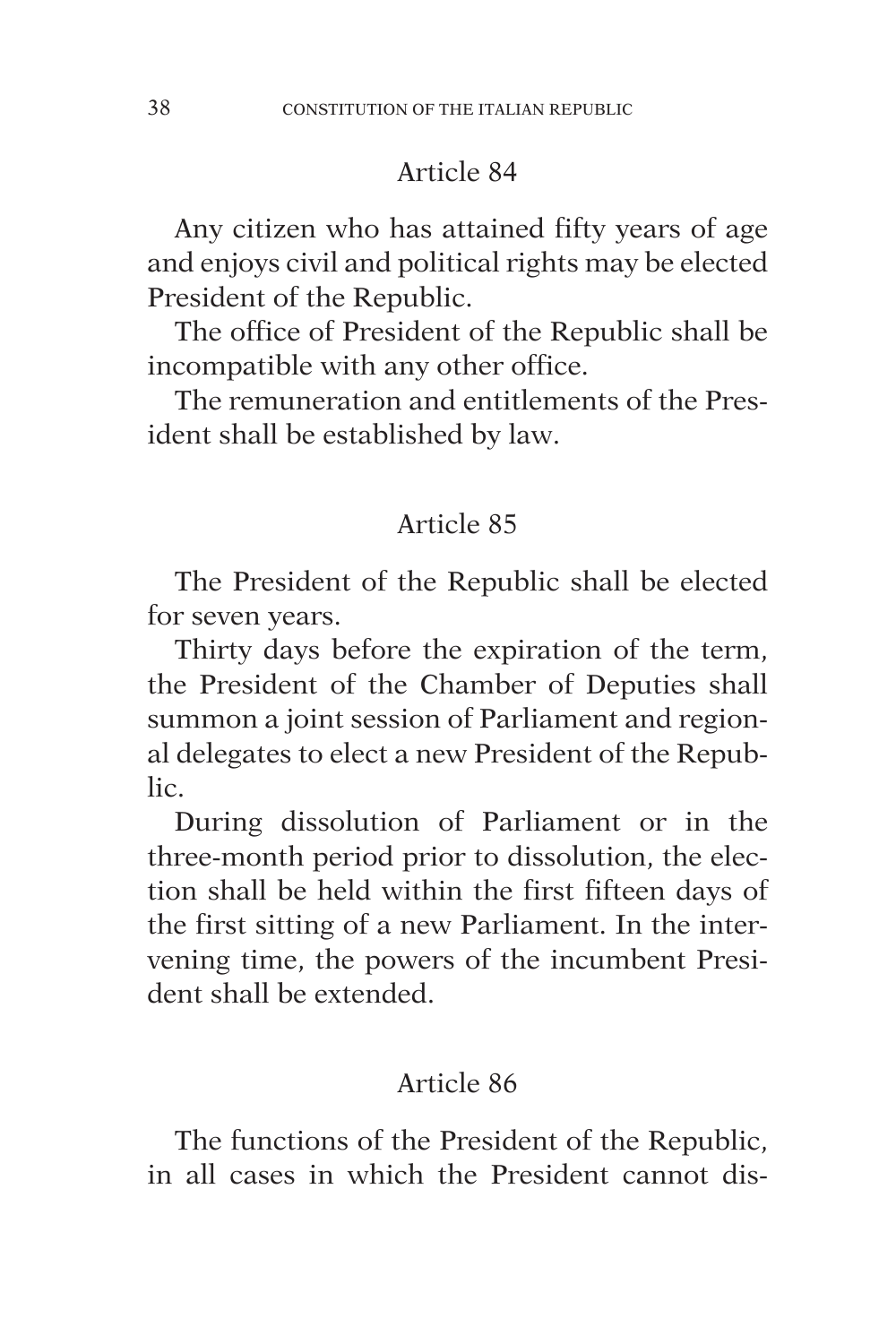Any citizen who has attained fifty years of age and enjoys civil and political rights may be elected President of the Republic.

The office of President of the Republic shall be incompatible with any other office.

The remuneration and entitlements of the President shall be established by law.

## Article 85

The President of the Republic shall be elected for seven years.

Thirty days before the expiration of the term, the President of the Chamber of Deputies shall summon a joint session of Parliament and regional delegates to elect a new President of the Republic.

During dissolution of Parliament or in the three-month period prior to dissolution, the election shall be held within the first fifteen days of the first sitting of a new Parliament. In the intervening time, the powers of the incumbent President shall be extended.

## Article 86

The functions of the President of the Republic, in all cases in which the President cannot dis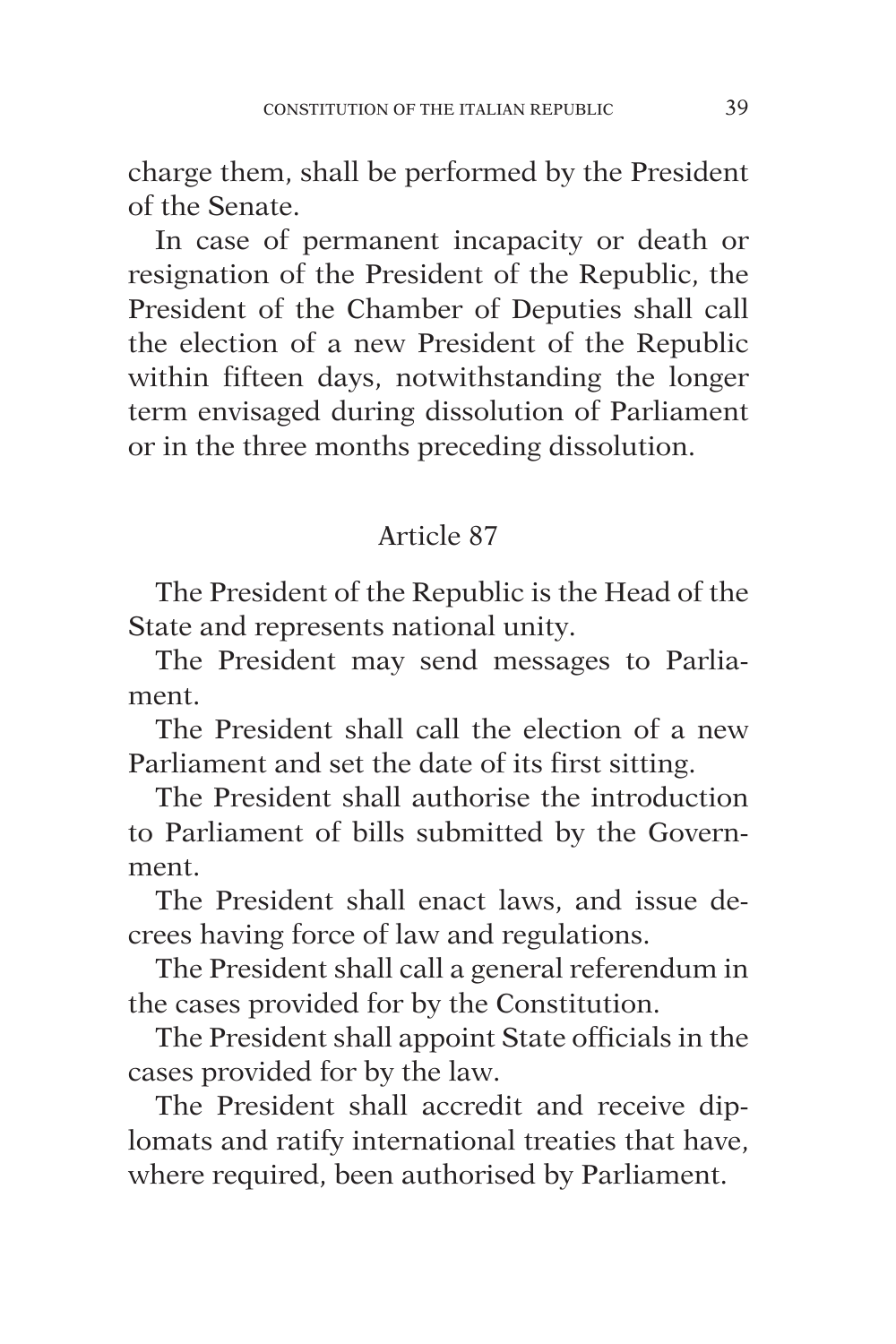charge them, shall be performed by the President of the Senate.

In case of permanent incapacity or death or resignation of the President of the Republic, the President of the Chamber of Deputies shall call the election of a new President of the Republic within fifteen days, notwithstanding the longer term envisaged during dissolution of Parliament or in the three months preceding dissolution.

## Article 87

The President of the Republic is the Head of the State and represents national unity.

The President may send messages to Parliament.

The President shall call the election of a new Parliament and set the date of its first sitting.

The President shall authorise the introduction to Parliament of bills submitted by the Government.

The President shall enact laws, and issue decrees having force of law and regulations.

The President shall call a general referendum in the cases provided for by the Constitution.

The President shall appoint State officials in the cases provided for by the law.

The President shall accredit and receive diplomats and ratify international treaties that have, where required, been authorised by Parliament.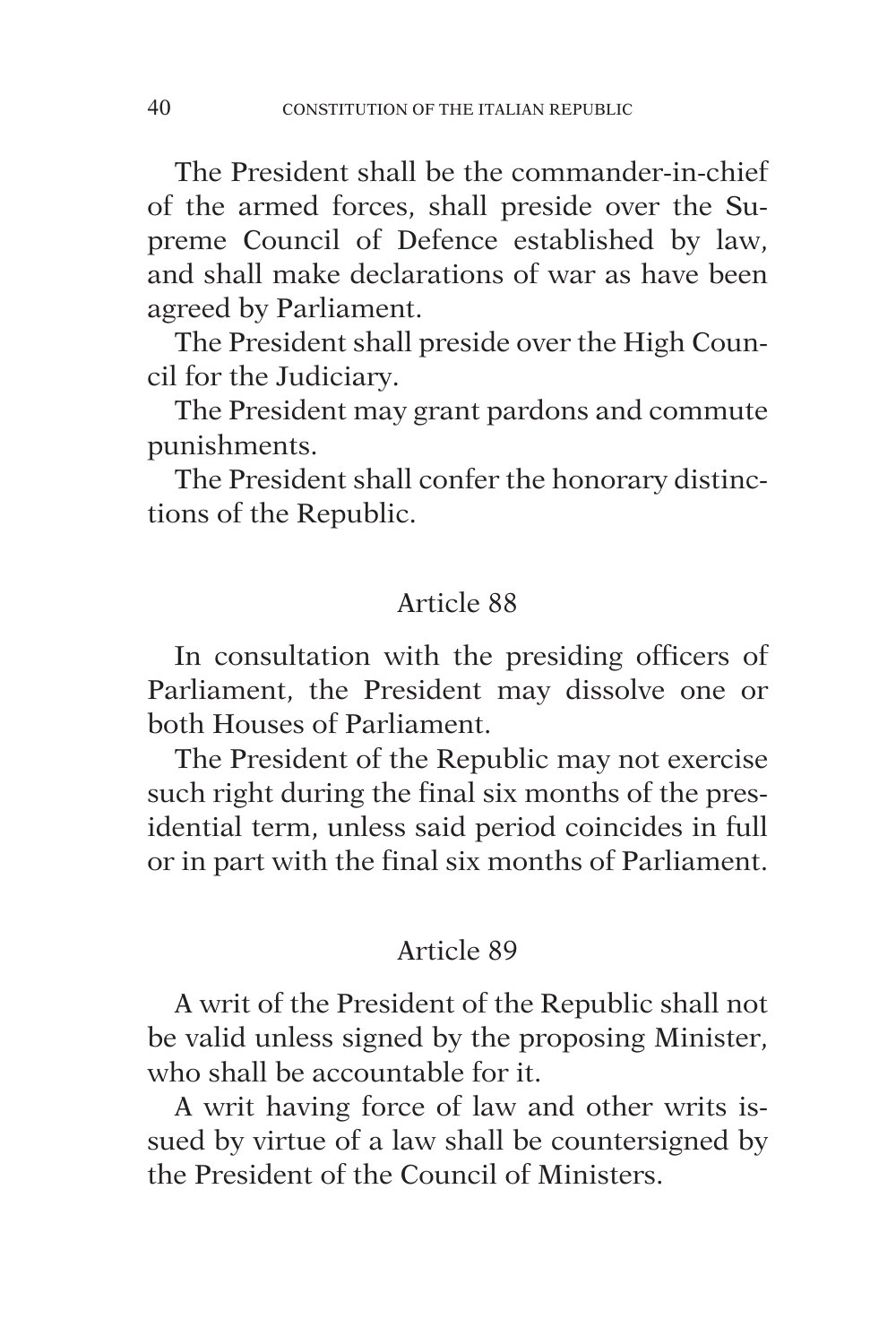The President shall be the commander-in-chief of the armed forces, shall preside over the Supreme Council of Defence established by law, and shall make declarations of war as have been agreed by Parliament.

The President shall preside over the High Council for the Judiciary.

The President may grant pardons and commute punishments.

The President shall confer the honorary distinctions of the Republic.

#### Article 88

In consultation with the presiding officers of Parliament, the President may dissolve one or both Houses of Parliament.

The President of the Republic may not exercise such right during the final six months of the presidential term, unless said period coincides in full or in part with the final six months of Parliament.

#### Article 89

A writ of the President of the Republic shall not be valid unless signed by the proposing Minister, who shall be accountable for it.

A writ having force of law and other writs issued by virtue of a law shall be countersigned by the President of the Council of Ministers.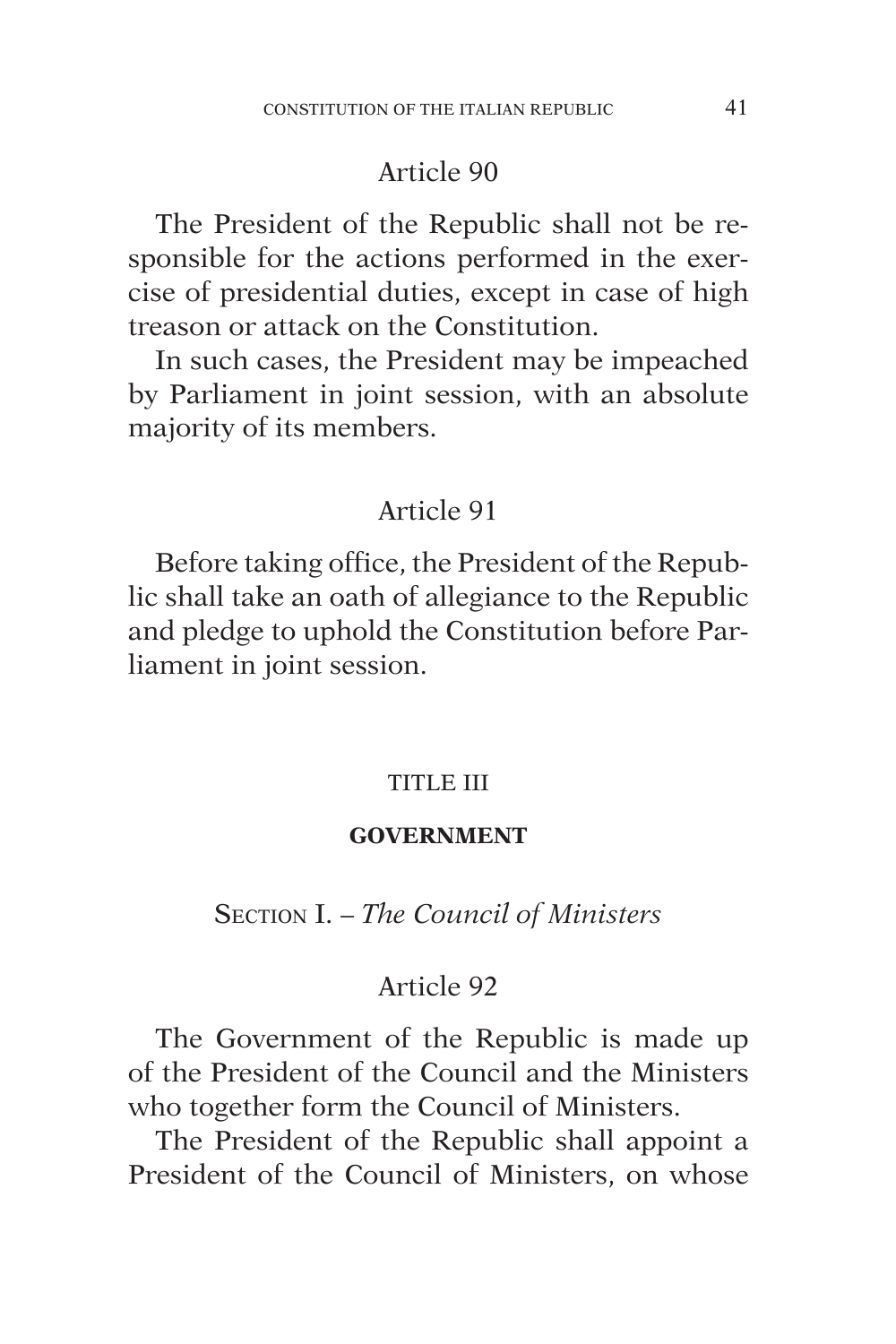The President of the Republic shall not be responsible for the actions performed in the exercise of presidential duties, except in case of high treason or attack on the Constitution.

In such cases, the President may be impeached by Parliament in joint session, with an absolute majority of its members.

## Article 91

Before taking office, the President of the Republic shall take an oath of allegiance to the Republic and pledge to uphold the Constitution before Parliament in joint session.

#### TITLE III

#### **GOVERNMENT**

Section I. – *The Council of Ministers*

#### Article 92

The Government of the Republic is made up of the President of the Council and the Ministers who together form the Council of Ministers.

The President of the Republic shall appoint a President of the Council of Ministers, on whose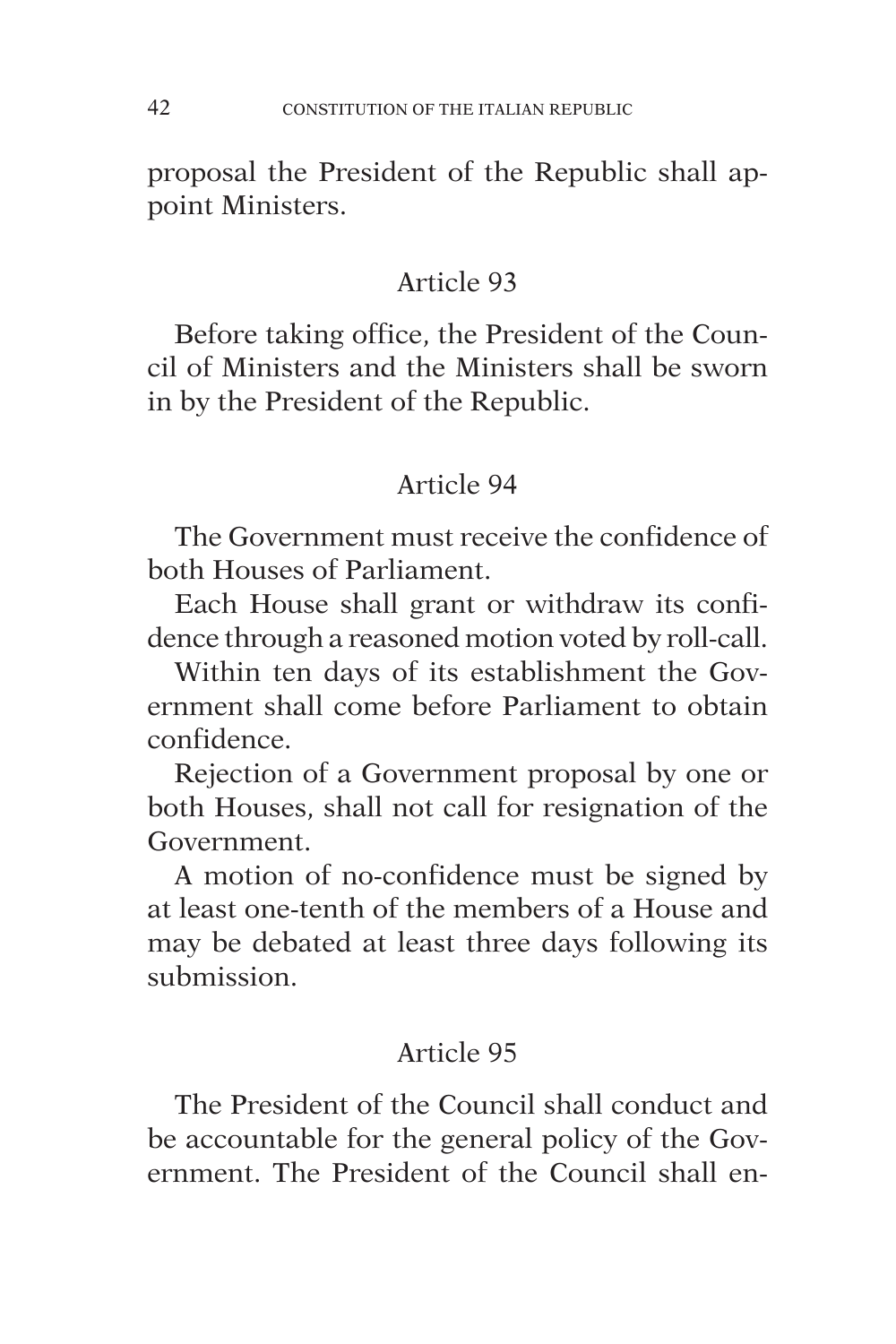proposal the President of the Republic shall appoint Ministers.

## Article 93

Before taking office, the President of the Council of Ministers and the Ministers shall be sworn in by the President of the Republic.

# Article 94

The Government must receive the confidence of both Houses of Parliament.

Each House shall grant or withdraw its confidence through a reasoned motion voted by roll-call.

Within ten days of its establishment the Government shall come before Parliament to obtain confidence.

Rejection of a Government proposal by one or both Houses, shall not call for resignation of the Government.

A motion of no-confidence must be signed by at least one-tenth of the members of a House and may be debated at least three days following its submission.

# Article 95

The President of the Council shall conduct and be accountable for the general policy of the Government. The President of the Council shall en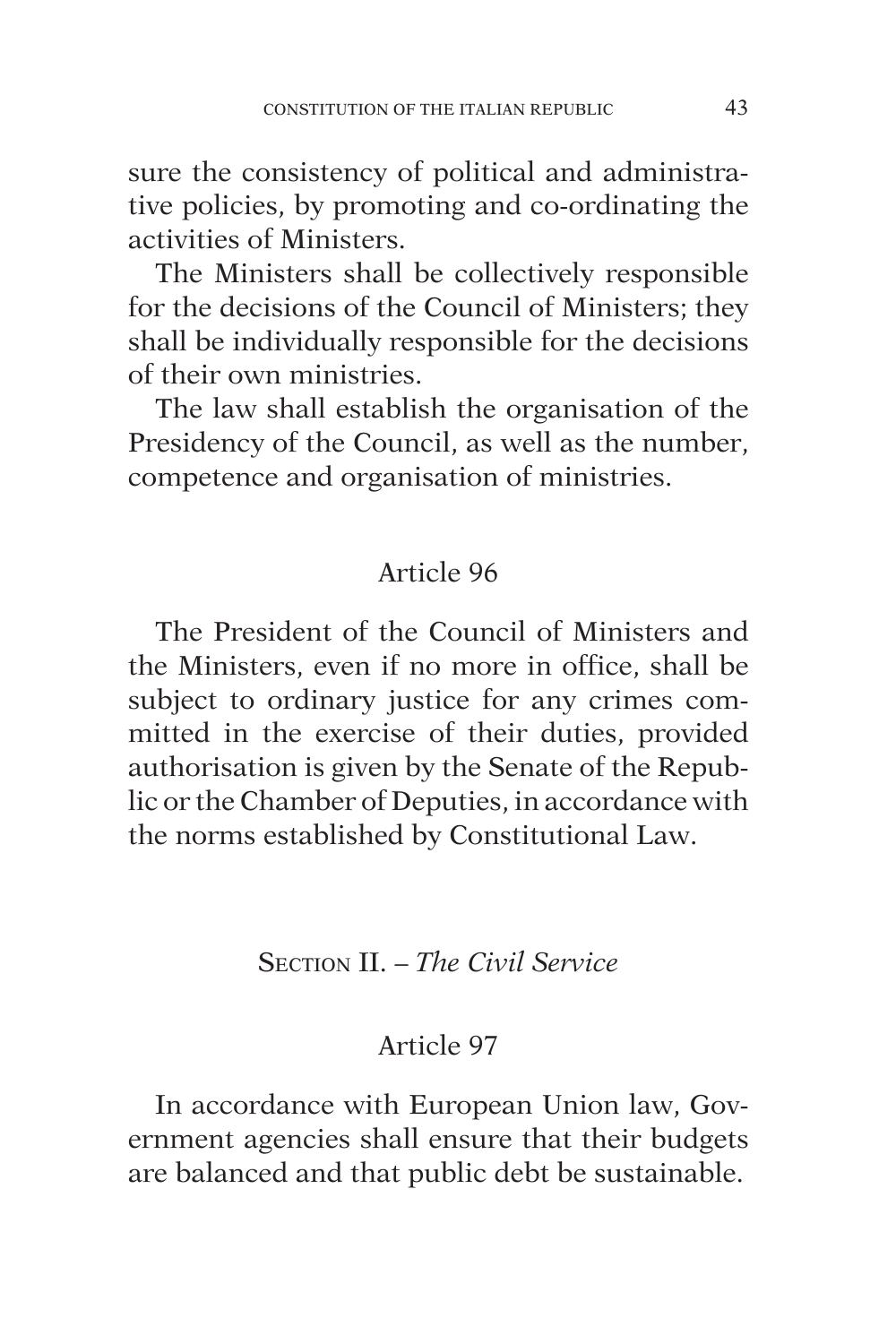sure the consistency of political and administrative policies, by promoting and co-ordinating the activities of Ministers.

The Ministers shall be collectively responsible for the decisions of the Council of Ministers; they shall be individually responsible for the decisions of their own ministries.

The law shall establish the organisation of the Presidency of the Council, as well as the number, competence and organisation of ministries.

## Article 96

The President of the Council of Ministers and the Ministers, even if no more in office, shall be subject to ordinary justice for any crimes committed in the exercise of their duties, provided authorisation is given by the Senate of the Republic or the Chamber of Deputies, in accordance with the norms established by Constitutional Law.

## Section II. – *The Civil Service*

#### Article 97

In accordance with European Union law, Government agencies shall ensure that their budgets are balanced and that public debt be sustainable.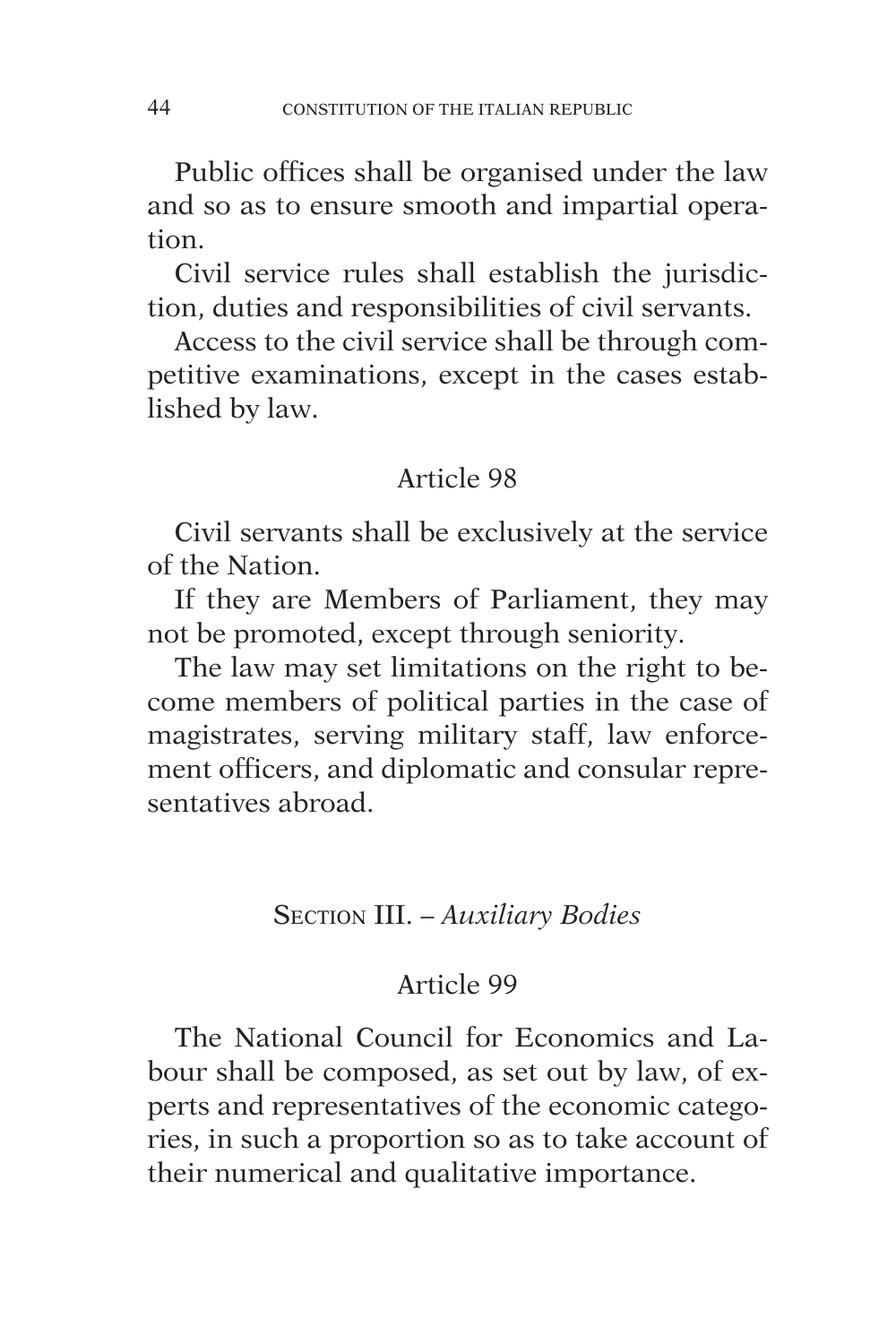Public offices shall be organised under the law and so as to ensure smooth and impartial operation.

Civil service rules shall establish the jurisdiction, duties and responsibilities of civil servants.

Access to the civil service shall be through competitive examinations, except in the cases established by law.

#### Article 98

Civil servants shall be exclusively at the service of the Nation.

If they are Members of Parliament, they may not be promoted, except through seniority.

The law may set limitations on the right to become members of political parties in the case of magistrates, serving military staff, law enforcement officers, and diplomatic and consular representatives abroad.

## Section III. – *Auxiliary Bodies*

#### Article 99

The National Council for Economics and Labour shall be composed, as set out by law, of experts and representatives of the economic categories, in such a proportion so as to take account of their numerical and qualitative importance.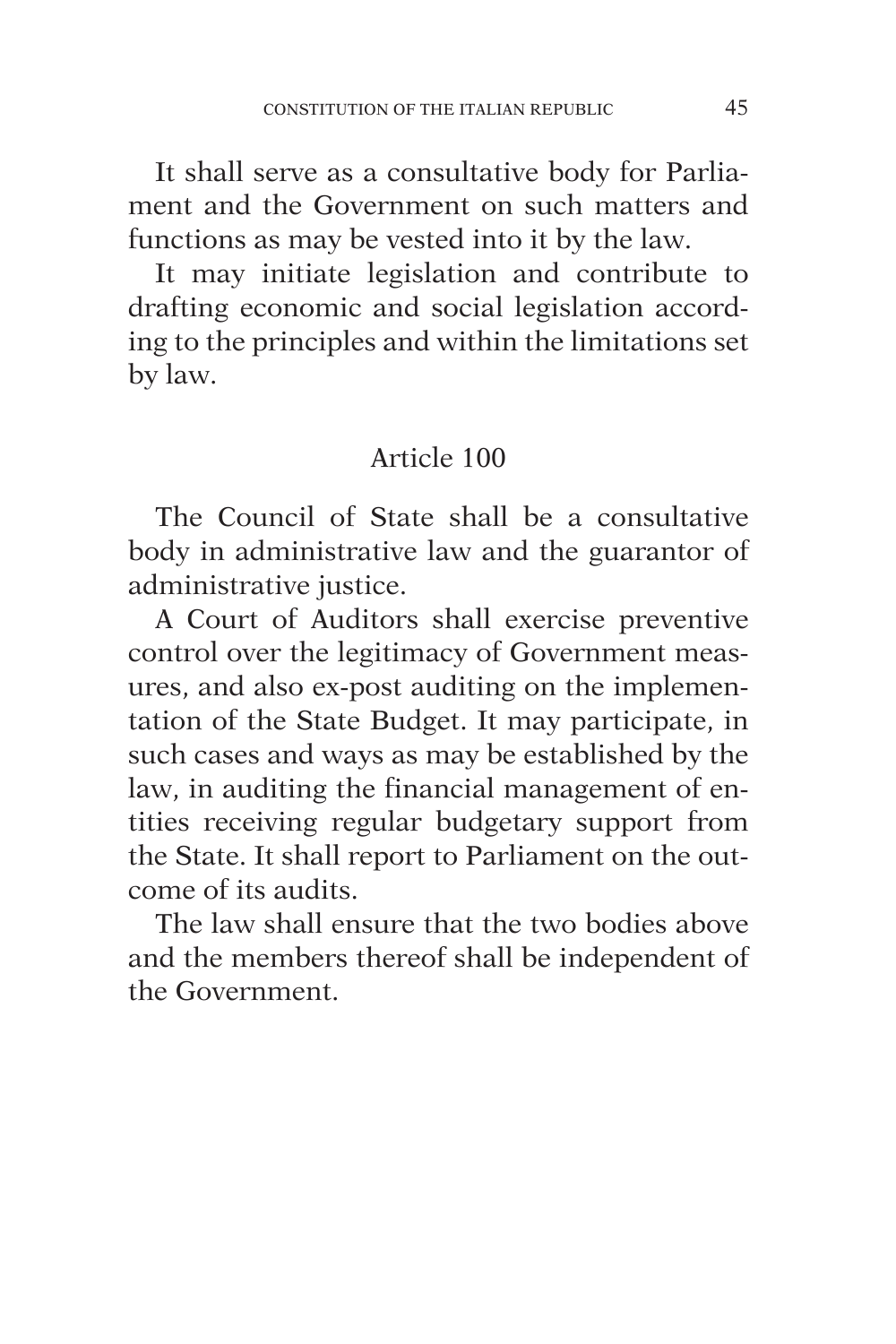It shall serve as a consultative body for Parliament and the Government on such matters and functions as may be vested into it by the law.

It may initiate legislation and contribute to drafting economic and social legislation according to the principles and within the limitations set by law.

# Article 100

The Council of State shall be a consultative body in administrative law and the guarantor of administrative justice.

A Court of Auditors shall exercise preventive control over the legitimacy of Government measures, and also ex-post auditing on the implementation of the State Budget. It may participate, in such cases and ways as may be established by the law, in auditing the financial management of entities receiving regular budgetary support from the State. It shall report to Parliament on the outcome of its audits.

The law shall ensure that the two bodies above and the members thereof shall be independent of the Government.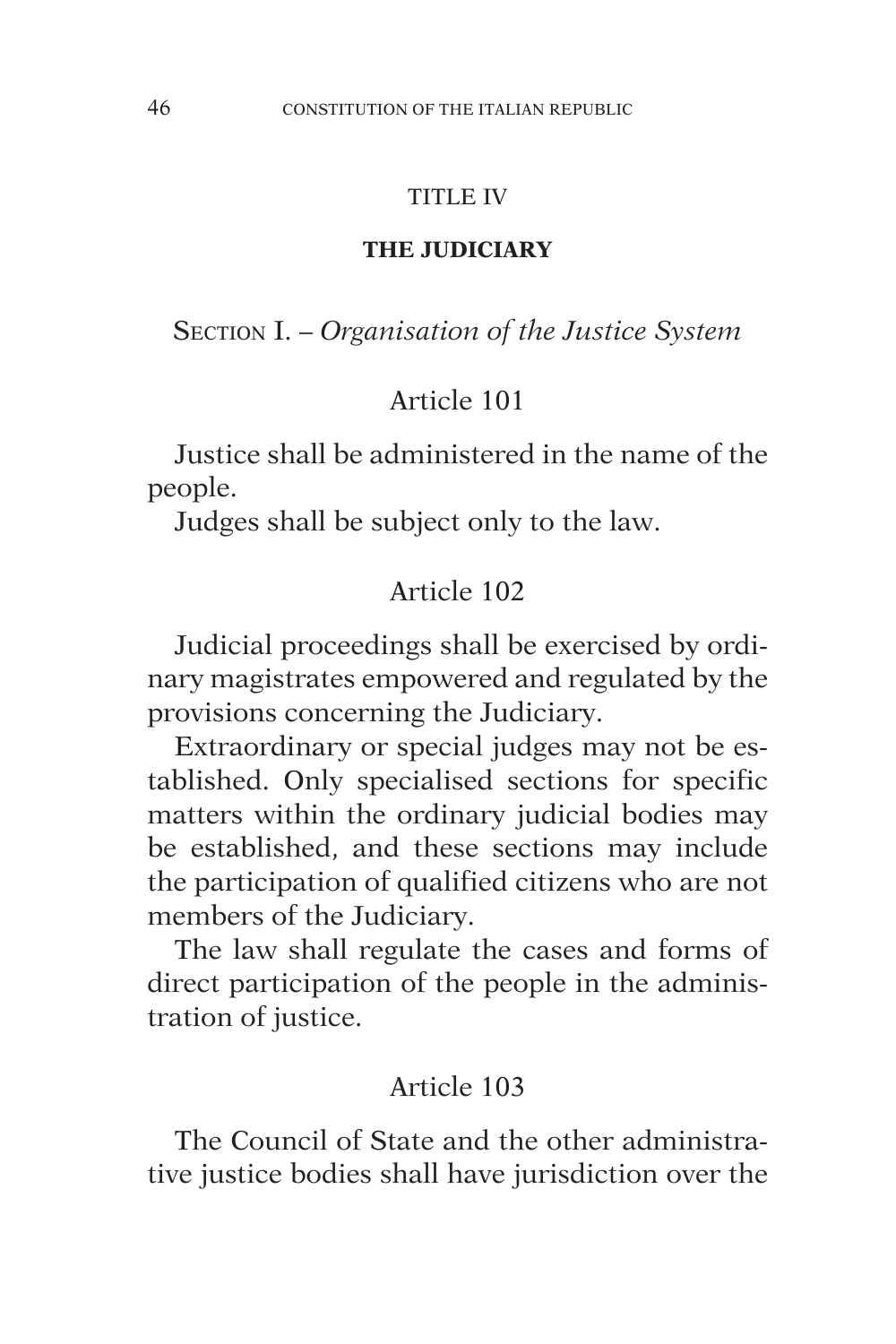#### TITLE IV

#### **THE JUDICIARY**

Section I. – *Organisation of the Justice System*

## Article 101

Justice shall be administered in the name of the people.

Judges shall be subject only to the law.

#### Article 102

Judicial proceedings shall be exercised by ordinary magistrates empowered and regulated by the provisions concerning the Judiciary.

Extraordinary or special judges may not be established. Only specialised sections for specific matters within the ordinary judicial bodies may be established, and these sections may include the participation of qualified citizens who are not members of the Judiciary.

The law shall regulate the cases and forms of direct participation of the people in the administration of justice.

## Article 103

The Council of State and the other administrative justice bodies shall have jurisdiction over the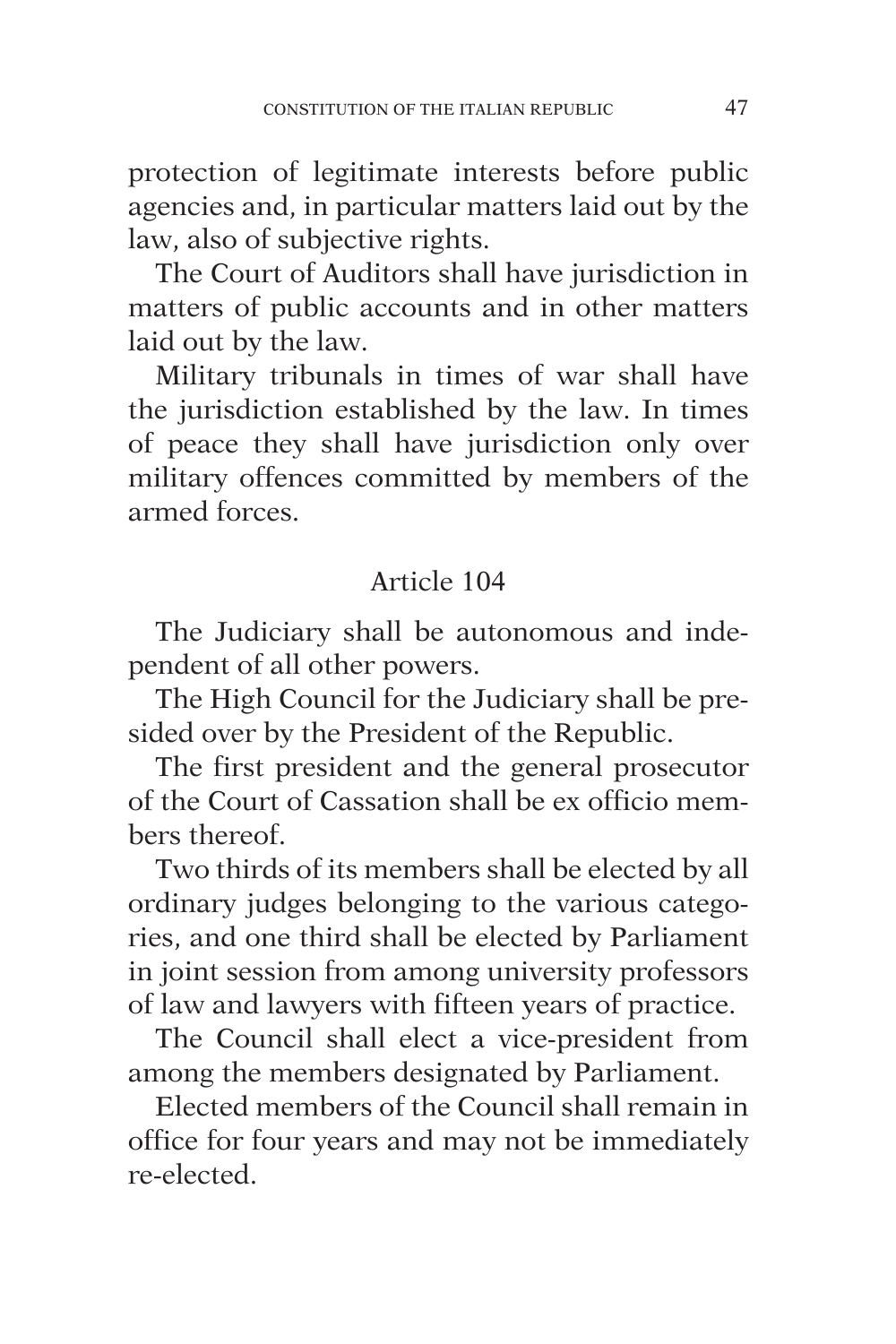protection of legitimate interests before public agencies and, in particular matters laid out by the law, also of subjective rights.

The Court of Auditors shall have jurisdiction in matters of public accounts and in other matters laid out by the law.

Military tribunals in times of war shall have the jurisdiction established by the law. In times of peace they shall have jurisdiction only over military offences committed by members of the armed forces.

## Article 104

The Judiciary shall be autonomous and independent of all other powers.

The High Council for the Judiciary shall be presided over by the President of the Republic.

The first president and the general prosecutor of the Court of Cassation shall be ex officio members thereof.

Two thirds of its members shall be elected by all ordinary judges belonging to the various categories, and one third shall be elected by Parliament in joint session from among university professors of law and lawyers with fifteen years of practice.

The Council shall elect a vice-president from among the members designated by Parliament.

Elected members of the Council shall remain in office for four years and may not be immediately re-elected.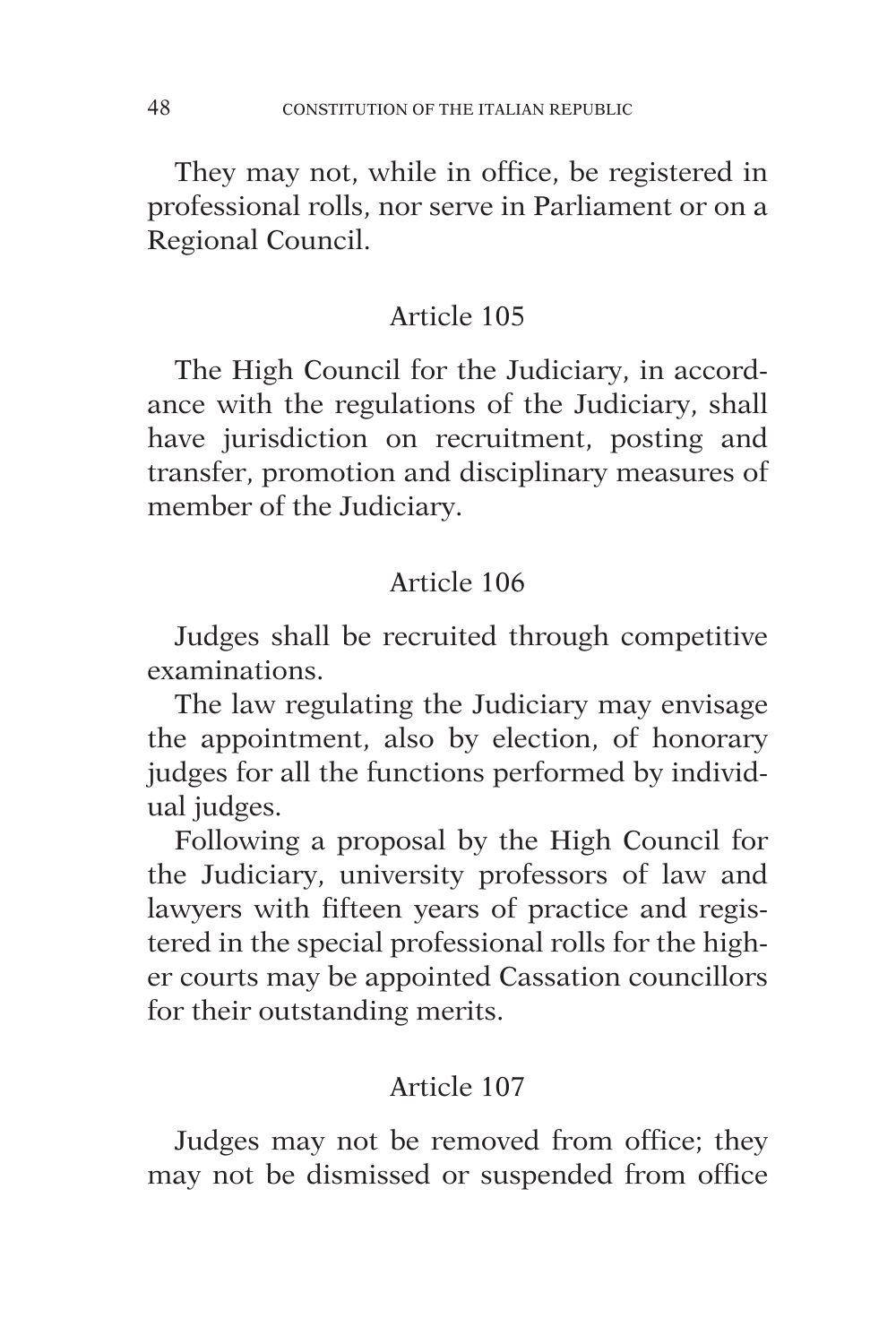They may not, while in office, be registered in professional rolls, nor serve in Parliament or on a Regional Council.

## Article 105

The High Council for the Judiciary, in accordance with the regulations of the Judiciary, shall have jurisdiction on recruitment, posting and transfer, promotion and disciplinary measures of member of the Judiciary.

## Article 106

Judges shall be recruited through competitive examinations.

The law regulating the Judiciary may envisage the appointment, also by election, of honorary judges for all the functions performed by individual judges.

Following a proposal by the High Council for the Judiciary, university professors of law and lawyers with fifteen years of practice and registered in the special professional rolls for the higher courts may be appointed Cassation councillors for their outstanding merits.

# Article 107

Judges may not be removed from office; they may not be dismissed or suspended from office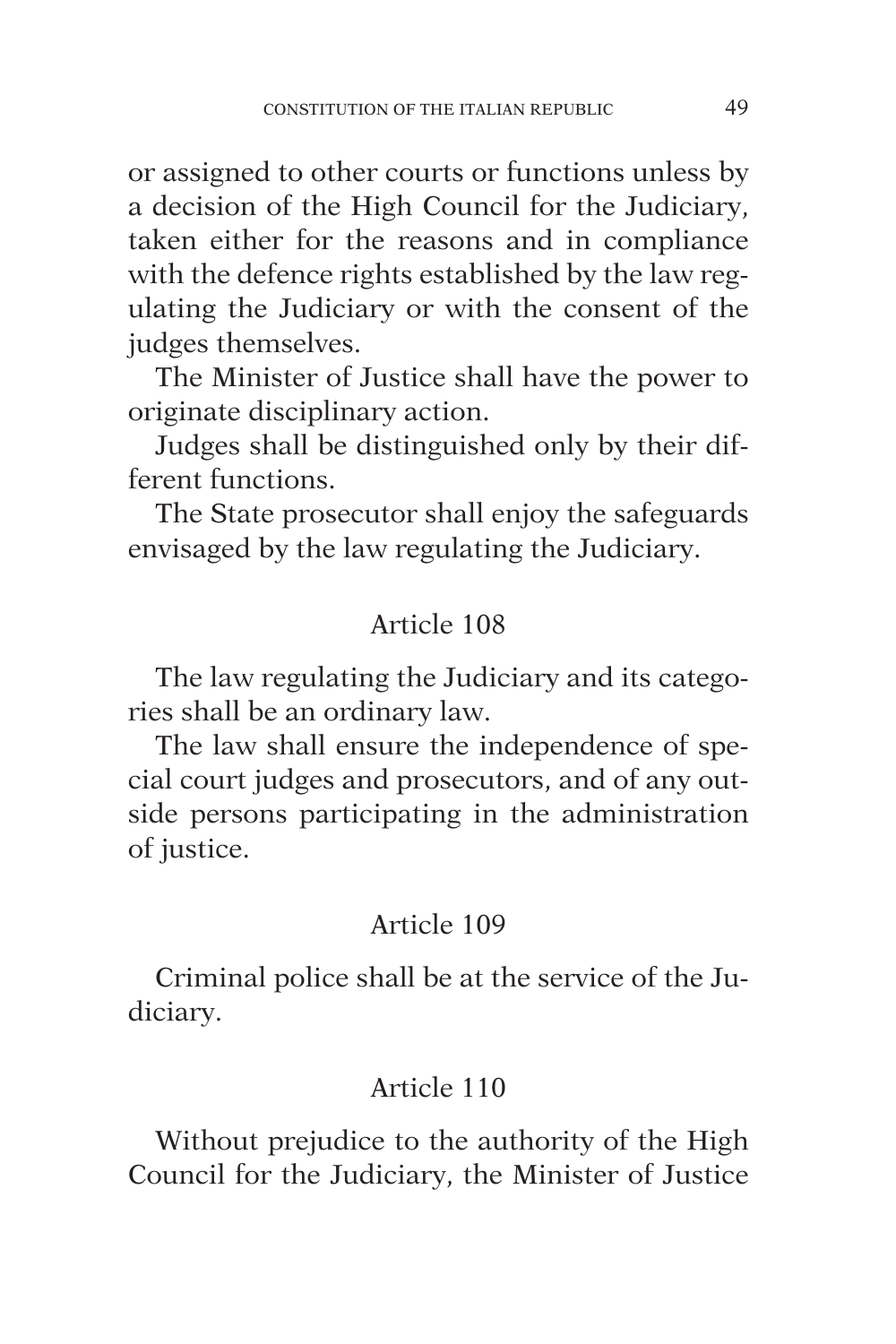or assigned to other courts or functions unless by a decision of the High Council for the Judiciary, taken either for the reasons and in compliance with the defence rights established by the law regulating the Judiciary or with the consent of the judges themselves.

The Minister of Justice shall have the power to originate disciplinary action.

Judges shall be distinguished only by their different functions.

The State prosecutor shall enjoy the safeguards envisaged by the law regulating the Judiciary.

# Article 108

The law regulating the Judiciary and its categories shall be an ordinary law.

The law shall ensure the independence of special court judges and prosecutors, and of any outside persons participating in the administration of justice.

# Article 109

Criminal police shall be at the service of the Judiciary.

# Article 110

Without prejudice to the authority of the High Council for the Judiciary, the Minister of Justice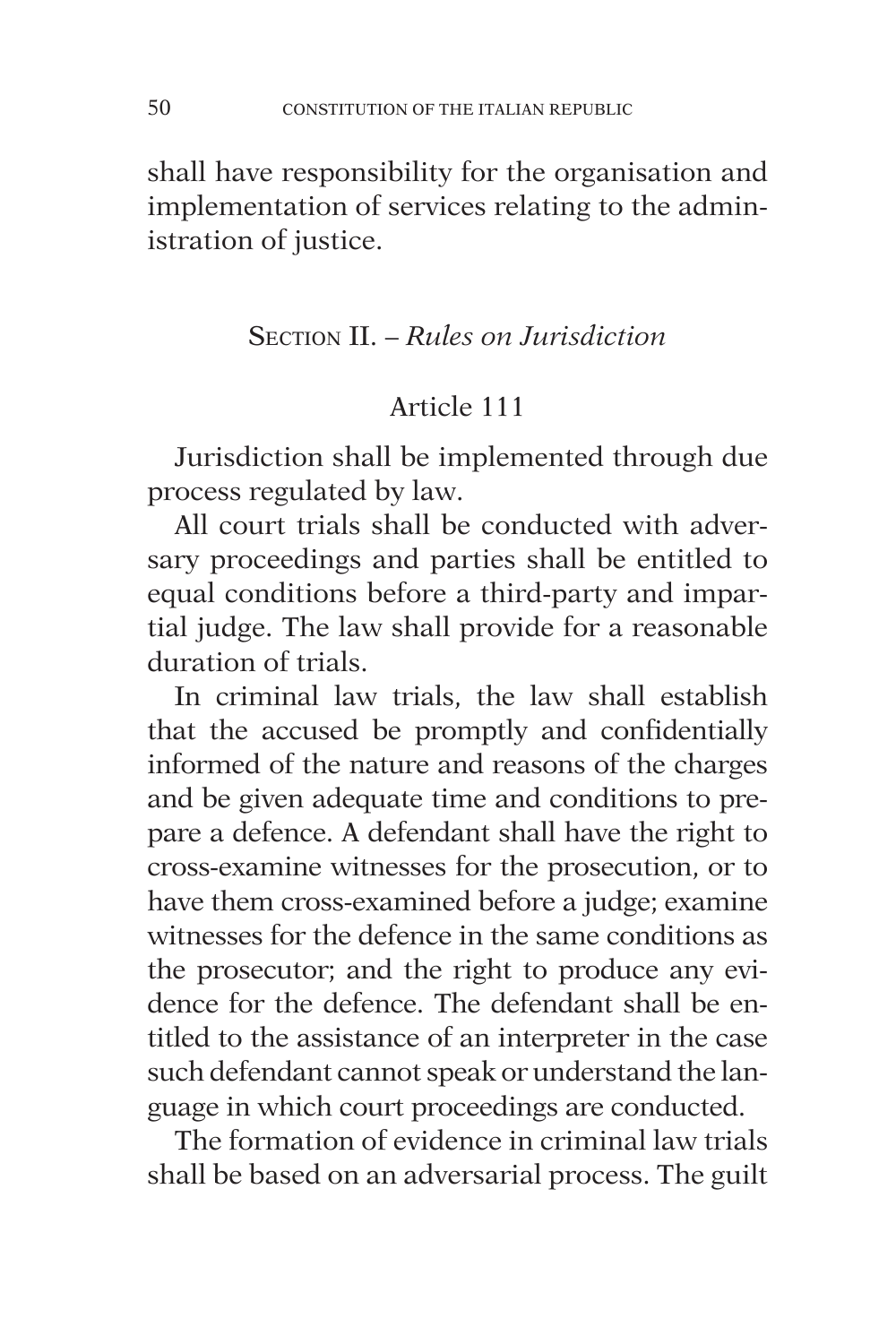shall have responsibility for the organisation and implementation of services relating to the administration of justice.

## Section II. – *Rules on Jurisdiction*

# Article 111

Jurisdiction shall be implemented through due process regulated by law.

All court trials shall be conducted with adversary proceedings and parties shall be entitled to equal conditions before a third-party and impartial judge. The law shall provide for a reasonable duration of trials.

In criminal law trials, the law shall establish that the accused be promptly and confidentially informed of the nature and reasons of the charges and be given adequate time and conditions to prepare a defence. A defendant shall have the right to cross-examine witnesses for the prosecution, or to have them cross-examined before a judge; examine witnesses for the defence in the same conditions as the prosecutor; and the right to produce any evidence for the defence. The defendant shall be entitled to the assistance of an interpreter in the case such defendant cannot speak or understand the language in which court proceedings are conducted.

The formation of evidence in criminal law trials shall be based on an adversarial process. The guilt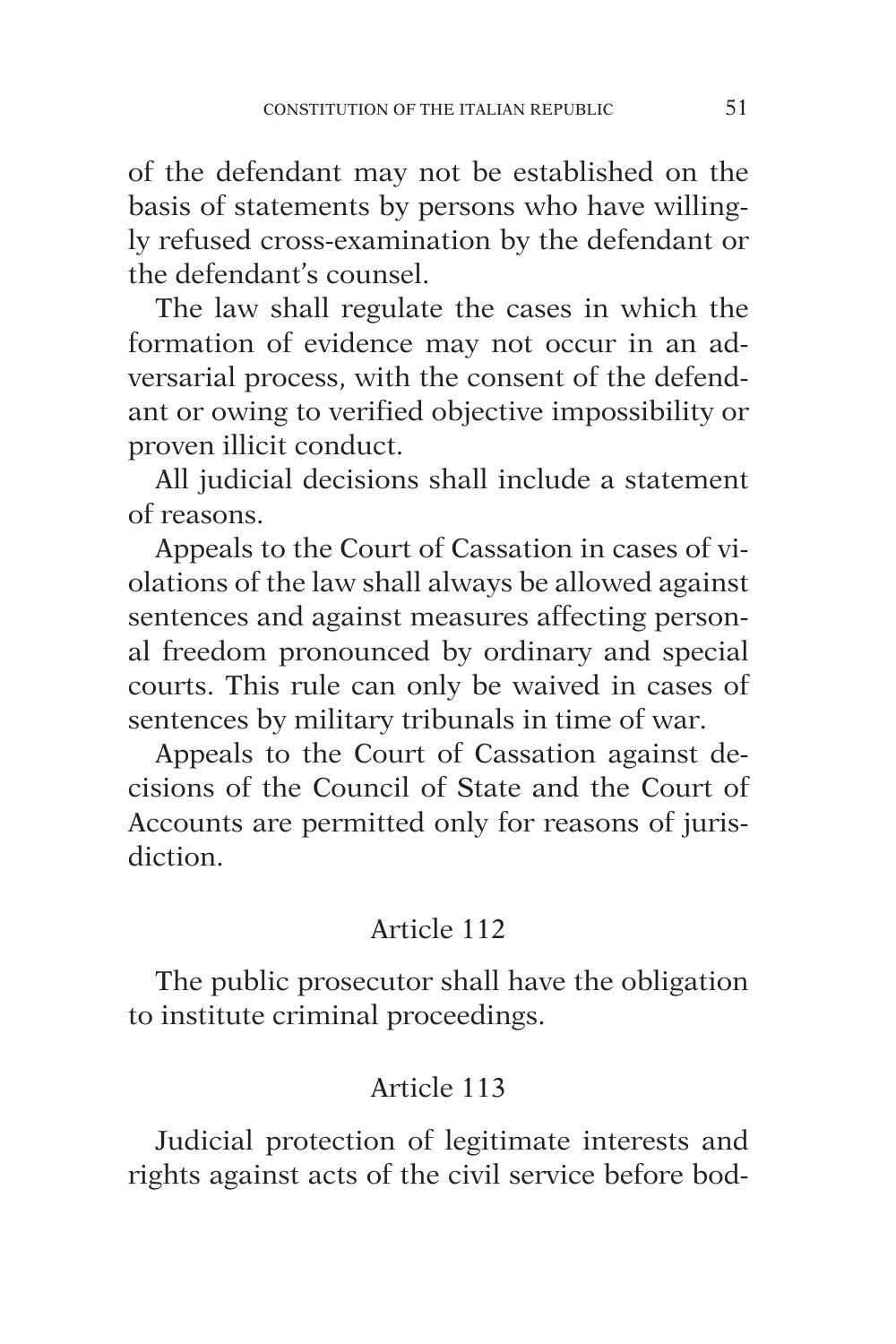of the defendant may not be established on the basis of statements by persons who have willingly refused cross-examination by the defendant or the defendant's counsel.

The law shall regulate the cases in which the formation of evidence may not occur in an adversarial process, with the consent of the defendant or owing to verified objective impossibility or proven illicit conduct.

All judicial decisions shall include a statement of reasons.

Appeals to the Court of Cassation in cases of violations of the law shall always be allowed against sentences and against measures affecting personal freedom pronounced by ordinary and special courts. This rule can only be waived in cases of sentences by military tribunals in time of war.

Appeals to the Court of Cassation against decisions of the Council of State and the Court of Accounts are permitted only for reasons of jurisdiction.

# Article 112

The public prosecutor shall have the obligation to institute criminal proceedings.

# Article 113

Judicial protection of legitimate interests and rights against acts of the civil service before bod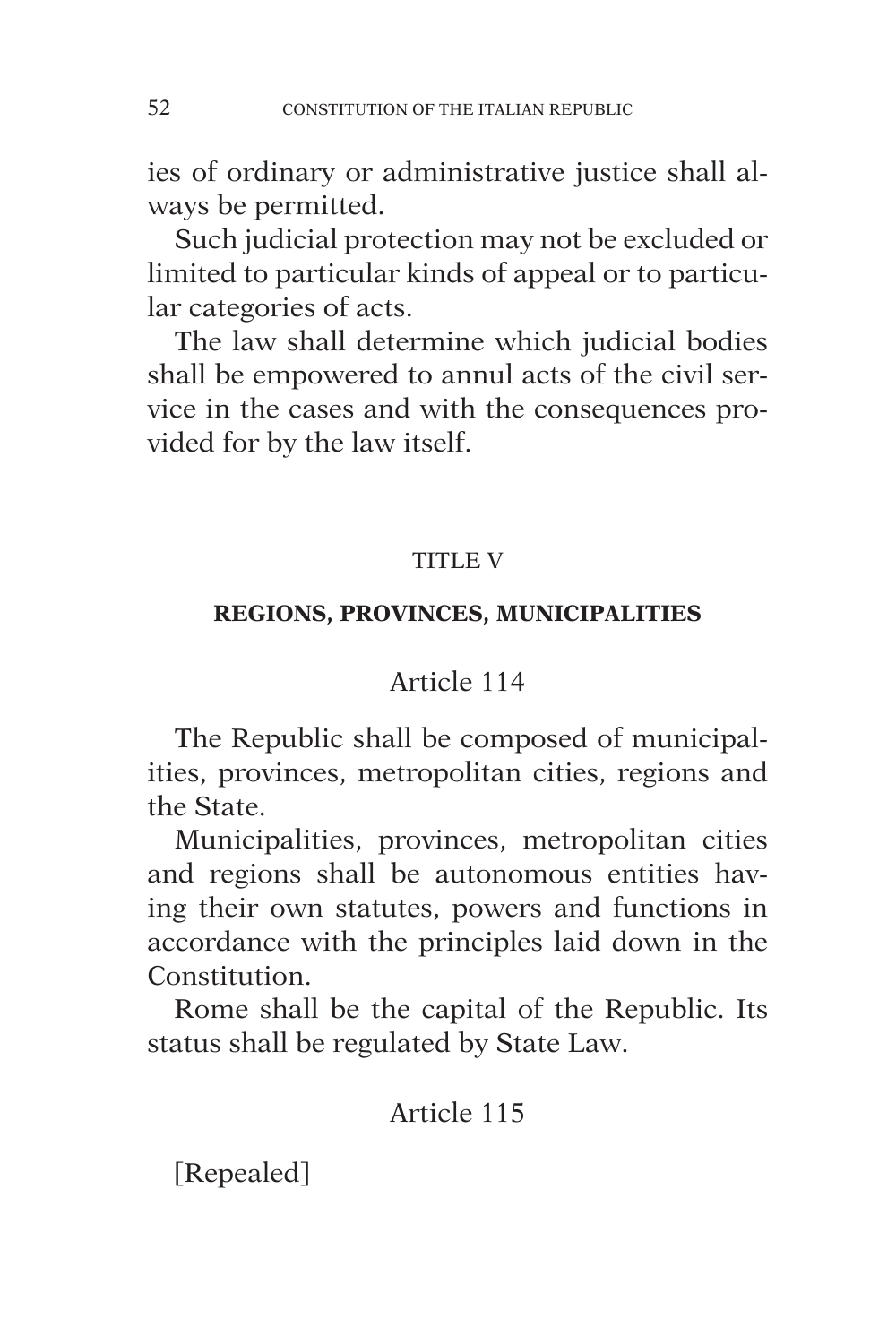ies of ordinary or administrative justice shall always be permitted.

Such judicial protection may not be excluded or limited to particular kinds of appeal or to particular categories of acts.

The law shall determine which judicial bodies shall be empowered to annul acts of the civil service in the cases and with the consequences provided for by the law itself.

## TITLE V

## **REGIONS, PROVINCES, MUNICIPALITIES**

# Article 114

The Republic shall be composed of municipalities, provinces, metropolitan cities, regions and the State.

Municipalities, provinces, metropolitan cities and regions shall be autonomous entities having their own statutes, powers and functions in accordance with the principles laid down in the Constitution.

Rome shall be the capital of the Republic. Its status shall be regulated by State Law.

# Article 115

[Repealed]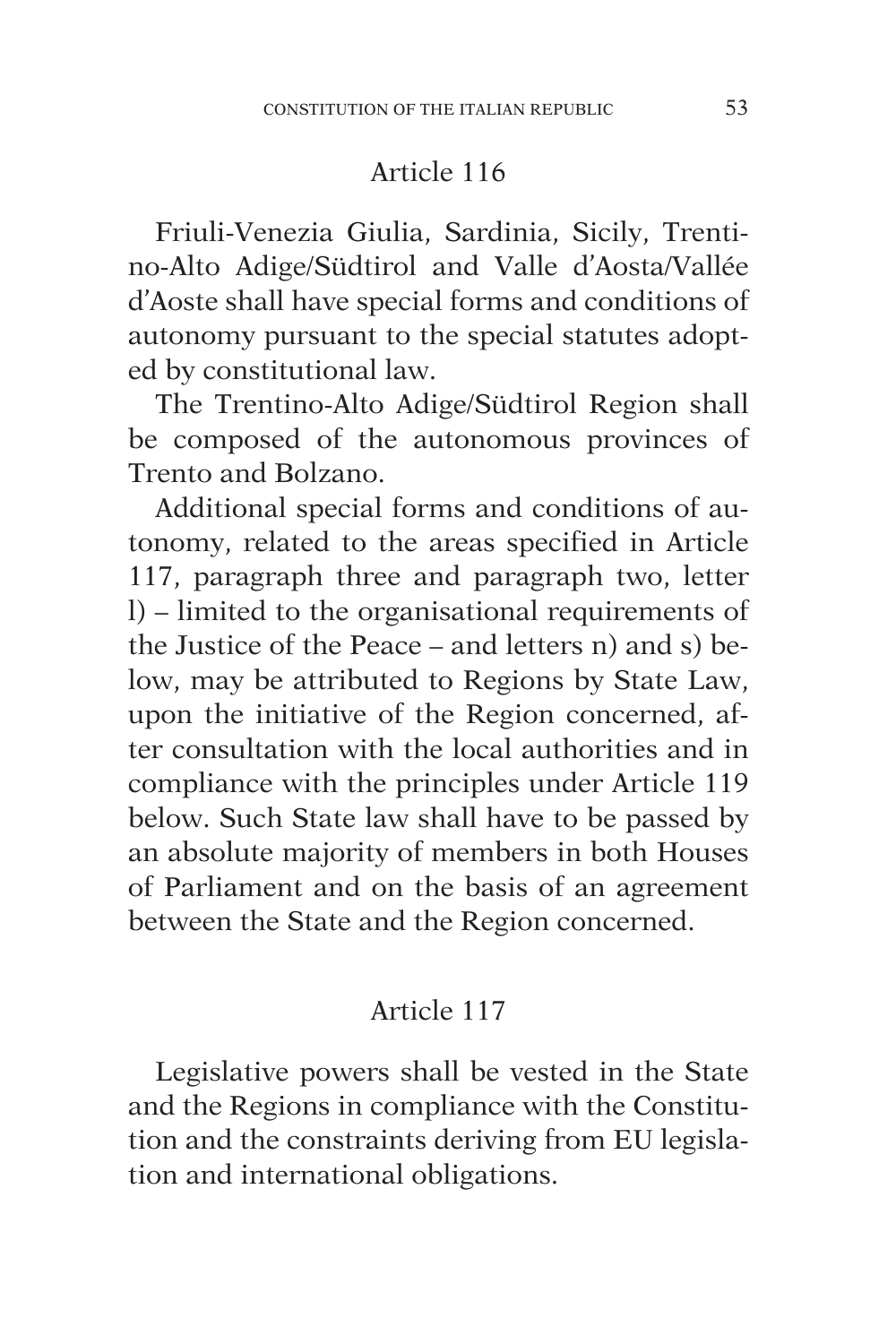Friuli-Venezia Giulia, Sardinia, Sicily, Trentino-Alto Adige/Südtirol and Valle d'Aosta/Vallée d'Aoste shall have special forms and conditions of autonomy pursuant to the special statutes adopted by constitutional law.

The Trentino-Alto Adige/Südtirol Region shall be composed of the autonomous provinces of Trento and Bolzano.

Additional special forms and conditions of autonomy, related to the areas specified in Article 117, paragraph three and paragraph two, letter l) – limited to the organisational requirements of the Justice of the Peace – and letters n) and s) below, may be attributed to Regions by State Law, upon the initiative of the Region concerned, after consultation with the local authorities and in compliance with the principles under Article 119 below. Such State law shall have to be passed by an absolute majority of members in both Houses of Parliament and on the basis of an agreement between the State and the Region concerned.

## Article 117

Legislative powers shall be vested in the State and the Regions in compliance with the Constitution and the constraints deriving from EU legislation and international obligations.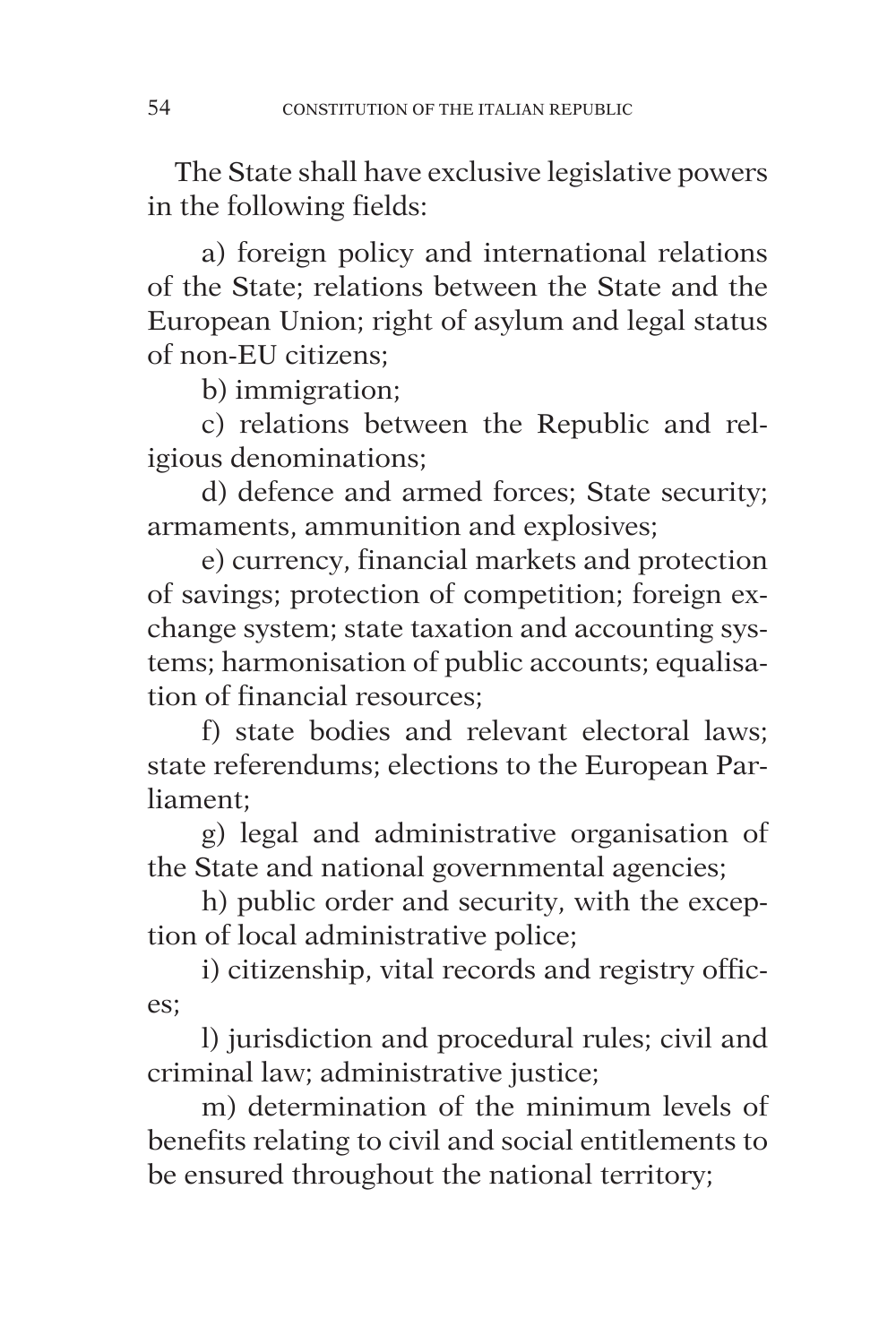The State shall have exclusive legislative powers in the following fields:

a) foreign policy and international relations of the State; relations between the State and the European Union; right of asylum and legal status of non-EU citizens;

b) immigration;

c) relations between the Republic and religious denominations;

d) defence and armed forces; State security; armaments, ammunition and explosives;

e) currency, financial markets and protection of savings; protection of competition; foreign exchange system; state taxation and accounting systems; harmonisation of public accounts; equalisation of financial resources;

f) state bodies and relevant electoral laws; state referendums; elections to the European Parliament;

g) legal and administrative organisation of the State and national governmental agencies;

h) public order and security, with the exception of local administrative police;

i) citizenship, vital records and registry offices;

l) jurisdiction and procedural rules; civil and criminal law; administrative justice;

m) determination of the minimum levels of benefits relating to civil and social entitlements to be ensured throughout the national territory;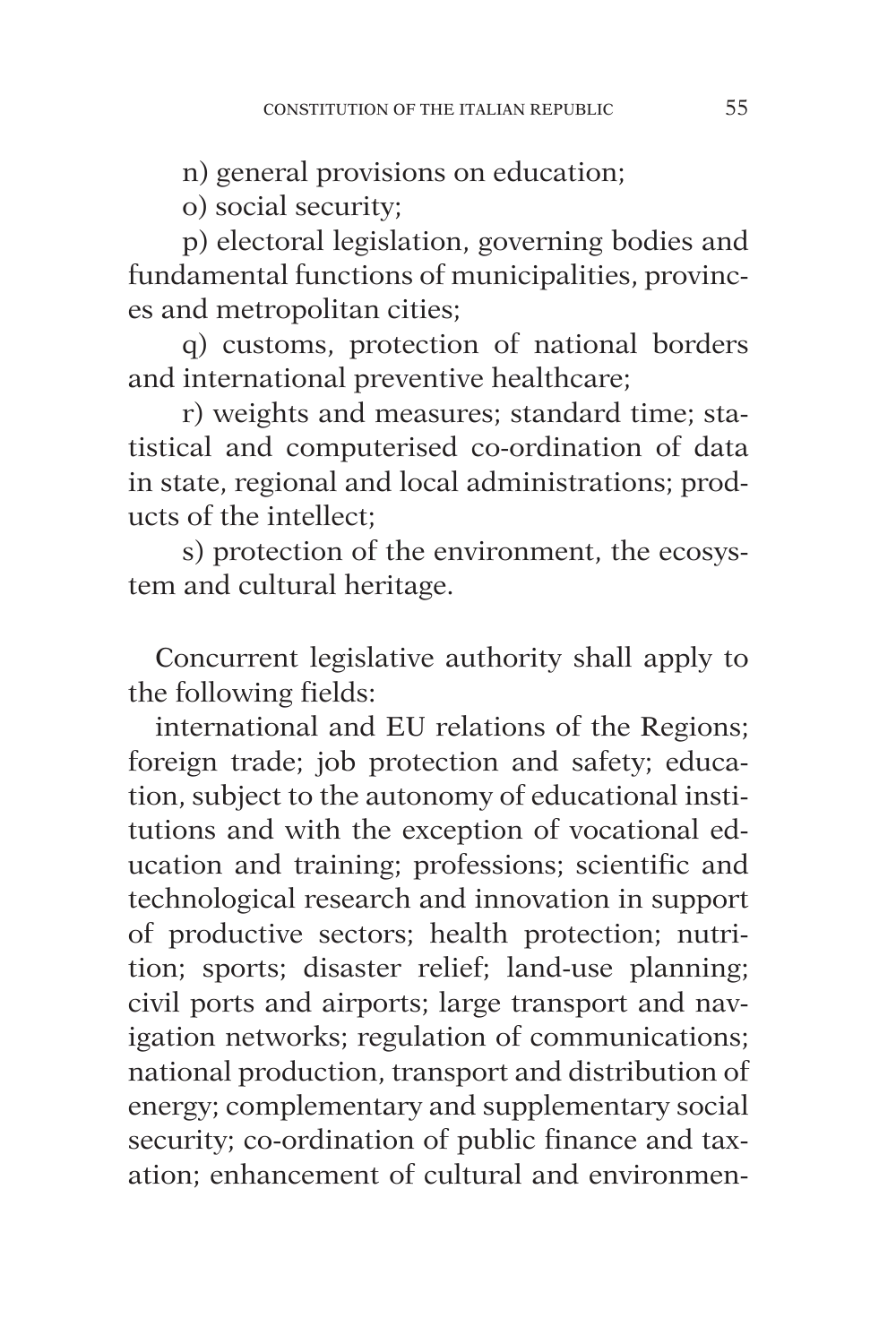n) general provisions on education;

o) social security;

p) electoral legislation, governing bodies and fundamental functions of municipalities, provinces and metropolitan cities;

q) customs, protection of national borders and international preventive healthcare;

r) weights and measures; standard time; statistical and computerised co-ordination of data in state, regional and local administrations; products of the intellect;

s) protection of the environment, the ecosystem and cultural heritage.

Concurrent legislative authority shall apply to the following fields:

international and EU relations of the Regions; foreign trade; job protection and safety; education, subject to the autonomy of educational institutions and with the exception of vocational education and training; professions; scientific and technological research and innovation in support of productive sectors; health protection; nutrition; sports; disaster relief; land-use planning; civil ports and airports; large transport and navigation networks; regulation of communications; national production, transport and distribution of energy; complementary and supplementary social security; co-ordination of public finance and taxation; enhancement of cultural and environmen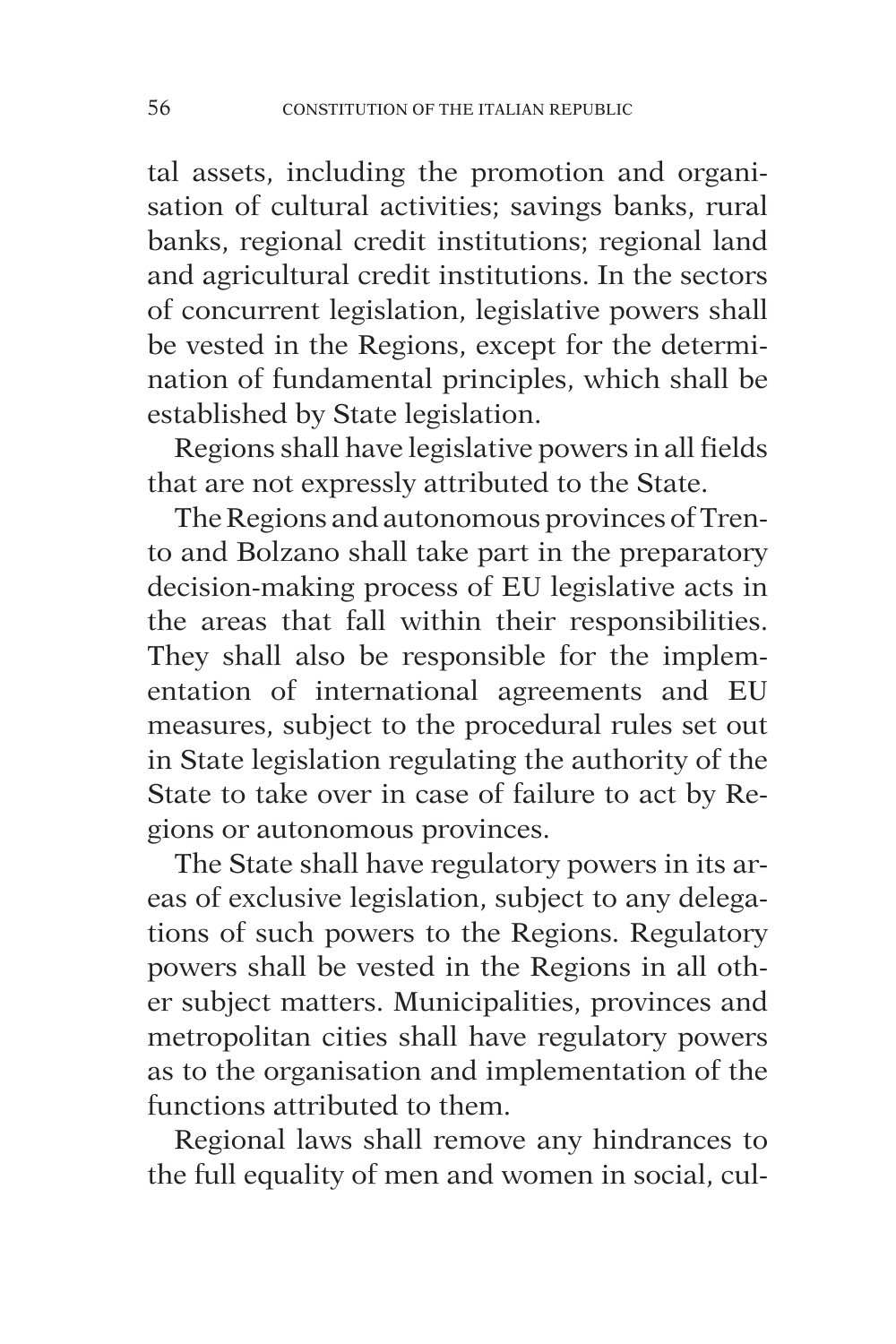tal assets, including the promotion and organisation of cultural activities; savings banks, rural banks, regional credit institutions; regional land and agricultural credit institutions. In the sectors of concurrent legislation, legislative powers shall be vested in the Regions, except for the determination of fundamental principles, which shall be established by State legislation.

Regions shall have legislative powers in all fields that are not expressly attributed to the State.

The Regions and autonomous provinces of Trento and Bolzano shall take part in the preparatory decision-making process of EU legislative acts in the areas that fall within their responsibilities. They shall also be responsible for the implementation of international agreements and EU measures, subject to the procedural rules set out in State legislation regulating the authority of the State to take over in case of failure to act by Regions or autonomous provinces.

The State shall have regulatory powers in its areas of exclusive legislation, subject to any delegations of such powers to the Regions. Regulatory powers shall be vested in the Regions in all other subject matters. Municipalities, provinces and metropolitan cities shall have regulatory powers as to the organisation and implementation of the functions attributed to them.

Regional laws shall remove any hindrances to the full equality of men and women in social, cul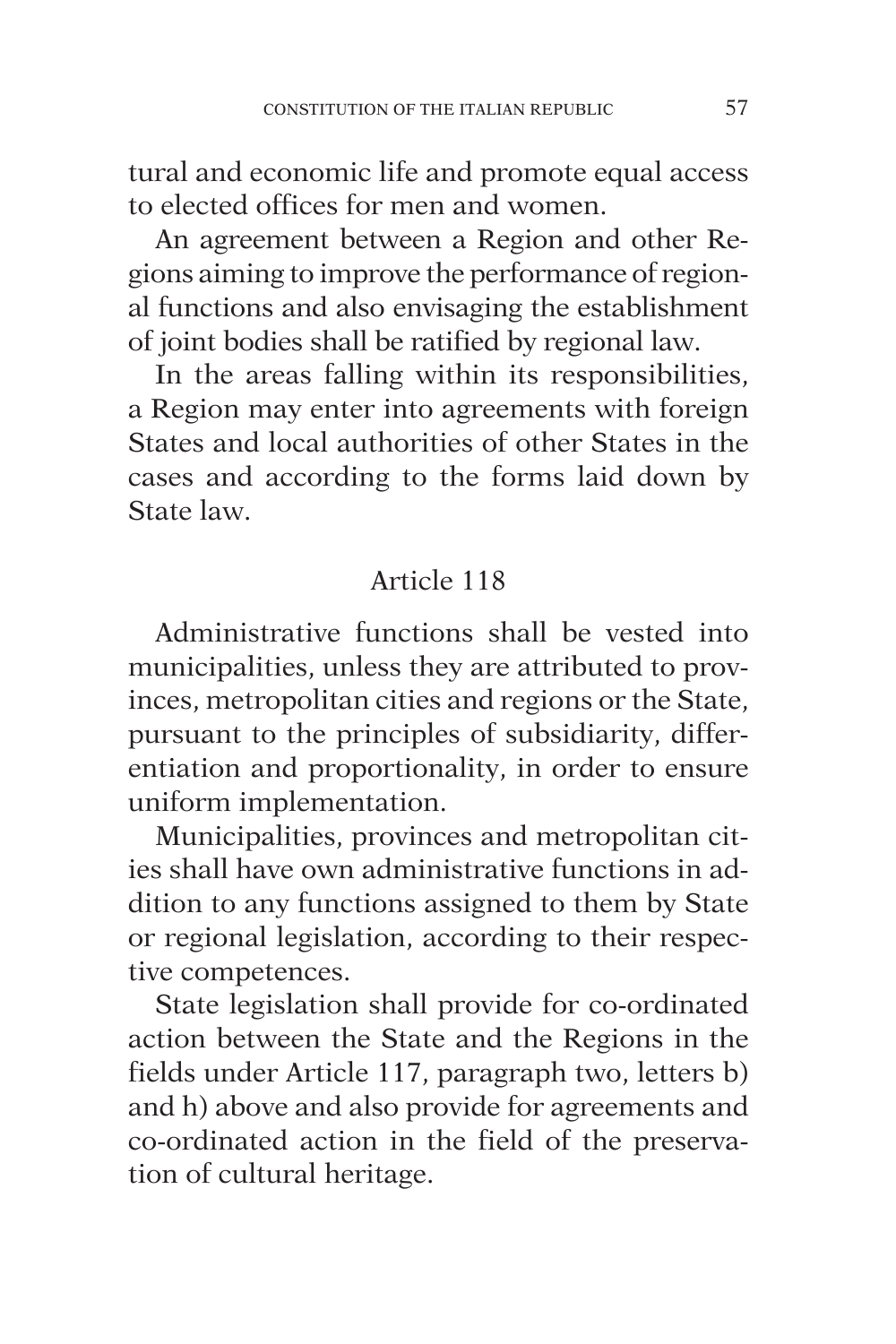tural and economic life and promote equal access to elected offices for men and women.

An agreement between a Region and other Regions aiming to improve the performance of regional functions and also envisaging the establishment of joint bodies shall be ratified by regional law.

In the areas falling within its responsibilities, a Region may enter into agreements with foreign States and local authorities of other States in the cases and according to the forms laid down by State law.

# Article 118

Administrative functions shall be vested into municipalities, unless they are attributed to provinces, metropolitan cities and regions or the State, pursuant to the principles of subsidiarity, differentiation and proportionality, in order to ensure uniform implementation.

Municipalities, provinces and metropolitan cities shall have own administrative functions in addition to any functions assigned to them by State or regional legislation, according to their respective competences.

State legislation shall provide for co-ordinated action between the State and the Regions in the fields under Article 117, paragraph two, letters b) and h) above and also provide for agreements and co-ordinated action in the field of the preservation of cultural heritage.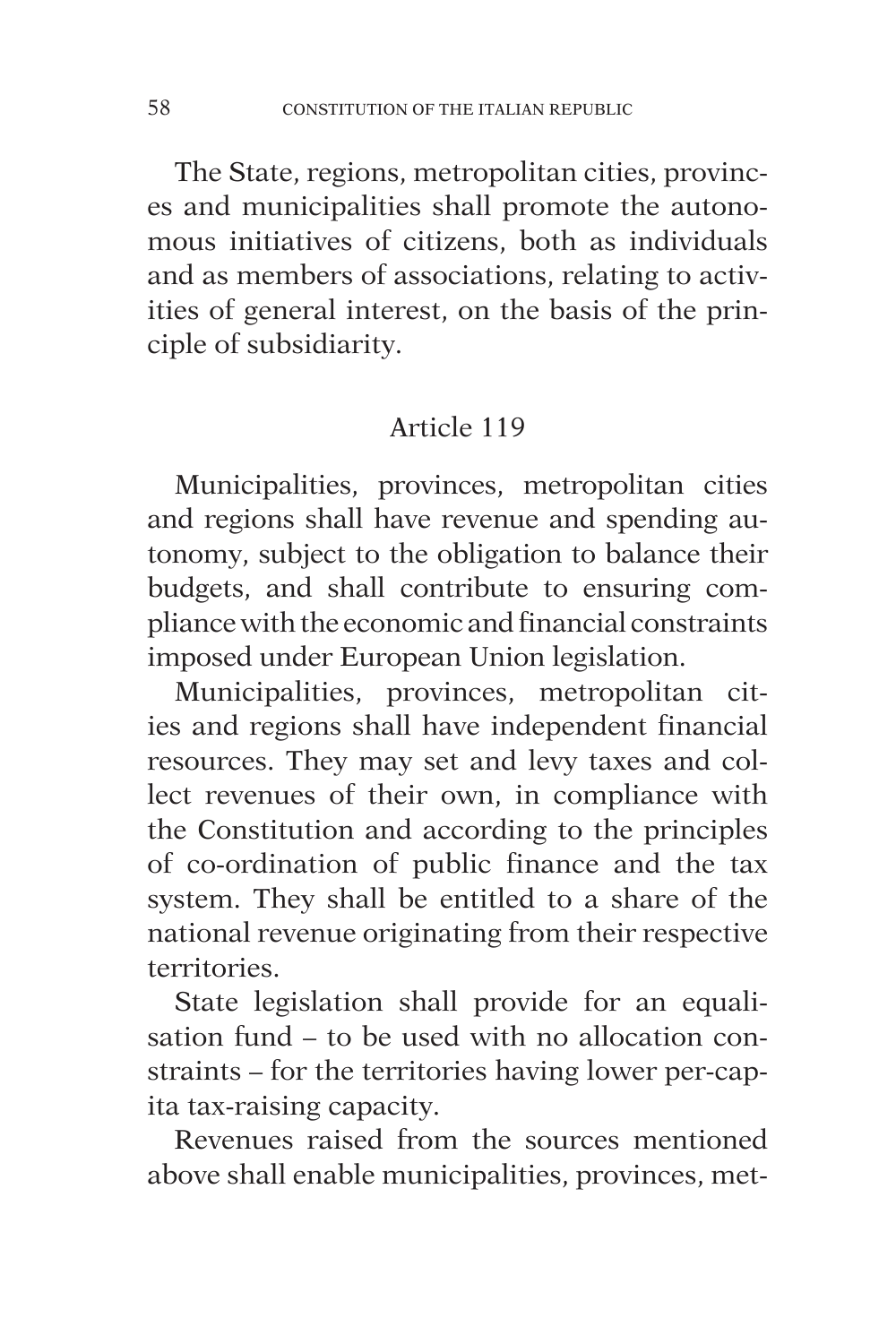The State, regions, metropolitan cities, provinces and municipalities shall promote the autonomous initiatives of citizens, both as individuals and as members of associations, relating to activities of general interest, on the basis of the principle of subsidiarity.

# Article 119

Municipalities, provinces, metropolitan cities and regions shall have revenue and spending autonomy, subject to the obligation to balance their budgets, and shall contribute to ensuring compliance with the economic and financial constraints imposed under European Union legislation.

Municipalities, provinces, metropolitan cities and regions shall have independent financial resources. They may set and levy taxes and collect revenues of their own, in compliance with the Constitution and according to the principles of co-ordination of public finance and the tax system. They shall be entitled to a share of the national revenue originating from their respective territories.

State legislation shall provide for an equalisation fund – to be used with no allocation constraints – for the territories having lower per-capita tax-raising capacity.

Revenues raised from the sources mentioned above shall enable municipalities, provinces, met-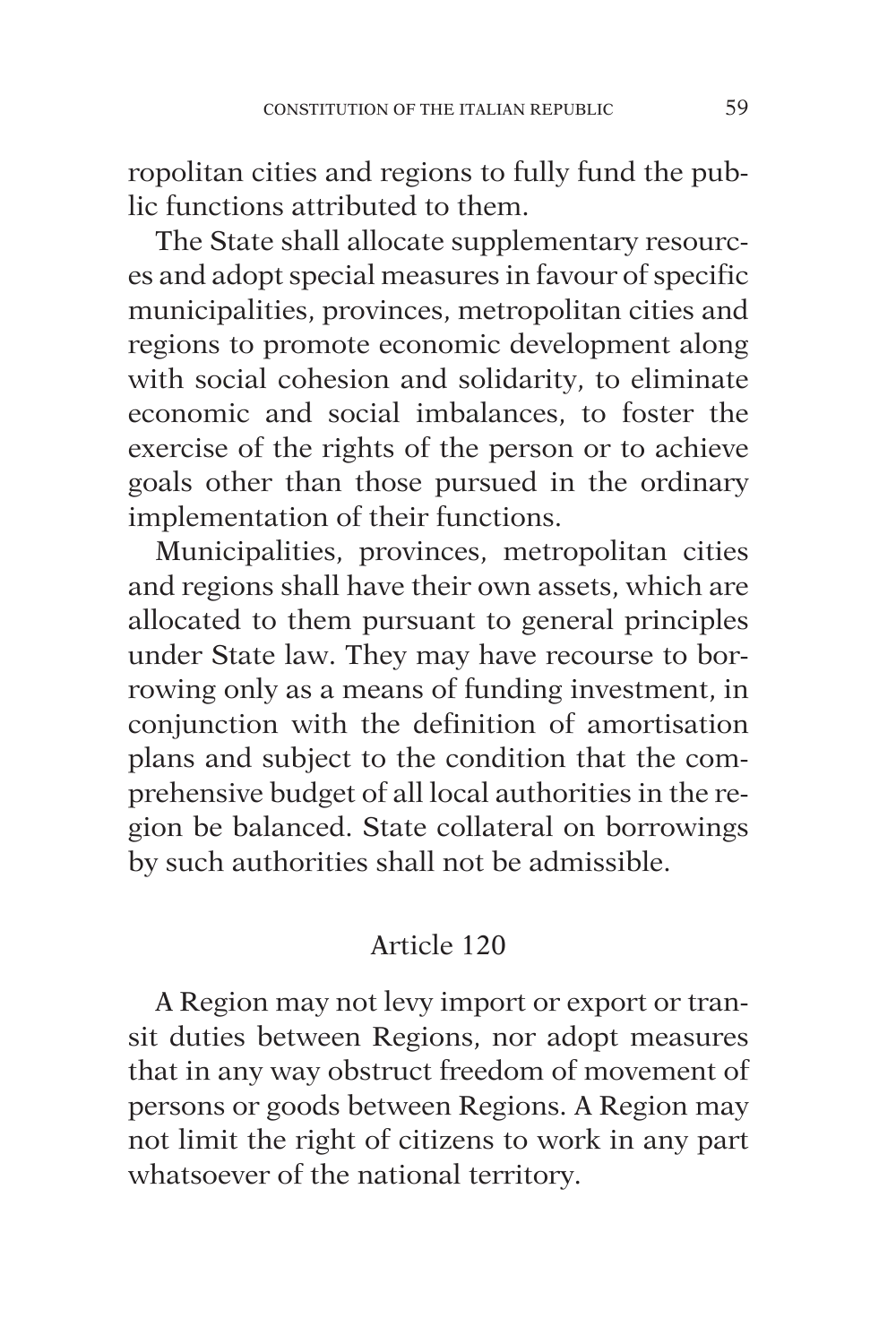ropolitan cities and regions to fully fund the public functions attributed to them.

The State shall allocate supplementary resources and adopt special measures in favour of specific municipalities, provinces, metropolitan cities and regions to promote economic development along with social cohesion and solidarity, to eliminate economic and social imbalances, to foster the exercise of the rights of the person or to achieve goals other than those pursued in the ordinary implementation of their functions.

Municipalities, provinces, metropolitan cities and regions shall have their own assets, which are allocated to them pursuant to general principles under State law. They may have recourse to borrowing only as a means of funding investment, in conjunction with the definition of amortisation plans and subject to the condition that the comprehensive budget of all local authorities in the region be balanced. State collateral on borrowings by such authorities shall not be admissible.

# Article 120

A Region may not levy import or export or transit duties between Regions, nor adopt measures that in any way obstruct freedom of movement of persons or goods between Regions. A Region may not limit the right of citizens to work in any part whatsoever of the national territory.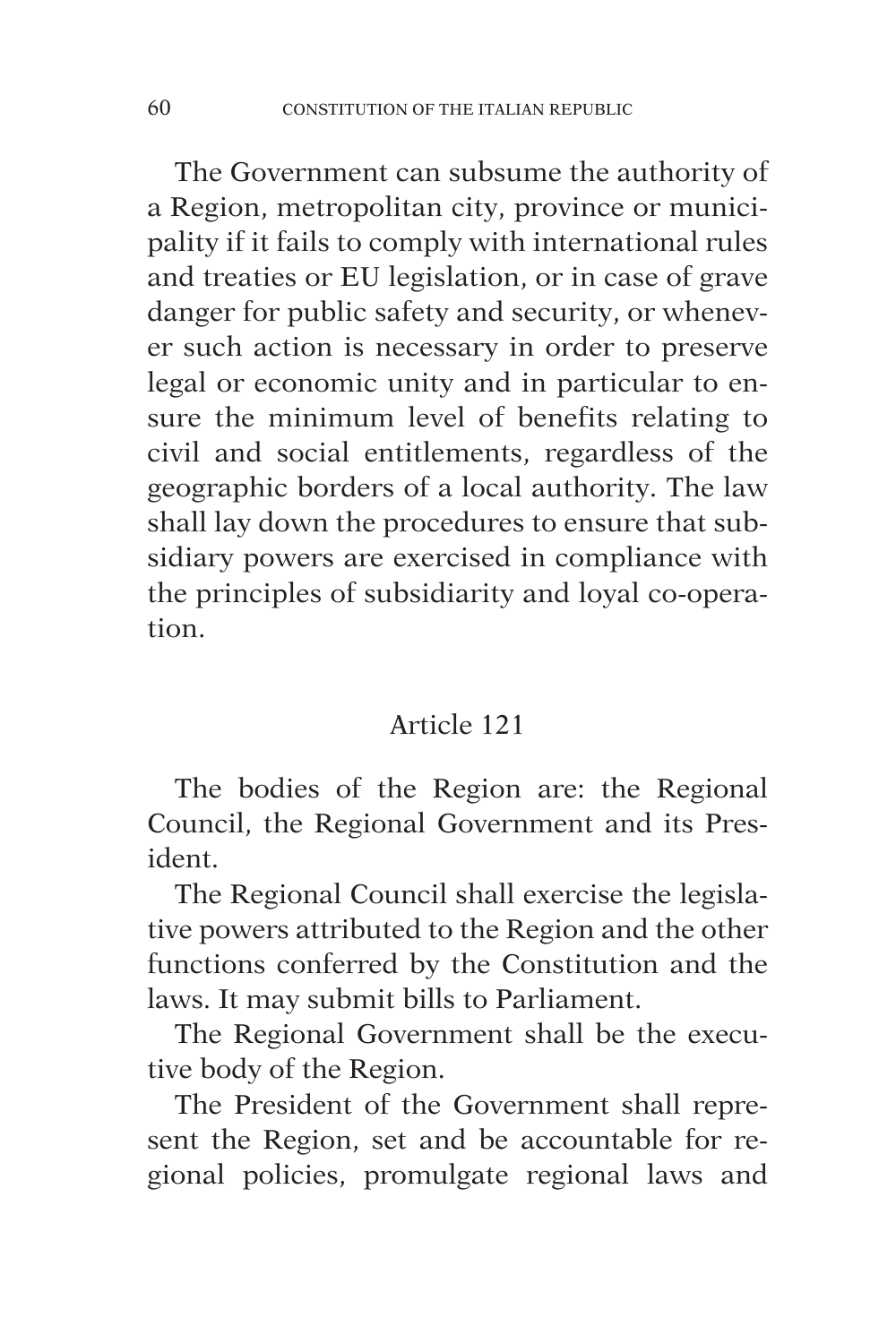The Government can subsume the authority of a Region, metropolitan city, province or municipality if it fails to comply with international rules and treaties or EU legislation, or in case of grave danger for public safety and security, or whenever such action is necessary in order to preserve legal or economic unity and in particular to ensure the minimum level of benefits relating to civil and social entitlements, regardless of the geographic borders of a local authority. The law shall lay down the procedures to ensure that subsidiary powers are exercised in compliance with the principles of subsidiarity and loyal co-operation.

# Article 121

The bodies of the Region are: the Regional Council, the Regional Government and its President.

The Regional Council shall exercise the legislative powers attributed to the Region and the other functions conferred by the Constitution and the laws. It may submit bills to Parliament.

The Regional Government shall be the executive body of the Region.

The President of the Government shall represent the Region, set and be accountable for regional policies, promulgate regional laws and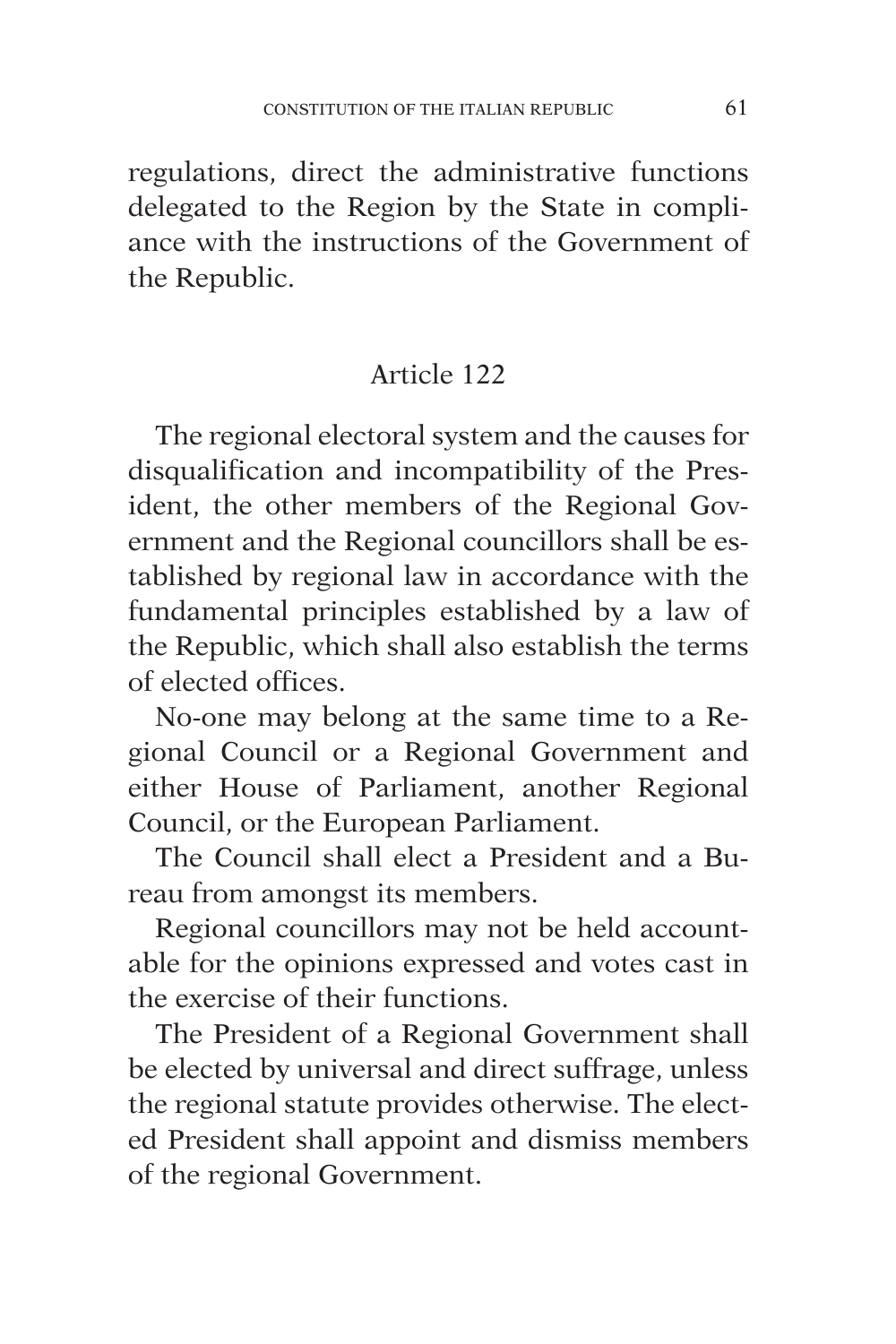regulations, direct the administrative functions delegated to the Region by the State in compliance with the instructions of the Government of the Republic.

## Article 122

The regional electoral system and the causes for disqualification and incompatibility of the President, the other members of the Regional Government and the Regional councillors shall be established by regional law in accordance with the fundamental principles established by a law of the Republic, which shall also establish the terms of elected offices.

No-one may belong at the same time to a Regional Council or a Regional Government and either House of Parliament, another Regional Council, or the European Parliament.

The Council shall elect a President and a Bureau from amongst its members.

Regional councillors may not be held accountable for the opinions expressed and votes cast in the exercise of their functions.

The President of a Regional Government shall be elected by universal and direct suffrage, unless the regional statute provides otherwise. The elected President shall appoint and dismiss members of the regional Government.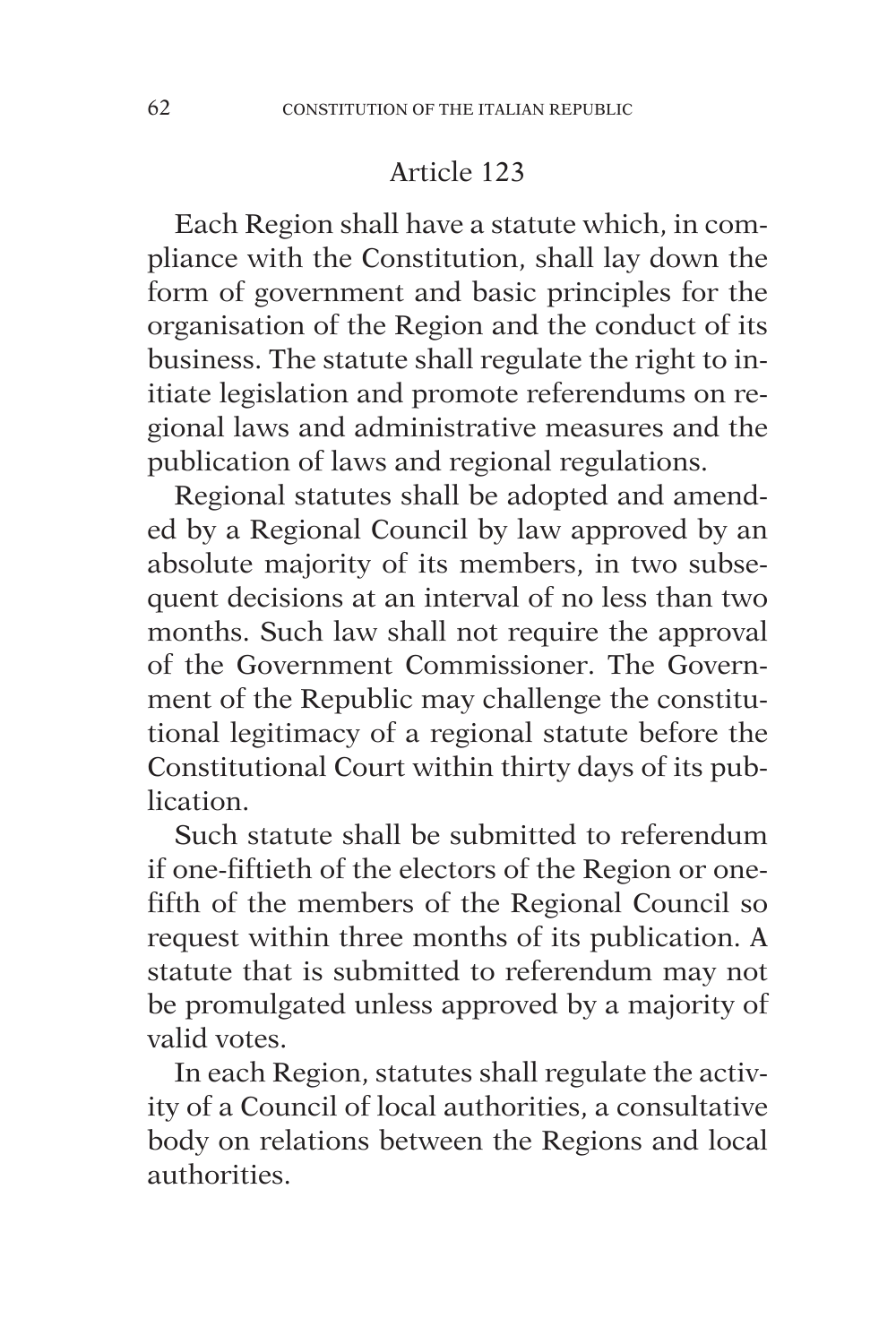Each Region shall have a statute which, in compliance with the Constitution, shall lay down the form of government and basic principles for the organisation of the Region and the conduct of its business. The statute shall regulate the right to initiate legislation and promote referendums on regional laws and administrative measures and the publication of laws and regional regulations.

Regional statutes shall be adopted and amended by a Regional Council by law approved by an absolute majority of its members, in two subsequent decisions at an interval of no less than two months. Such law shall not require the approval of the Government Commissioner. The Government of the Republic may challenge the constitutional legitimacy of a regional statute before the Constitutional Court within thirty days of its publication.

Such statute shall be submitted to referendum if one-fiftieth of the electors of the Region or onefifth of the members of the Regional Council so request within three months of its publication. A statute that is submitted to referendum may not be promulgated unless approved by a majority of valid votes.

In each Region, statutes shall regulate the activity of a Council of local authorities, a consultative body on relations between the Regions and local authorities.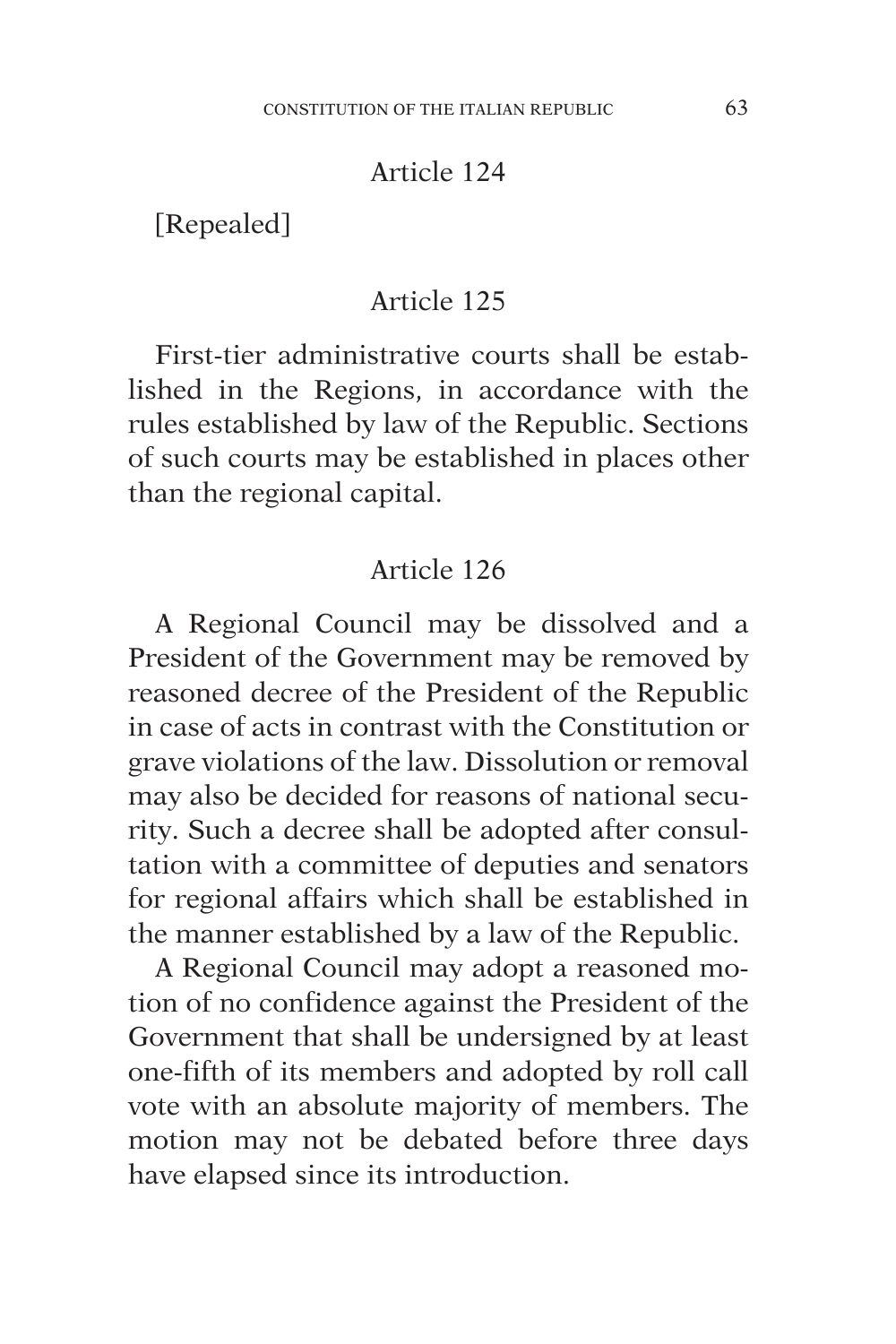[Repealed]

### Article 125

First-tier administrative courts shall be established in the Regions, in accordance with the rules established by law of the Republic. Sections of such courts may be established in places other than the regional capital.

## Article 126

A Regional Council may be dissolved and a President of the Government may be removed by reasoned decree of the President of the Republic in case of acts in contrast with the Constitution or grave violations of the law. Dissolution or removal may also be decided for reasons of national security. Such a decree shall be adopted after consultation with a committee of deputies and senators for regional affairs which shall be established in the manner established by a law of the Republic.

A Regional Council may adopt a reasoned motion of no confidence against the President of the Government that shall be undersigned by at least one-fifth of its members and adopted by roll call vote with an absolute majority of members. The motion may not be debated before three days have elapsed since its introduction.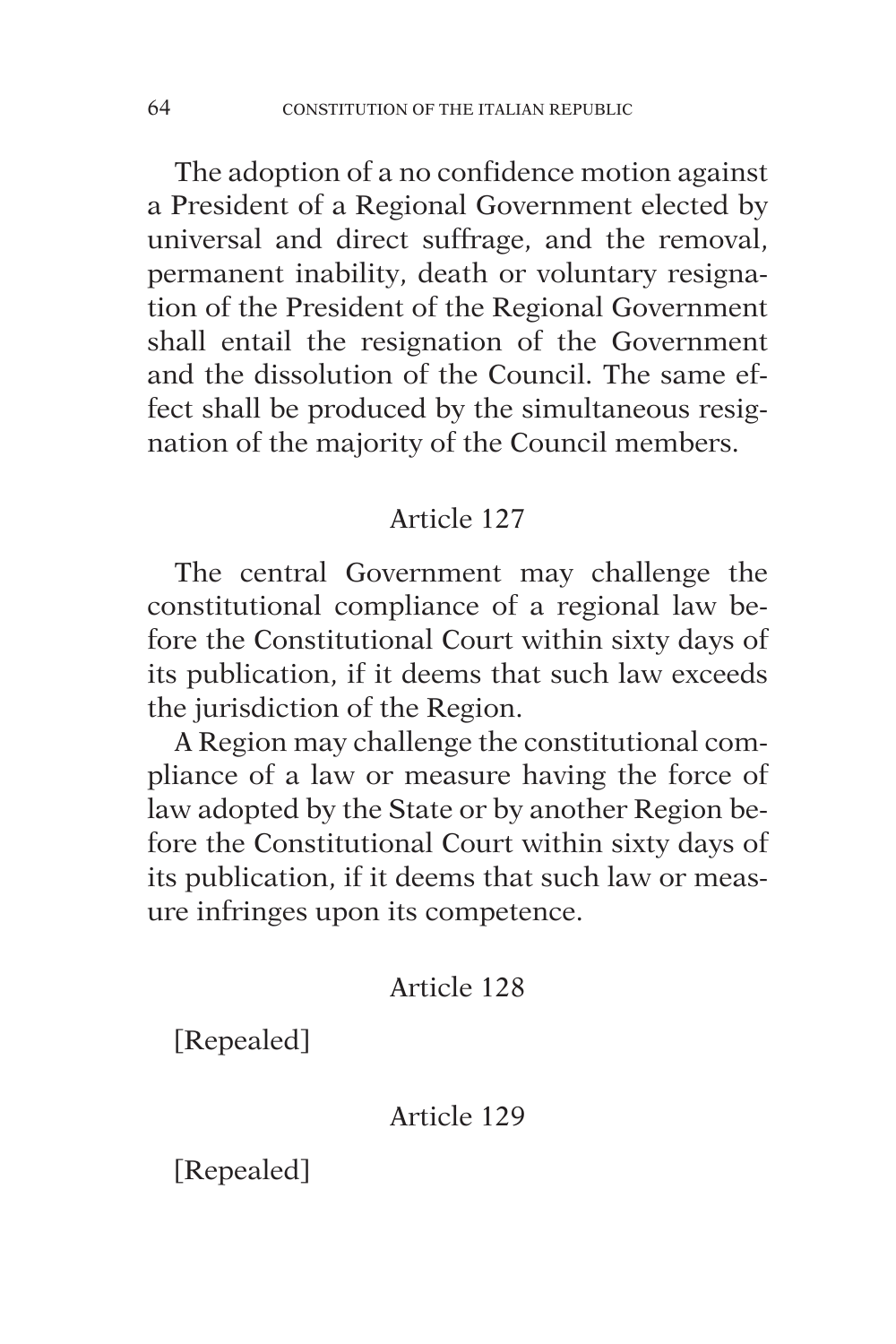The adoption of a no confidence motion against a President of a Regional Government elected by universal and direct suffrage, and the removal, permanent inability, death or voluntary resignation of the President of the Regional Government shall entail the resignation of the Government and the dissolution of the Council. The same effect shall be produced by the simultaneous resignation of the majority of the Council members.

## Article 127

The central Government may challenge the constitutional compliance of a regional law before the Constitutional Court within sixty days of its publication, if it deems that such law exceeds the jurisdiction of the Region.

A Region may challenge the constitutional compliance of a law or measure having the force of law adopted by the State or by another Region before the Constitutional Court within sixty days of its publication, if it deems that such law or measure infringes upon its competence.

## Article 128

[Repealed]

## Article 129

[Repealed]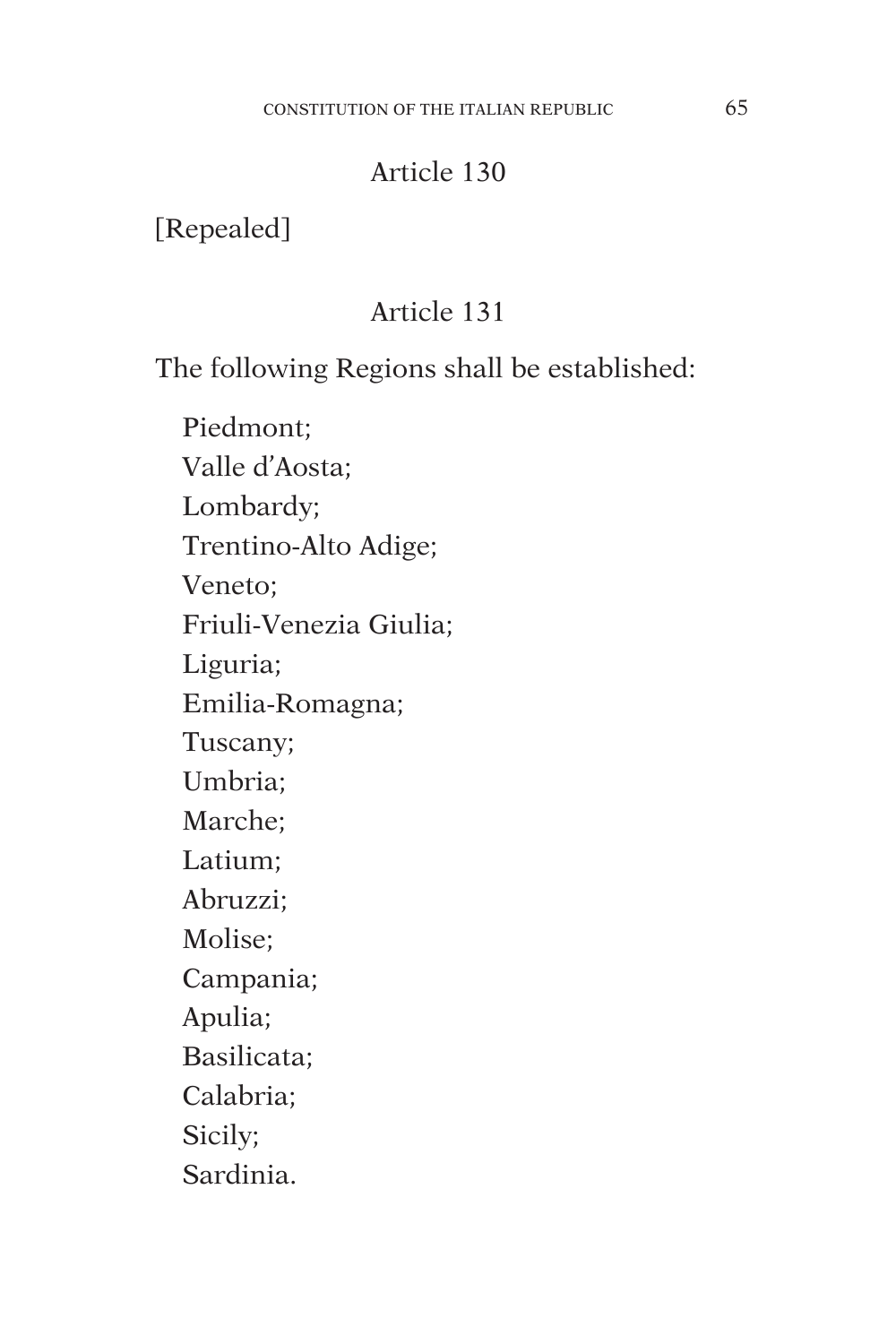[Repealed]

# Article 131

The following Regions shall be established:

Piedmont; Valle d'Aosta; Lombardy; Trentino-Alto Adige; Veneto; Friuli-Venezia Giulia; Liguria; Emilia-Romagna; Tuscany; Umbria; Marche; Latium; Abruzzi; Molise; Campania; Apulia; Basilicata; Calabria; Sicily; Sardinia.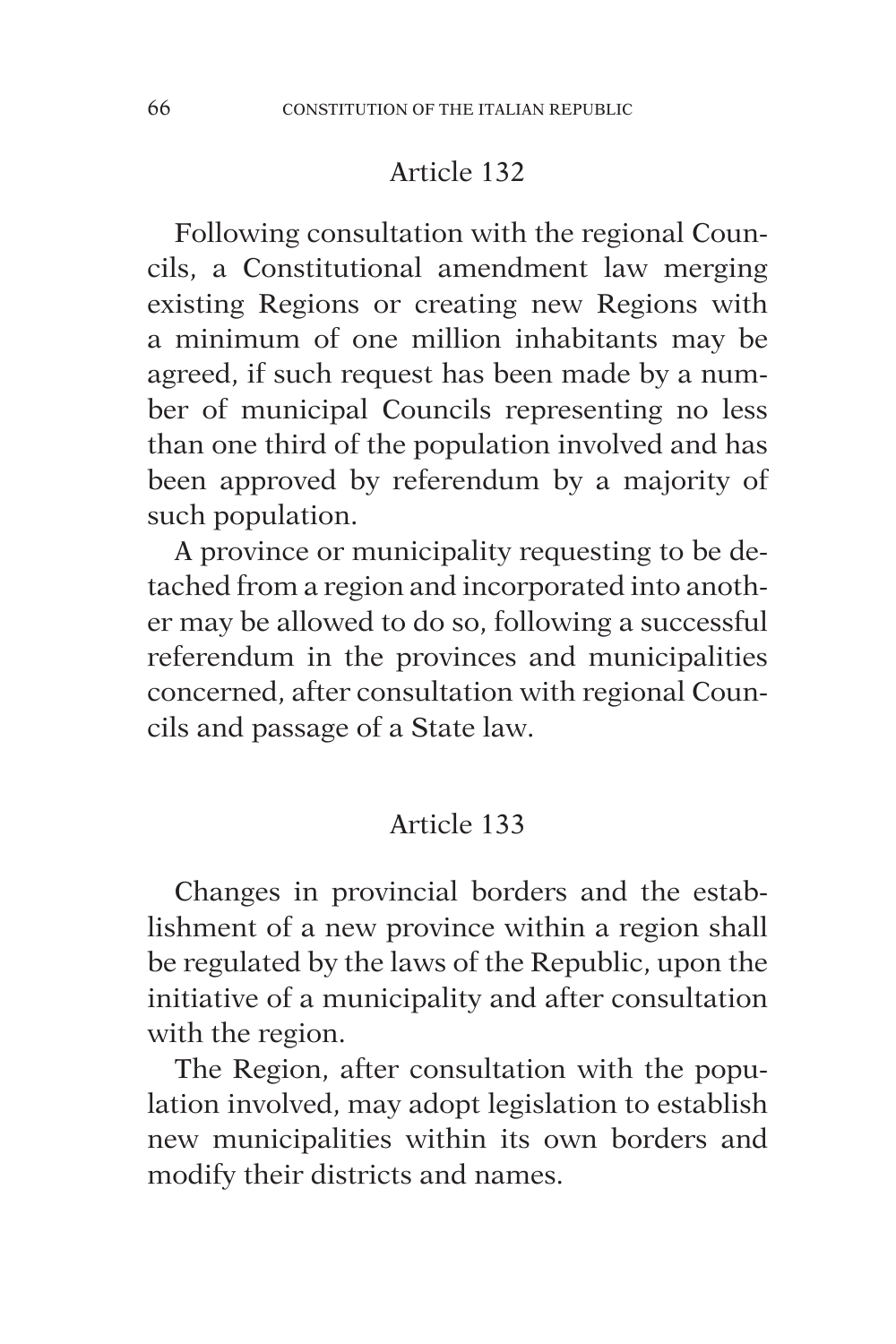Following consultation with the regional Councils, a Constitutional amendment law merging existing Regions or creating new Regions with a minimum of one million inhabitants may be agreed, if such request has been made by a number of municipal Councils representing no less than one third of the population involved and has been approved by referendum by a majority of such population.

A province or municipality requesting to be detached from a region and incorporated into another may be allowed to do so, following a successful referendum in the provinces and municipalities concerned, after consultation with regional Councils and passage of a State law.

### Article 133

Changes in provincial borders and the establishment of a new province within a region shall be regulated by the laws of the Republic, upon the initiative of a municipality and after consultation with the region.

The Region, after consultation with the population involved, may adopt legislation to establish new municipalities within its own borders and modify their districts and names.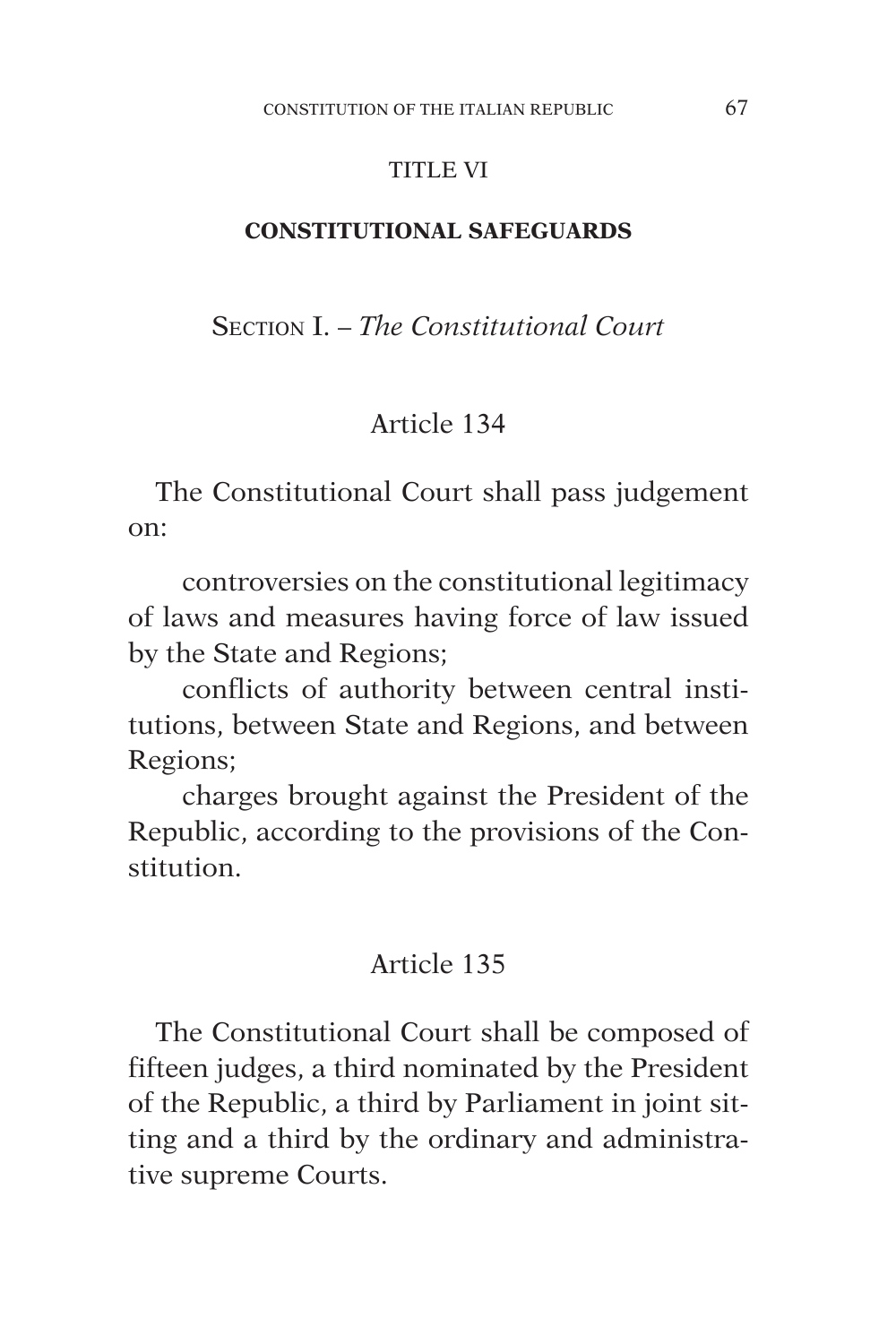#### TITLE VI

#### **CONSTITUTIONAL SAFEGUARDS**

Section I. – *The Constitutional Court*

#### Article 134

The Constitutional Court shall pass judgement on:

controversies on the constitutional legitimacy of laws and measures having force of law issued by the State and Regions;

conflicts of authority between central institutions, between State and Regions, and between Regions;

charges brought against the President of the Republic, according to the provisions of the Constitution.

#### Article 135

The Constitutional Court shall be composed of fifteen judges, a third nominated by the President of the Republic, a third by Parliament in joint sitting and a third by the ordinary and administrative supreme Courts.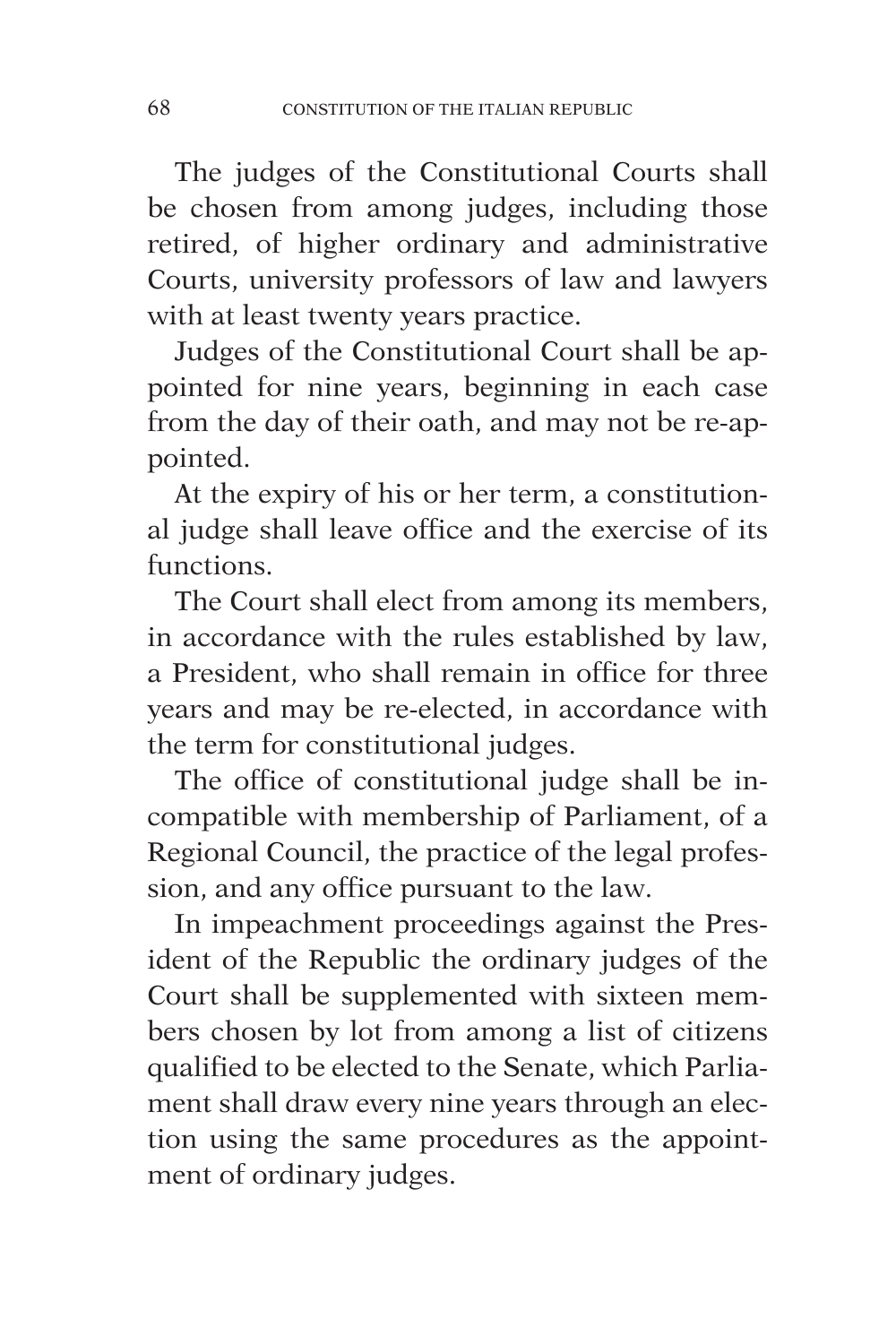The judges of the Constitutional Courts shall be chosen from among judges, including those retired, of higher ordinary and administrative Courts, university professors of law and lawyers with at least twenty years practice.

Judges of the Constitutional Court shall be appointed for nine years, beginning in each case from the day of their oath, and may not be re-appointed.

At the expiry of his or her term, a constitutional judge shall leave office and the exercise of its functions.

The Court shall elect from among its members, in accordance with the rules established by law, a President, who shall remain in office for three years and may be re-elected, in accordance with the term for constitutional judges.

The office of constitutional judge shall be incompatible with membership of Parliament, of a Regional Council, the practice of the legal profession, and any office pursuant to the law.

In impeachment proceedings against the President of the Republic the ordinary judges of the Court shall be supplemented with sixteen members chosen by lot from among a list of citizens qualified to be elected to the Senate, which Parliament shall draw every nine years through an election using the same procedures as the appointment of ordinary judges.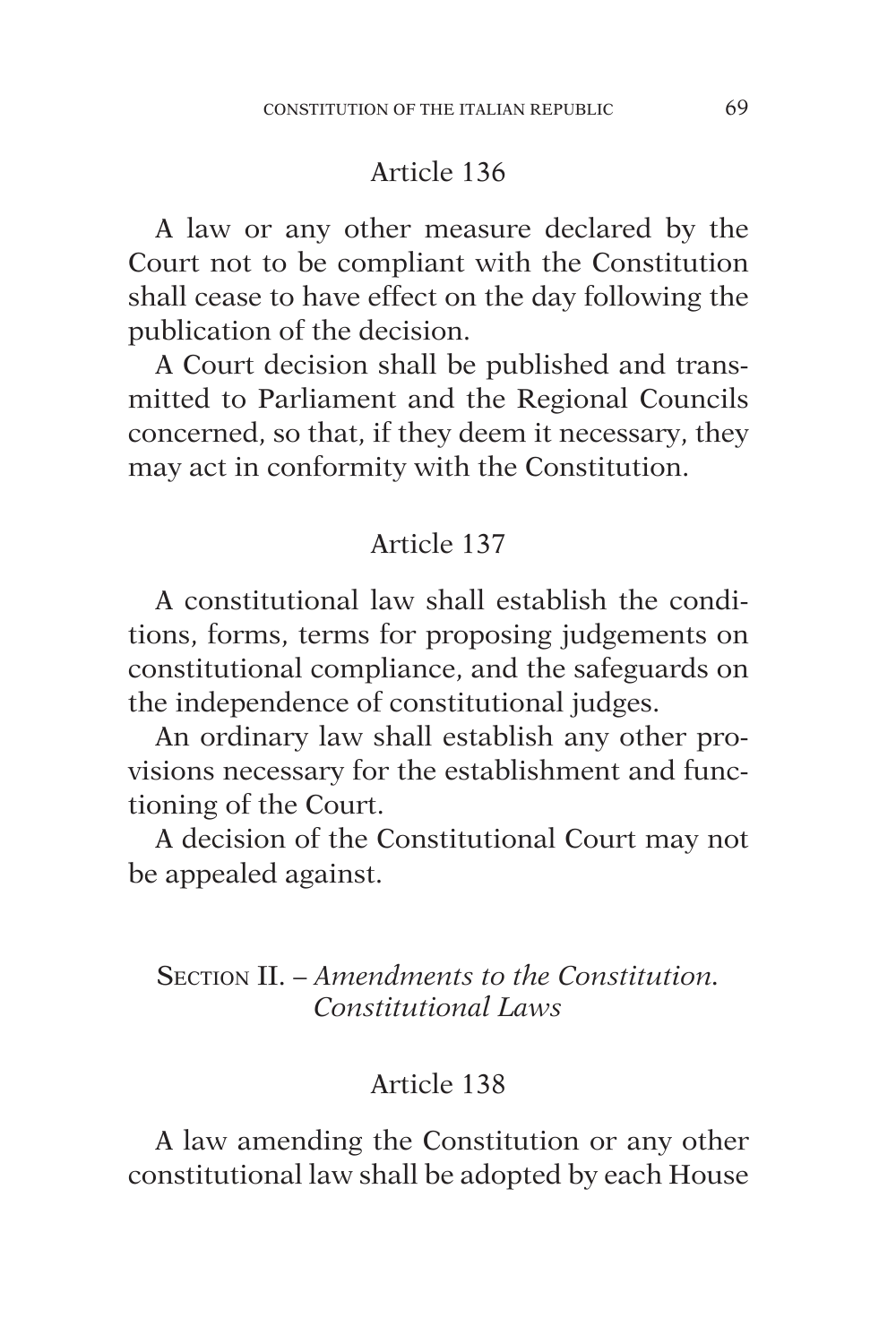A law or any other measure declared by the Court not to be compliant with the Constitution shall cease to have effect on the day following the publication of the decision.

A Court decision shall be published and transmitted to Parliament and the Regional Councils concerned, so that, if they deem it necessary, they may act in conformity with the Constitution.

#### Article 137

A constitutional law shall establish the conditions, forms, terms for proposing judgements on constitutional compliance, and the safeguards on the independence of constitutional judges.

An ordinary law shall establish any other provisions necessary for the establishment and functioning of the Court.

A decision of the Constitutional Court may not be appealed against.

## Section II. – *Amendments to the Constitution. Constitutional Laws*

## Article 138

A law amending the Constitution or any other constitutional law shall be adopted by each House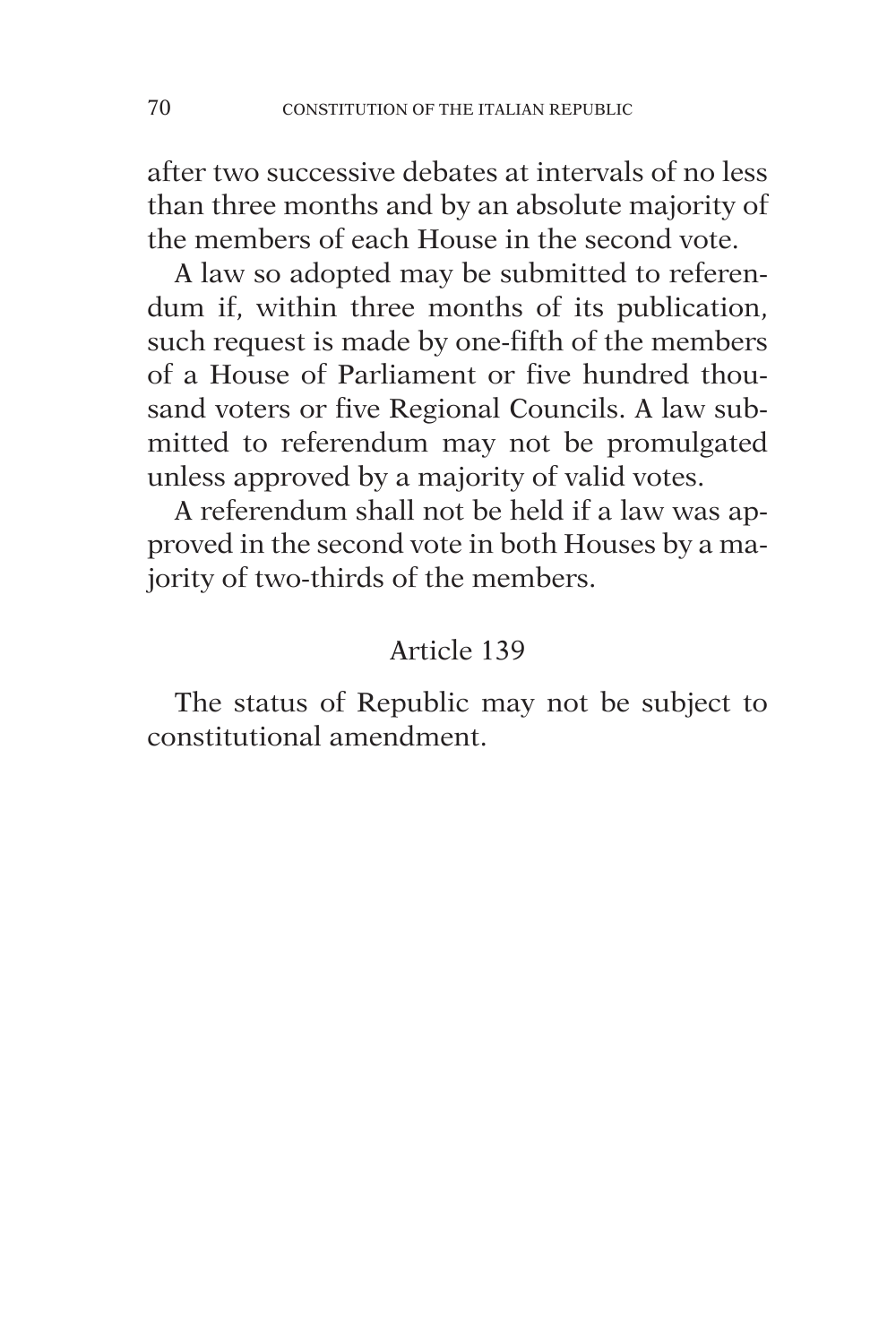after two successive debates at intervals of no less than three months and by an absolute majority of the members of each House in the second vote.

A law so adopted may be submitted to referendum if, within three months of its publication, such request is made by one-fifth of the members of a House of Parliament or five hundred thousand voters or five Regional Councils. A law submitted to referendum may not be promulgated unless approved by a majority of valid votes.

A referendum shall not be held if a law was approved in the second vote in both Houses by a majority of two-thirds of the members.

# Article 139

The status of Republic may not be subject to constitutional amendment.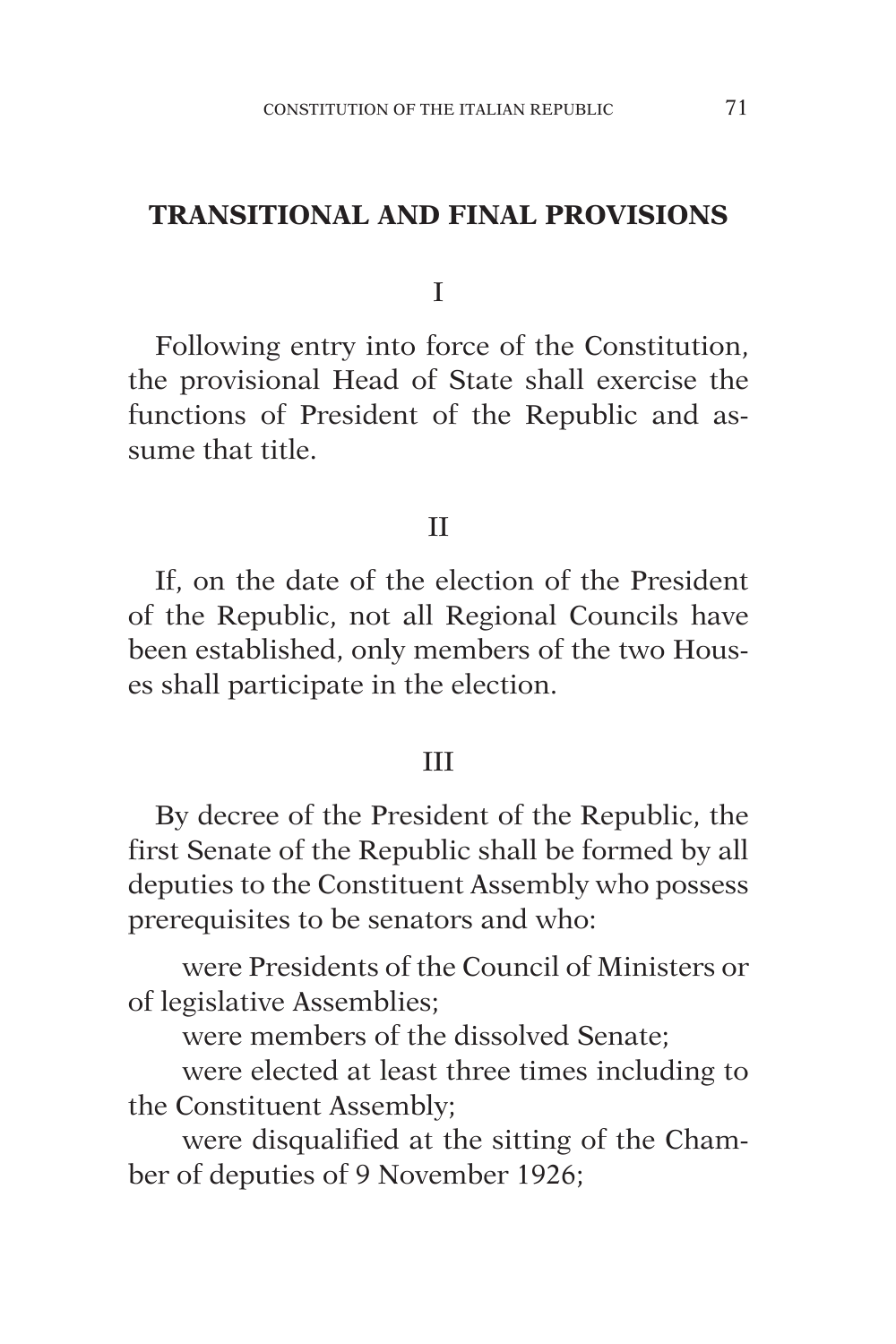#### **TRANSITIONAL AND FINAL PROVISIONS**

I

Following entry into force of the Constitution, the provisional Head of State shall exercise the functions of President of the Republic and assume that title.

# II

If, on the date of the election of the President of the Republic, not all Regional Councils have been established, only members of the two Houses shall participate in the election.

#### III

By decree of the President of the Republic, the first Senate of the Republic shall be formed by all deputies to the Constituent Assembly who possess prerequisites to be senators and who:

were Presidents of the Council of Ministers or of legislative Assemblies;

were members of the dissolved Senate;

were elected at least three times including to the Constituent Assembly;

were disqualified at the sitting of the Chamber of deputies of 9 November 1926;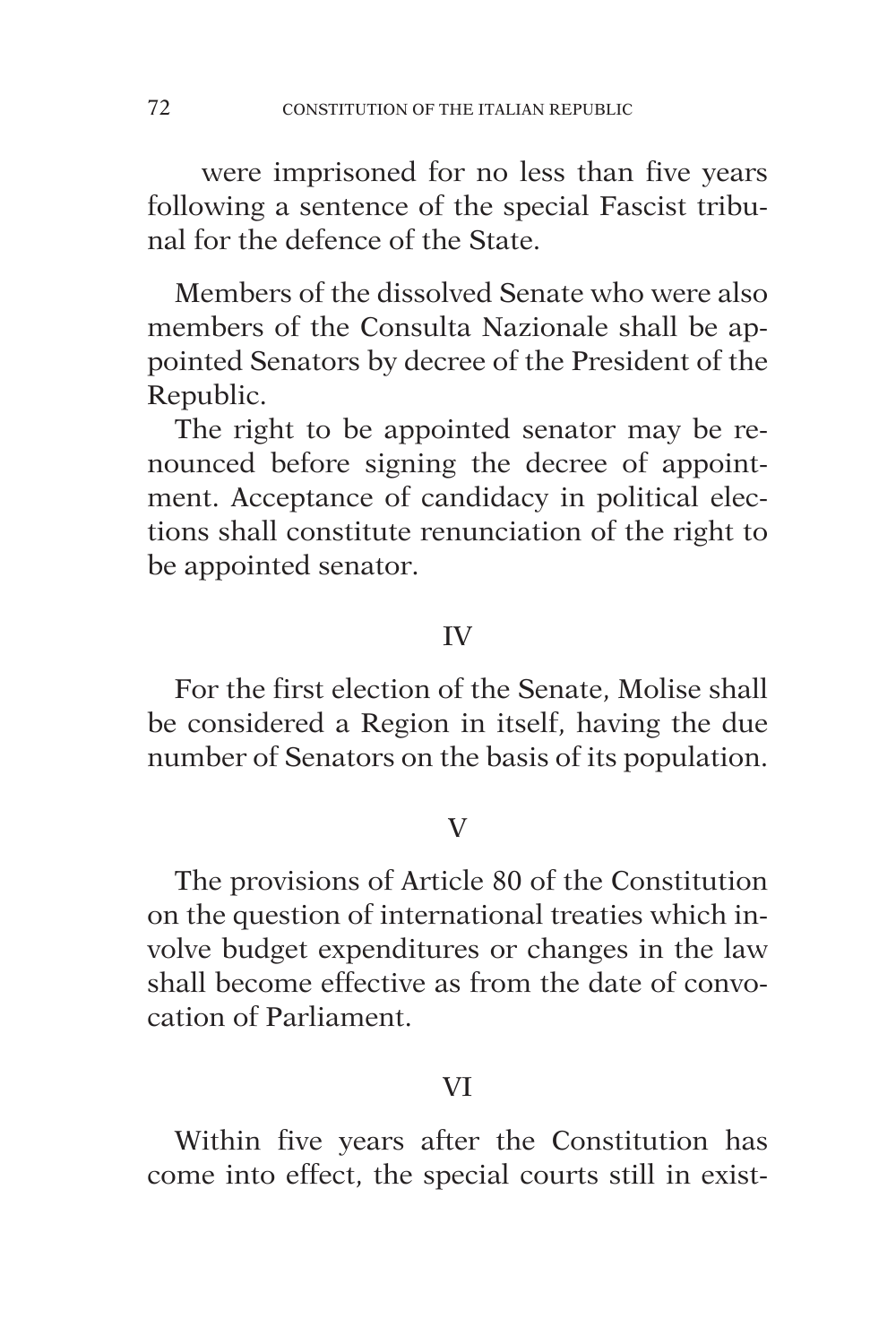were imprisoned for no less than five years following a sentence of the special Fascist tribunal for the defence of the State.

Members of the dissolved Senate who were also members of the Consulta Nazionale shall be appointed Senators by decree of the President of the Republic.

The right to be appointed senator may be renounced before signing the decree of appointment. Acceptance of candidacy in political elections shall constitute renunciation of the right to be appointed senator.

## IV

For the first election of the Senate, Molise shall be considered a Region in itself, having the due number of Senators on the basis of its population.

#### V

The provisions of Article 80 of the Constitution on the question of international treaties which involve budget expenditures or changes in the law shall become effective as from the date of convocation of Parliament.

## VI

Within five years after the Constitution has come into effect, the special courts still in exist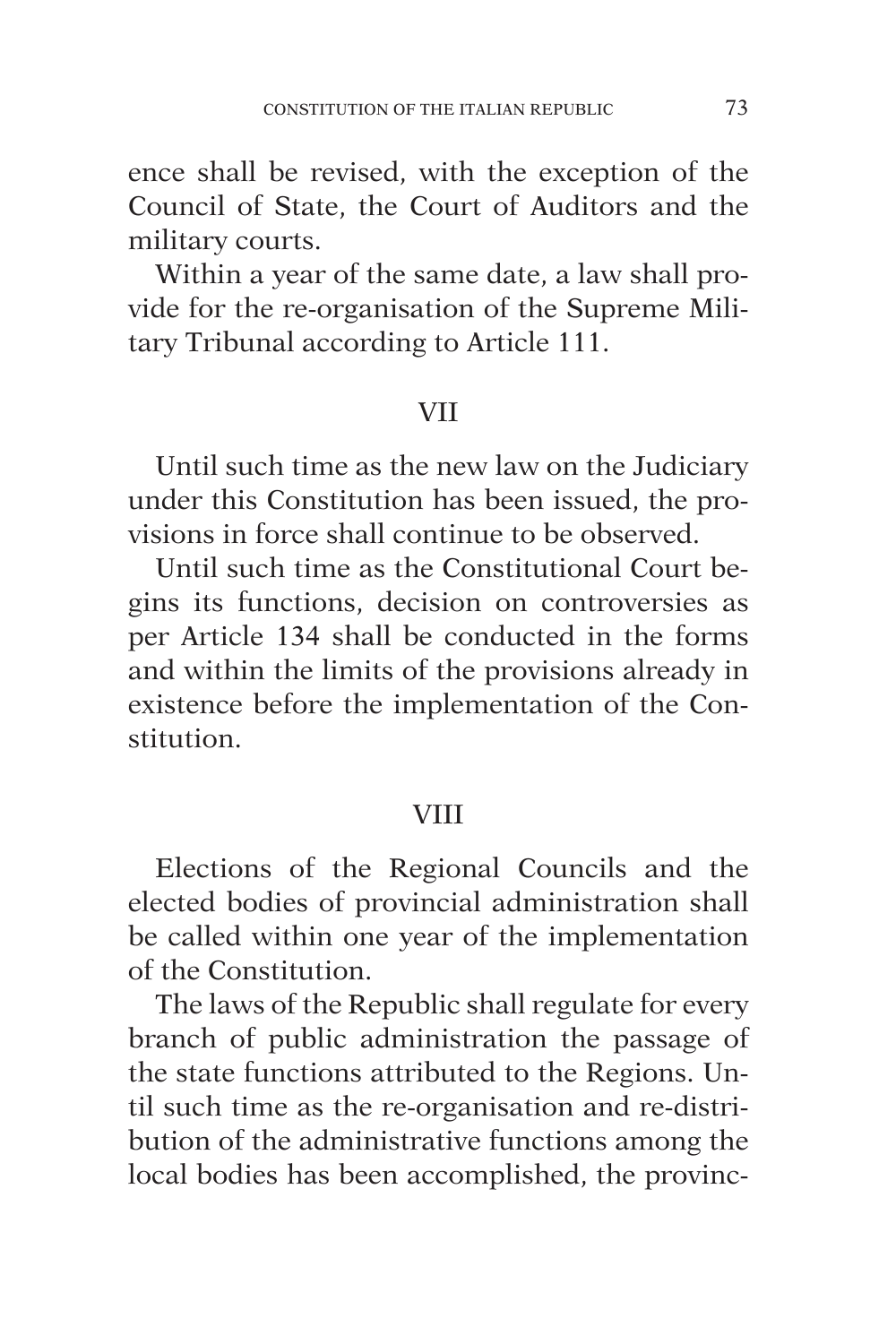ence shall be revised, with the exception of the Council of State, the Court of Auditors and the military courts.

Within a year of the same date, a law shall provide for the re-organisation of the Supreme Military Tribunal according to Article 111.

## VII

Until such time as the new law on the Judiciary under this Constitution has been issued, the provisions in force shall continue to be observed.

Until such time as the Constitutional Court begins its functions, decision on controversies as per Article 134 shall be conducted in the forms and within the limits of the provisions already in existence before the implementation of the Constitution.

#### **VIII**

Elections of the Regional Councils and the elected bodies of provincial administration shall be called within one year of the implementation of the Constitution.

The laws of the Republic shall regulate for every branch of public administration the passage of the state functions attributed to the Regions. Until such time as the re-organisation and re-distribution of the administrative functions among the local bodies has been accomplished, the provinc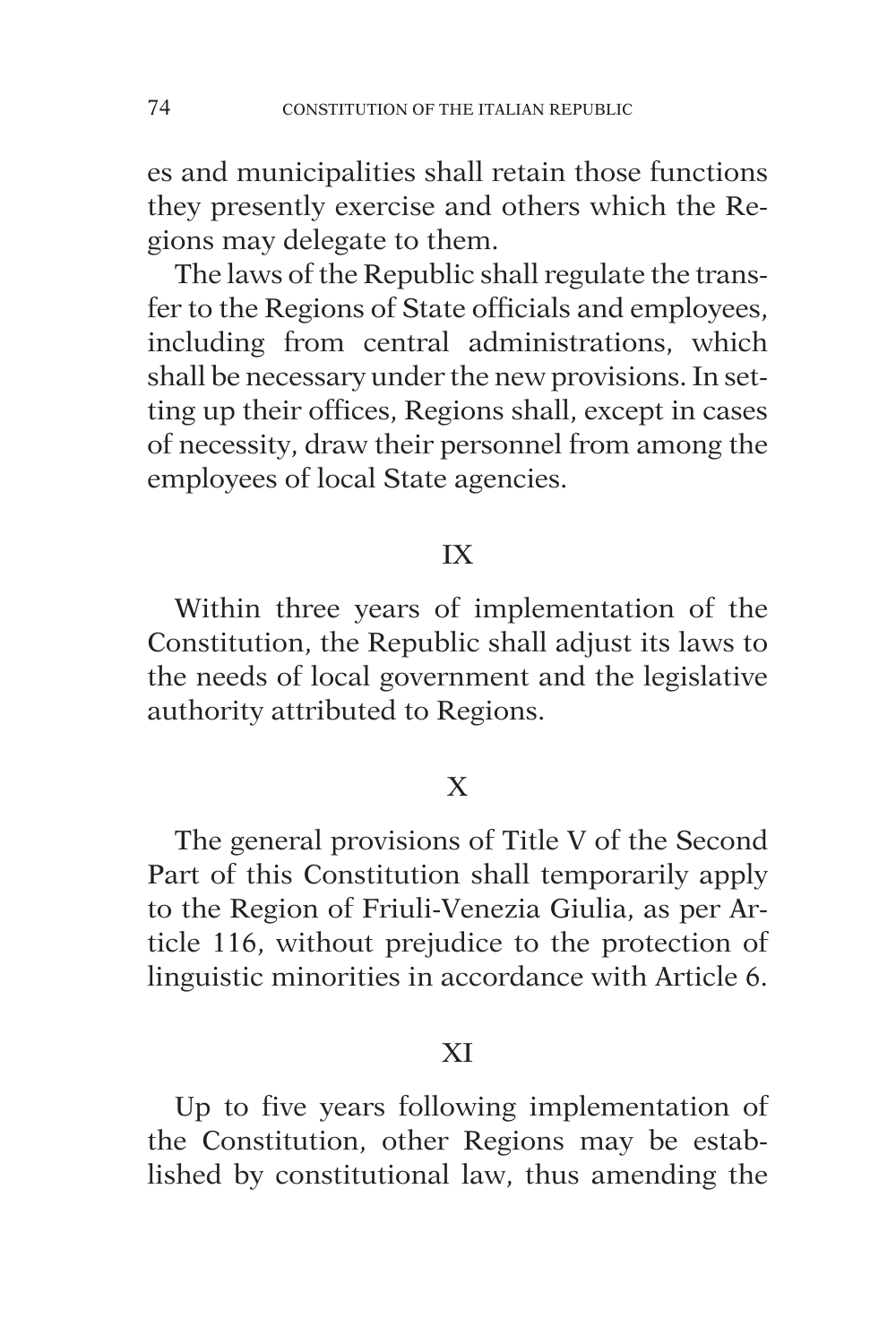es and municipalities shall retain those functions they presently exercise and others which the Regions may delegate to them.

The laws of the Republic shall regulate the transfer to the Regions of State officials and employees, including from central administrations, which shall be necessary under the new provisions. In setting up their offices, Regions shall, except in cases of necessity, draw their personnel from among the employees of local State agencies.

# IX

Within three years of implementation of the Constitution, the Republic shall adjust its laws to the needs of local government and the legislative authority attributed to Regions.

# X

The general provisions of Title V of the Second Part of this Constitution shall temporarily apply to the Region of Friuli-Venezia Giulia, as per Article 116, without prejudice to the protection of linguistic minorities in accordance with Article 6.

## XI

Up to five years following implementation of the Constitution, other Regions may be established by constitutional law, thus amending the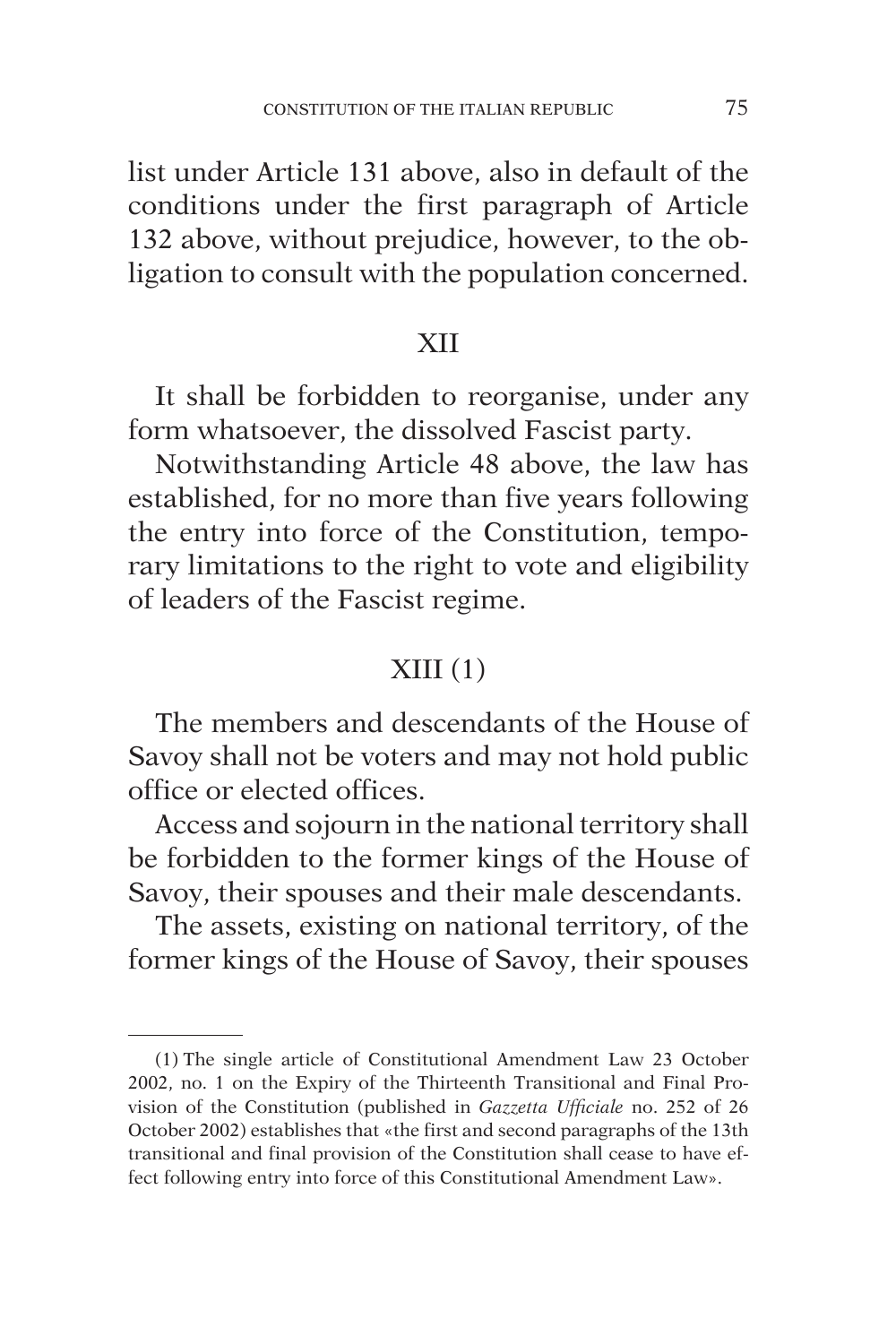list under Article 131 above, also in default of the conditions under the first paragraph of Article 132 above, without prejudice, however, to the obligation to consult with the population concerned.

#### XII

It shall be forbidden to reorganise, under any form whatsoever, the dissolved Fascist party.

Notwithstanding Article 48 above, the law has established, for no more than five years following the entry into force of the Constitution, temporary limitations to the right to vote and eligibility of leaders of the Fascist regime.

## $XIII(1)$

The members and descendants of the House of Savoy shall not be voters and may not hold public office or elected offices.

Access and sojourn in the national territory shall be forbidden to the former kings of the House of Savoy, their spouses and their male descendants.

The assets, existing on national territory, of the former kings of the House of Savoy, their spouses

<sup>(1)</sup> The single article of Constitutional Amendment Law 23 October 2002, no. 1 on the Expiry of the Thirteenth Transitional and Final Provision of the Constitution (published in *Gazzetta Ufficiale* no. 252 of 26 October 2002) establishes that «the first and second paragraphs of the 13th transitional and final provision of the Constitution shall cease to have effect following entry into force of this Constitutional Amendment Law».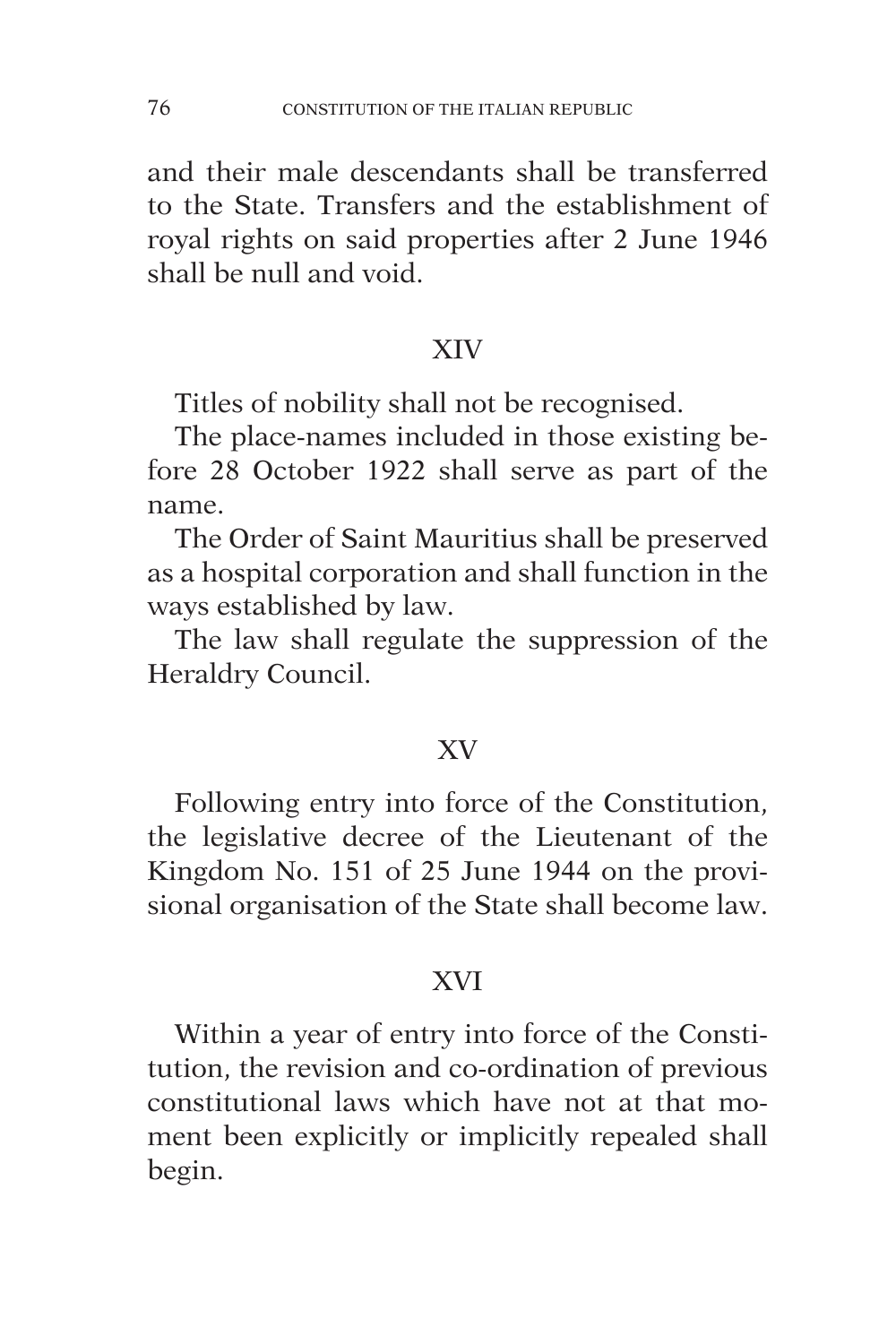and their male descendants shall be transferred to the State. Transfers and the establishment of royal rights on said properties after 2 June 1946 shall be null and void.

## XIV

Titles of nobility shall not be recognised.

The place-names included in those existing before 28 October 1922 shall serve as part of the name.

The Order of Saint Mauritius shall be preserved as a hospital corporation and shall function in the ways established by law.

The law shall regulate the suppression of the Heraldry Council.

## XV

Following entry into force of the Constitution, the legislative decree of the Lieutenant of the Kingdom No. 151 of 25 June 1944 on the provisional organisation of the State shall become law.

## XVI

Within a year of entry into force of the Constitution, the revision and co-ordination of previous constitutional laws which have not at that moment been explicitly or implicitly repealed shall begin.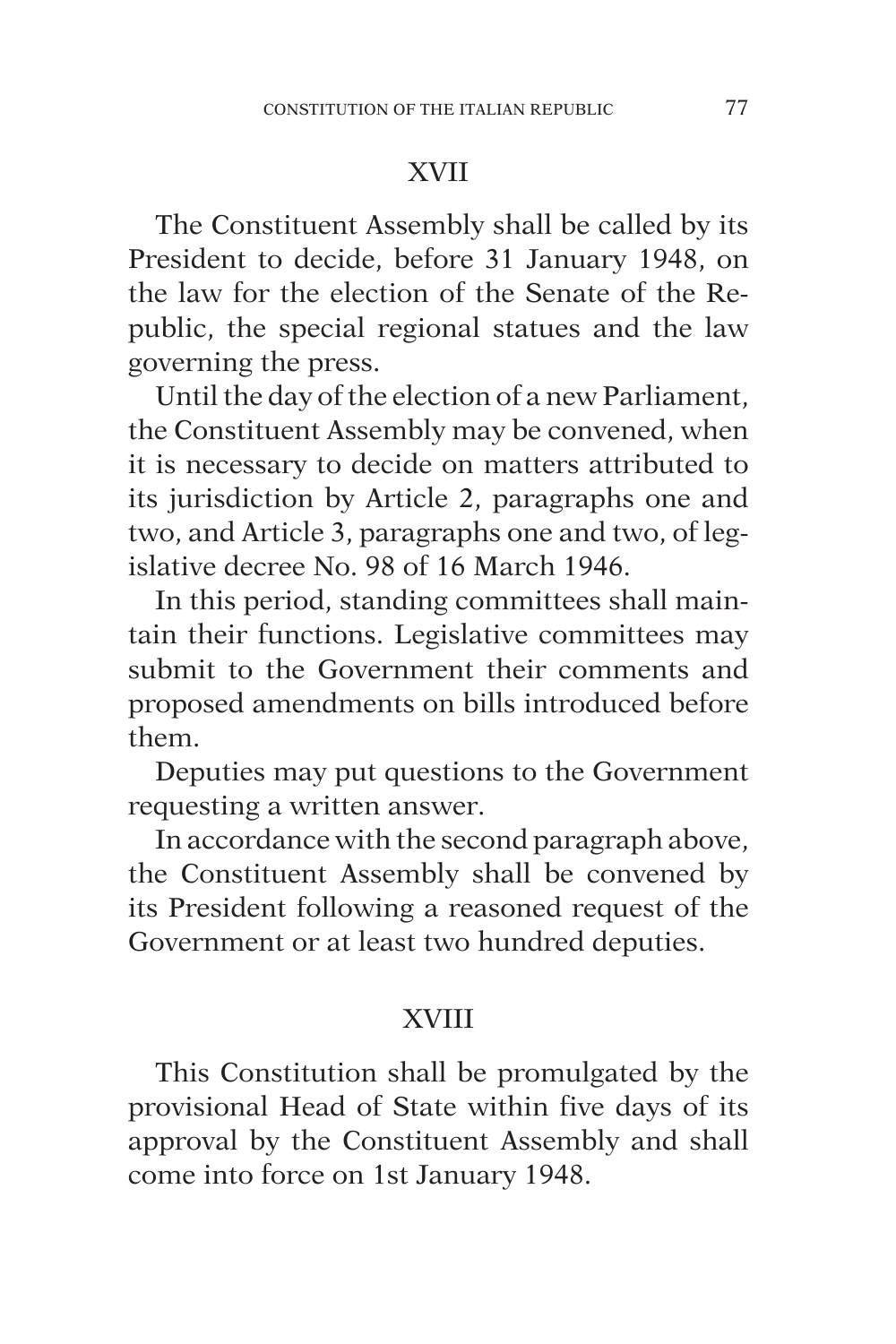# XVII

The Constituent Assembly shall be called by its President to decide, before 31 January 1948, on the law for the election of the Senate of the Republic, the special regional statues and the law governing the press.

Until the day of the election of a new Parliament, the Constituent Assembly may be convened, when it is necessary to decide on matters attributed to its jurisdiction by Article 2, paragraphs one and two, and Article 3, paragraphs one and two, of legislative decree No. 98 of 16 March 1946.

In this period, standing committees shall maintain their functions. Legislative committees may submit to the Government their comments and proposed amendments on bills introduced before them.

Deputies may put questions to the Government requesting a written answer.

In accordance with the second paragraph above, the Constituent Assembly shall be convened by its President following a reasoned request of the Government or at least two hundred deputies.

# XVIII

This Constitution shall be promulgated by the provisional Head of State within five days of its approval by the Constituent Assembly and shall come into force on 1st January 1948.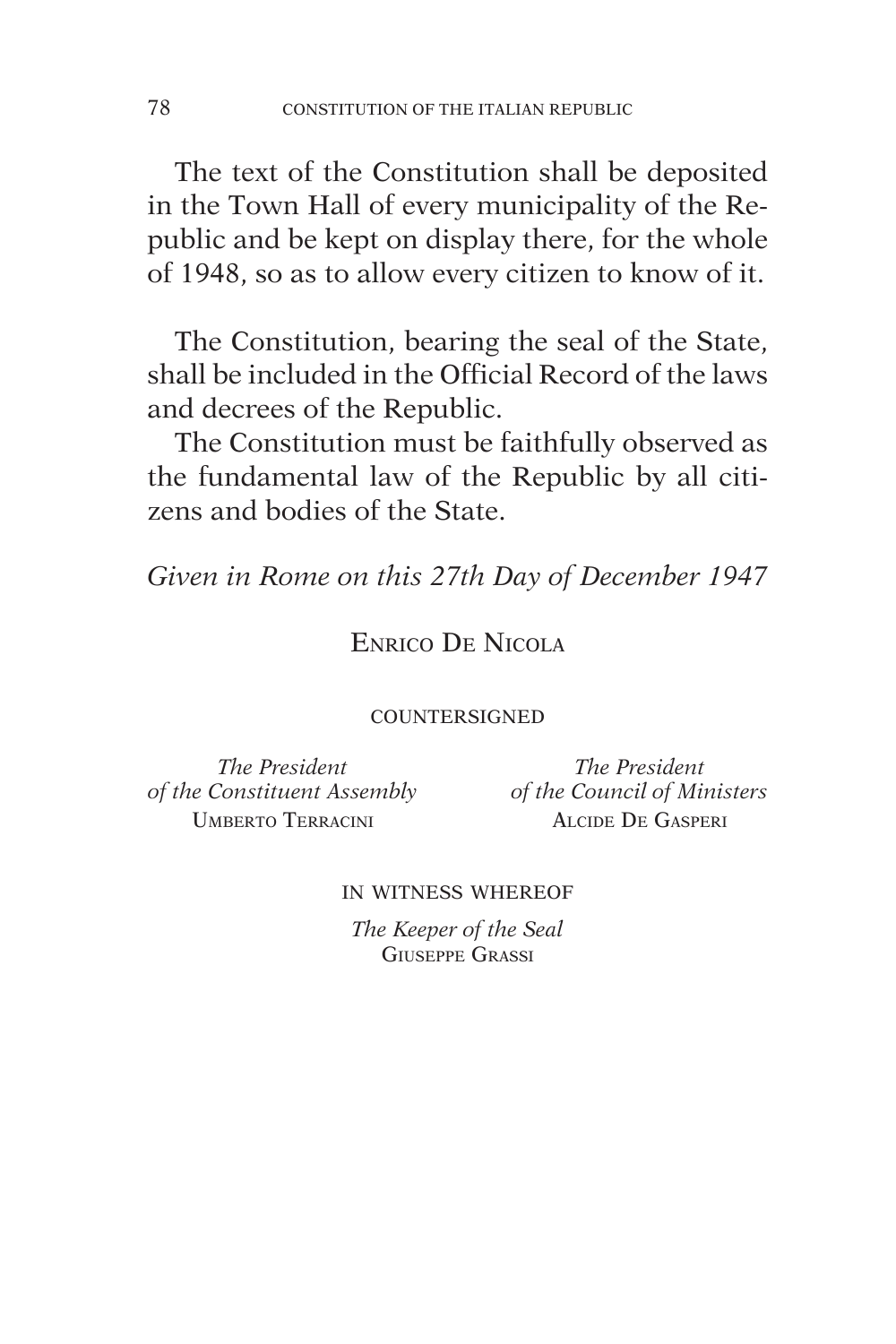The text of the Constitution shall be deposited in the Town Hall of every municipality of the Republic and be kept on display there, for the whole of 1948, so as to allow every citizen to know of it.

The Constitution, bearing the seal of the State, shall be included in the Official Record of the laws and decrees of the Republic.

The Constitution must be faithfully observed as the fundamental law of the Republic by all citizens and bodies of the State.

*Given in Rome on this 27th Day of December 1947*

## Enrico De Nicola

#### **COUNTERSIGNED**

*The President The President of the Constituent Assembly of the Council of Ministers* Umberto Terracini Alcide De Gasperi

#### in witness whereof

*The Keeper of the Seal* Giuseppe Grassi